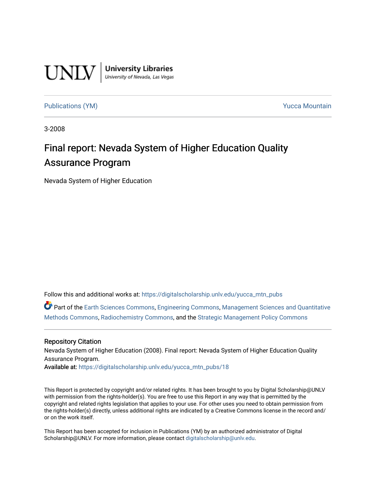

**University Libraries**<br>University of Nevada, Las Vegas

## [Publications \(YM\)](https://digitalscholarship.unlv.edu/yucca_mtn_pubs) **Publications** (YM) **Publications** (YM)

3-2008

## Final report: Nevada System of Higher Education Quality Assurance Program

Nevada System of Higher Education

Follow this and additional works at: [https://digitalscholarship.unlv.edu/yucca\\_mtn\\_pubs](https://digitalscholarship.unlv.edu/yucca_mtn_pubs?utm_source=digitalscholarship.unlv.edu%2Fyucca_mtn_pubs%2F18&utm_medium=PDF&utm_campaign=PDFCoverPages)

Part of the [Earth Sciences Commons,](http://network.bepress.com/hgg/discipline/153?utm_source=digitalscholarship.unlv.edu%2Fyucca_mtn_pubs%2F18&utm_medium=PDF&utm_campaign=PDFCoverPages) [Engineering Commons](http://network.bepress.com/hgg/discipline/217?utm_source=digitalscholarship.unlv.edu%2Fyucca_mtn_pubs%2F18&utm_medium=PDF&utm_campaign=PDFCoverPages), [Management Sciences and Quantitative](http://network.bepress.com/hgg/discipline/637?utm_source=digitalscholarship.unlv.edu%2Fyucca_mtn_pubs%2F18&utm_medium=PDF&utm_campaign=PDFCoverPages) [Methods Commons,](http://network.bepress.com/hgg/discipline/637?utm_source=digitalscholarship.unlv.edu%2Fyucca_mtn_pubs%2F18&utm_medium=PDF&utm_campaign=PDFCoverPages) [Radiochemistry Commons](http://network.bepress.com/hgg/discipline/1196?utm_source=digitalscholarship.unlv.edu%2Fyucca_mtn_pubs%2F18&utm_medium=PDF&utm_campaign=PDFCoverPages), and the [Strategic Management Policy Commons](http://network.bepress.com/hgg/discipline/642?utm_source=digitalscholarship.unlv.edu%2Fyucca_mtn_pubs%2F18&utm_medium=PDF&utm_campaign=PDFCoverPages)

#### Repository Citation

Nevada System of Higher Education (2008). Final report: Nevada System of Higher Education Quality Assurance Program.

Available at: [https://digitalscholarship.unlv.edu/yucca\\_mtn\\_pubs/18](https://digitalscholarship.unlv.edu/yucca_mtn_pubs/18) 

This Report is protected by copyright and/or related rights. It has been brought to you by Digital Scholarship@UNLV with permission from the rights-holder(s). You are free to use this Report in any way that is permitted by the copyright and related rights legislation that applies to your use. For other uses you need to obtain permission from the rights-holder(s) directly, unless additional rights are indicated by a Creative Commons license in the record and/ or on the work itself.

This Report has been accepted for inclusion in Publications (YM) by an authorized administrator of Digital Scholarship@UNLV. For more information, please contact [digitalscholarship@unlv.edu.](mailto:digitalscholarship@unlv.edu)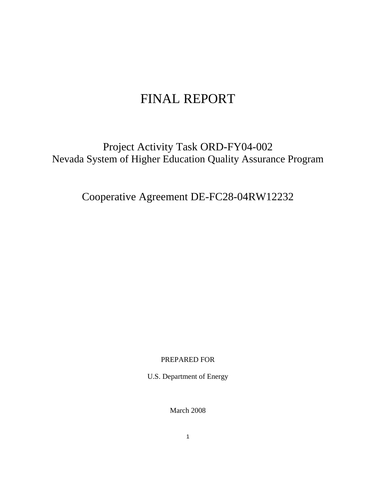# FINAL REPORT

Project Activity Task ORD-FY04-002 Nevada System of Higher Education Quality Assurance Program

Cooperative Agreement DE-FC28-04RW12232

PREPARED FOR

U.S. Department of Energy

March 2008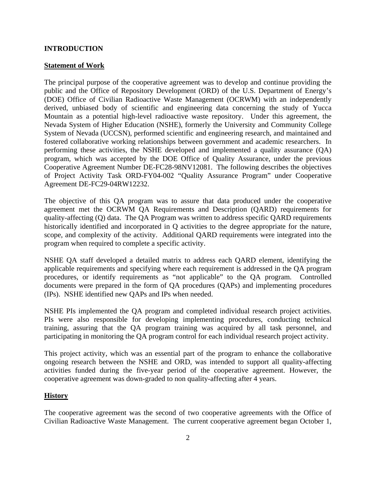## **INTRODUCTION**

## **Statement of Work**

The principal purpose of the cooperative agreement was to develop and continue providing the public and the Office of Repository Development (ORD) of the U.S. Department of Energy's (DOE) Office of Civilian Radioactive Waste Management (OCRWM) with an independently derived, unbiased body of scientific and engineering data concerning the study of Yucca Mountain as a potential high-level radioactive waste repository. Under this agreement, the Nevada System of Higher Education (NSHE), formerly the University and Community College System of Nevada (UCCSN), performed scientific and engineering research, and maintained and fostered collaborative working relationships between government and academic researchers. In performing these activities, the NSHE developed and implemented a quality assurance (QA) program, which was accepted by the DOE Office of Quality Assurance, under the previous Cooperative Agreement Number DE-FC28-98NV12081. The following describes the objectives of Project Activity Task ORD-FY04-002 "Quality Assurance Program" under Cooperative Agreement DE-FC29-04RW12232.

The objective of this QA program was to assure that data produced under the cooperative agreement met the OCRWM QA Requirements and Description (QARD) requirements for quality-affecting (Q) data. The QA Program was written to address specific QARD requirements historically identified and incorporated in Q activities to the degree appropriate for the nature, scope, and complexity of the activity. Additional QARD requirements were integrated into the program when required to complete a specific activity.

NSHE QA staff developed a detailed matrix to address each QARD element, identifying the applicable requirements and specifying where each requirement is addressed in the QA program procedures, or identify requirements as "not applicable" to the QA program. Controlled documents were prepared in the form of QA procedures (QAPs) and implementing procedures (IPs). NSHE identified new QAPs and IPs when needed.

NSHE PIs implemented the QA program and completed individual research project activities. PIs were also responsible for developing implementing procedures, conducting technical training, assuring that the QA program training was acquired by all task personnel, and participating in monitoring the QA program control for each individual research project activity.

This project activity, which was an essential part of the program to enhance the collaborative ongoing research between the NSHE and ORD, was intended to support all quality-affecting activities funded during the five-year period of the cooperative agreement. However, the cooperative agreement was down-graded to non quality-affecting after 4 years.

## **History**

The cooperative agreement was the second of two cooperative agreements with the Office of Civilian Radioactive Waste Management. The current cooperative agreement began October 1,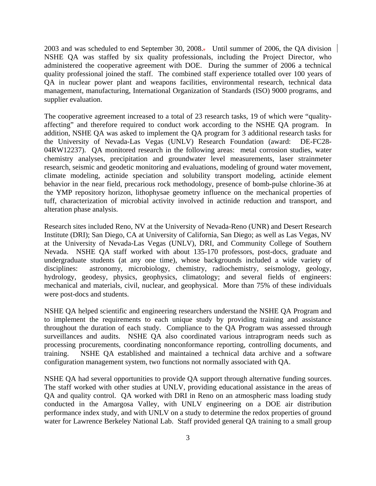2003 and was scheduled to end September 30, 2008.. Until summer of 2006, the QA division NSHE QA was staffed by six quality professionals, including the Project Director, who administered the cooperative agreement with DOE. During the summer of 2006 a technical quality professional joined the staff. The combined staff experience totalled over 100 years of QA in nuclear power plant and weapons facilities, environmental research, technical data management, manufacturing, International Organization of Standards (ISO) 9000 programs, and supplier evaluation.

The cooperative agreement increased to a total of 23 research tasks, 19 of which were "qualityaffecting" and therefore required to conduct work according to the NSHE QA program. In addition, NSHE QA was asked to implement the QA program for 3 additional research tasks for the University of Nevada-Las Vegas (UNLV) Research Foundation (award: DE-FC28- 04RW12237). QA monitored research in the following areas: metal corrosion studies, water chemistry analyses, precipitation and groundwater level measurements, laser strainmeter research, seismic and geodetic monitoring and evaluations, modeling of ground water movement, climate modeling, actinide speciation and solubility transport modeling, actinide element behavior in the near field, precarious rock methodology, presence of bomb-pulse chlorine-36 at the YMP repository horizon, lithophysae geometry influence on the mechanical properties of tuff, characterization of microbial activity involved in actinide reduction and transport, and alteration phase analysis.

Research sites included Reno, NV at the University of Nevada-Reno (UNR) and Desert Research Institute (DRI); San Diego, CA at University of California, San Diego; as well as Las Vegas, NV at the University of Nevada-Las Vegas (UNLV), DRI, and Community College of Southern Nevada. NSHE QA staff worked with about 135-170 professors, post-docs, graduate and undergraduate students (at any one time), whose backgrounds included a wide variety of disciplines: astronomy, microbiology, chemistry, radiochemistry, seismology, geology, hydrology, geodesy, physics, geophysics, climatology; and several fields of engineers: mechanical and materials, civil, nuclear, and geophysical. More than 75% of these individuals were post-docs and students.

NSHE QA helped scientific and engineering researchers understand the NSHE QA Program and to implement the requirements to each unique study by providing training and assistance throughout the duration of each study. Compliance to the QA Program was assessed through surveillances and audits. NSHE QA also coordinated various intraprogram needs such as processing procurements, coordinating nonconformance reporting, controlling documents, and training. NSHE QA established and maintained a technical data archive and a software configuration management system, two functions not normally associated with QA.

NSHE QA had several opportunities to provide QA support through alternative funding sources. The staff worked with other studies at UNLV, providing educational assistance in the areas of QA and quality control. QA worked with DRI in Reno on an atmospheric mass loading study conducted in the Amargosa Valley, with UNLV engineering on a DOE air distribution performance index study, and with UNLV on a study to determine the redox properties of ground water for Lawrence Berkeley National Lab. Staff provided general QA training to a small group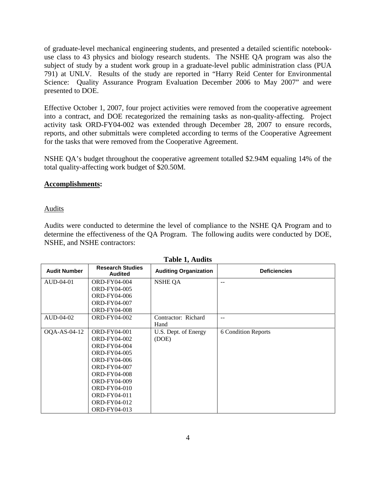of graduate-level mechanical engineering students, and presented a detailed scientific notebookuse class to 43 physics and biology research students. The NSHE QA program was also the subject of study by a student work group in a graduate-level public administration class (PUA 791) at UNLV. Results of the study are reported in "Harry Reid Center for Environmental Science: Quality Assurance Program Evaluation December 2006 to May 2007" and were presented to DOE.

Effective October 1, 2007, four project activities were removed from the cooperative agreement into a contract, and DOE recategorized the remaining tasks as non-quality-affecting. Project activity task ORD-FY04-002 was extended through December 28, 2007 to ensure records, reports, and other submittals were completed according to terms of the Cooperative Agreement for the tasks that were removed from the Cooperative Agreement.

NSHE QA's budget throughout the cooperative agreement totalled \$2.94M equaling 14% of the total quality-affecting work budget of \$20.50M.

## **Accomplishments:**

Audits

Audits were conducted to determine the level of compliance to the NSHE QA Program and to determine the effectiveness of the QA Program. The following audits were conducted by DOE, NSHE, and NSHE contractors:

| <b>Audit Number</b> | <b>Research Studies</b><br><b>Audited</b> | <b>Auditing Organization</b> | <b>Deficiencies</b>        |
|---------------------|-------------------------------------------|------------------------------|----------------------------|
| AUD-04-01           | <b>ORD-FY04-004</b>                       | <b>NSHE QA</b>               | $-$                        |
|                     | <b>ORD-FY04-005</b>                       |                              |                            |
|                     | <b>ORD-FY04-006</b>                       |                              |                            |
|                     | <b>ORD-FY04-007</b>                       |                              |                            |
|                     | <b>ORD-FY04-008</b>                       |                              |                            |
| AUD-04-02           | <b>ORD-FY04-002</b>                       | Contractor: Richard          | $- -$                      |
|                     |                                           | Hand                         |                            |
| OQA-AS-04-12        | <b>ORD-FY04-001</b>                       | U.S. Dept. of Energy         | <b>6 Condition Reports</b> |
|                     | <b>ORD-FY04-002</b>                       | (DOE)                        |                            |
|                     | <b>ORD-FY04-004</b>                       |                              |                            |
|                     | <b>ORD-FY04-005</b>                       |                              |                            |
|                     | <b>ORD-FY04-006</b>                       |                              |                            |
|                     | <b>ORD-FY04-007</b>                       |                              |                            |
|                     | <b>ORD-FY04-008</b>                       |                              |                            |
|                     | <b>ORD-FY04-009</b>                       |                              |                            |
|                     | <b>ORD-FY04-010</b>                       |                              |                            |
|                     | ORD-FY04-011                              |                              |                            |
|                     | ORD-FY04-012                              |                              |                            |
|                     | ORD-FY04-013                              |                              |                            |

**Table 1, Audits**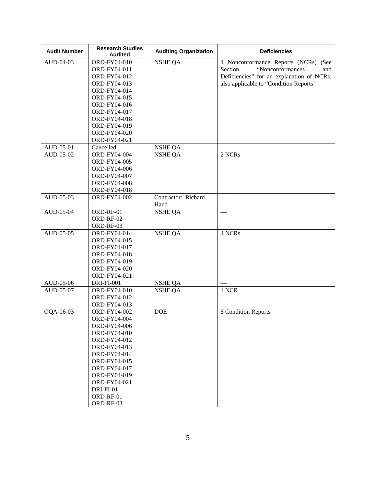| <b>Audit Number</b> | <b>Research Studies</b><br><b>Audited</b> | <b>Auditing Organization</b> | <b>Deficiencies</b>                       |
|---------------------|-------------------------------------------|------------------------------|-------------------------------------------|
| AUD-04-03           | ORD-FY04-010                              | <b>NSHE QA</b>               | 4 Nonconformance Reports (NCRs) (See      |
|                     | ORD-FY04-011                              |                              | "Nonconformances<br>Section<br>and        |
|                     | ORD-FY04-012                              |                              | Deficiencies" for an explanation of NCRs; |
|                     | ORD-FY04-013                              |                              | also applicable to "Condition Reports"    |
|                     | ORD-FY04-014                              |                              |                                           |
|                     | ORD-FY04-015                              |                              |                                           |
|                     | ORD-FY04-016                              |                              |                                           |
|                     | ORD-FY04-017                              |                              |                                           |
|                     | ORD-FY04-018                              |                              |                                           |
|                     | ORD-FY04-019                              |                              |                                           |
|                     | ORD-FY04-020                              |                              |                                           |
|                     | ORD-FY04-021                              |                              |                                           |
| AUD-05-01           | Cancelled                                 | <b>NSHE QA</b>               |                                           |
| AUD-05-02           | ORD-FY04-004                              | <b>NSHE QA</b>               | 2 NCRs                                    |
|                     | ORD-FY04-005                              |                              |                                           |
|                     | ORD-FY04-006                              |                              |                                           |
|                     | ORD-FY04-007                              |                              |                                           |
|                     | ORD-FY04-008                              |                              |                                           |
|                     | ORD-FY04-018                              |                              |                                           |
| AUD-05-03           | ORD-FY04-002                              | Contractor: Richard<br>Hand  | $\overline{\phantom{0}}$                  |
| AUD-05-04           | ORD-RF-01                                 | <b>NSHE QA</b>               |                                           |
|                     | ORD-RF-02                                 |                              |                                           |
|                     | ORD-RF-03                                 |                              |                                           |
| AUD-05-05           | ORD-FY04-014                              | <b>NSHE QA</b>               | 4 NCRs                                    |
|                     | ORD-FY04-015                              |                              |                                           |
|                     | ORD-FY04-017                              |                              |                                           |
|                     | ORD-FY04-018                              |                              |                                           |
|                     | ORD-FY04-019                              |                              |                                           |
|                     | ORD-FY04-020                              |                              |                                           |
|                     | ORD-FY04-021                              |                              |                                           |
| $AUD-05-06$         | <b>DRI-FI-001</b>                         | <b>NSHE QA</b>               |                                           |
| AUD-05-07           | ORD-FY04-010                              | <b>NSHE QA</b>               | 1 NCR                                     |
|                     | ORD-FY04-012                              |                              |                                           |
|                     | ORD-FY04-013                              |                              |                                           |
| OQA-06-03           | ORD-FY04-002                              | <b>DOE</b>                   | 5 Condition Reports                       |
|                     | ORD-FY04-004                              |                              |                                           |
|                     | ORD-FY04-006                              |                              |                                           |
|                     | ORD-FY04-010                              |                              |                                           |
|                     | ORD-FY04-012                              |                              |                                           |
|                     | ORD-FY04-013                              |                              |                                           |
|                     | ORD-FY04-014                              |                              |                                           |
|                     | ORD-FY04-015                              |                              |                                           |
|                     | ORD-FY04-017                              |                              |                                           |
|                     | ORD-FY04-019                              |                              |                                           |
|                     | ORD-FY04-021                              |                              |                                           |
|                     | DRI-FI-01                                 |                              |                                           |
|                     | ORD-RF-01                                 |                              |                                           |
|                     | ORD-RF-03                                 |                              |                                           |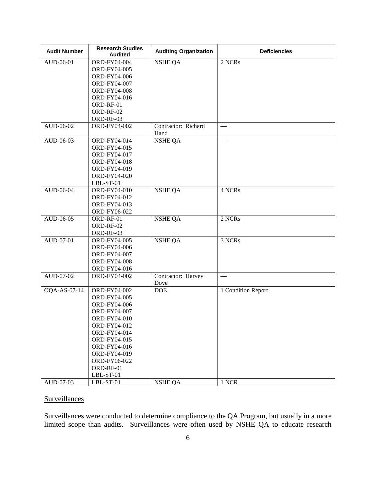| <b>Audit Number</b> | <b>Research Studies</b><br><b>Audited</b> | <b>Auditing Organization</b> | <b>Deficiencies</b> |
|---------------------|-------------------------------------------|------------------------------|---------------------|
| AUD-06-01           | ORD-FY04-004                              | <b>NSHE QA</b>               | 2 NCRs              |
|                     | ORD-FY04-005                              |                              |                     |
|                     | ORD-FY04-006                              |                              |                     |
|                     | ORD-FY04-007                              |                              |                     |
|                     | ORD-FY04-008                              |                              |                     |
|                     | ORD-FY04-016                              |                              |                     |
|                     | ORD-RF-01                                 |                              |                     |
|                     | ORD-RF-02                                 |                              |                     |
|                     | ORD-RF-03                                 |                              |                     |
| AUD-06-02           | ORD-FY04-002                              | Contractor: Richard          | $\hspace{0.05cm}$   |
|                     |                                           | Hand                         |                     |
| AUD-06-03           | ORD-FY04-014                              | <b>NSHE QA</b>               |                     |
|                     | ORD-FY04-015                              |                              |                     |
|                     | ORD-FY04-017                              |                              |                     |
|                     | ORD-FY04-018                              |                              |                     |
|                     | ORD-FY04-019                              |                              |                     |
|                     | ORD-FY04-020                              |                              |                     |
|                     | LBL-ST-01                                 |                              |                     |
| AUD-06-04           | ORD-FY04-010                              | <b>NSHE QA</b>               | 4 NCRs              |
|                     | ORD-FY04-012                              |                              |                     |
|                     | ORD-FY04-013                              |                              |                     |
|                     | ORD-FY06-022                              |                              |                     |
| AUD-06-05           | ORD-RF-01                                 | <b>NSHE QA</b>               | 2 NCRs              |
|                     | ORD-RF-02                                 |                              |                     |
|                     | ORD-RF-03                                 |                              |                     |
| AUD-07-01           | ORD-FY04-005                              | <b>NSHE QA</b>               | 3 NCRs              |
|                     | ORD-FY04-006                              |                              |                     |
|                     | ORD-FY04-007                              |                              |                     |
|                     | ORD-FY04-008                              |                              |                     |
|                     | ORD-FY04-016                              |                              |                     |
| AUD-07-02           | ORD-FY04-002                              | Contractor: Harvey           |                     |
|                     |                                           | Dove                         |                     |
| OQA-AS-07-14        | ORD-FY04-002                              | $DOE$                        | 1 Condition Report  |
|                     | ORD-FY04-005                              |                              |                     |
|                     | ORD-FY04-006                              |                              |                     |
|                     | ORD-FY04-007                              |                              |                     |
|                     | ORD-FY04-010                              |                              |                     |
|                     | ORD-FY04-012                              |                              |                     |
|                     | ORD-FY04-014                              |                              |                     |
|                     | ORD-FY04-015                              |                              |                     |
|                     | ORD-FY04-016                              |                              |                     |
|                     | ORD-FY04-019                              |                              |                     |
|                     | ORD-FY06-022                              |                              |                     |
|                     | ORD-RF-01                                 |                              |                     |
|                     | $LBL-ST-01$                               |                              |                     |
| AUD-07-03           | LBL-ST-01                                 | <b>NSHE QA</b>               | 1 NCR               |

## **Surveillances**

Surveillances were conducted to determine compliance to the QA Program, but usually in a more limited scope than audits. Surveillances were often used by NSHE QA to educate research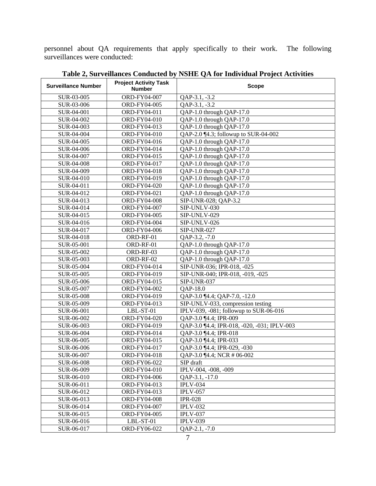personnel about QA requirements that apply specifically to their work. The following surveillances were conducted:

| <b>Surveillance Number</b> | <b>Project Activity Task</b><br><b>Number</b> | <b>Scope</b>                                |  |
|----------------------------|-----------------------------------------------|---------------------------------------------|--|
| SUR-03-005                 | ORD-FY04-007                                  | QAP-3.1, -3.2                               |  |
| SUR-03-006                 | ORD-FY04-005                                  | QAP-3.1, -3.2                               |  |
| SUR-04-001                 | ORD-FY04-011                                  | QAP-1.0 through QAP-17.0                    |  |
| SUR-04-002                 | ORD-FY04-010                                  | QAP-1.0 through QAP-17.0                    |  |
| SUR-04-003                 | ORD-FY04-013                                  | QAP-1.0 through QAP-17.0                    |  |
| SUR-04-004                 | ORD-FY04-010                                  | QAP-2.0 ¶4.3; followup to SUR-04-002        |  |
| SUR-04-005                 | ORD-FY04-016                                  | QAP-1.0 through QAP-17.0                    |  |
| SUR-04-006                 | ORD-FY04-014                                  | QAP-1.0 through QAP-17.0                    |  |
| SUR-04-007                 | ORD-FY04-015                                  | QAP-1.0 through QAP-17.0                    |  |
| SUR-04-008                 | ORD-FY04-017                                  | QAP-1.0 through QAP-17.0                    |  |
| SUR-04-009                 | ORD-FY04-018                                  | QAP-1.0 through QAP-17.0                    |  |
| SUR-04-010                 | ORD-FY04-019                                  | QAP-1.0 through QAP-17.0                    |  |
| SUR-04-011                 | ORD-FY04-020                                  | QAP-1.0 through QAP-17.0                    |  |
| SUR-04-012                 | ORD-FY04-021                                  | QAP-1.0 through QAP-17.0                    |  |
| SUR-04-013                 | ORD-FY04-008                                  | SIP-UNR-028; QAP-3.2                        |  |
| SUR-04-014                 | ORD-FY04-007                                  | SIP-UNLV-030                                |  |
| SUR-04-015                 | ORD-FY04-005                                  | SIP-UNLV-029                                |  |
| SUR-04-016                 | ORD-FY04-004                                  | SIP-UNLV-026                                |  |
| SUR-04-017                 | ORD-FY04-006                                  | <b>SIP-UNR-027</b>                          |  |
| SUR-04-018                 | ORD-RF-01                                     | QAP-3.2, -7.0                               |  |
| SUR-05-001                 | ORD-RF-01                                     | QAP-1.0 through QAP-17.0                    |  |
| SUR-05-002                 | ORD-RF-03                                     | QAP-1.0 through QAP-17.0                    |  |
| SUR-05-003                 | ORD-RF-02                                     | QAP-1.0 through QAP-17.0                    |  |
| SUR-05-004                 | ORD-FY04-014                                  | SIP-UNR-036; IPR-018, -025                  |  |
| SUR-05-005                 | ORD-FY04-019                                  | SIP-UNR-040; IPR-018, -019, -025            |  |
| SUR-05-006                 | ORD-FY04-015                                  | <b>SIP-UNR-037</b>                          |  |
| SUR-05-007                 | ORD-FY04-002                                  | QAP-18.0                                    |  |
| SUR-05-008                 | ORD-FY04-019                                  | QAP-3.0 [4.4; QAP-7.0, -12.0                |  |
| SUR-05-009                 | ORD-FY04-013                                  | SIP-UNLV-033, compression testing           |  |
| SUR-06-001                 | LBL-ST-01                                     | IPLV-039, -081; followup to SUR-06-016      |  |
| SUR-06-002                 | ORD-FY04-020                                  | QAP-3.0 ¶4.4; IPR-009                       |  |
| SUR-06-003                 | ORD-FY04-019                                  | QAP-3.0 [4.4; IPR-018, -020, -031; IPLV-003 |  |
| SUR-06-004                 | ORD-FY04-014                                  | QAP-3.0 [4.4; IPR-018]                      |  |
| SUR-06-005                 | ORD-FY04-015                                  | QAP-3.0 ¶4.4; IPR-033                       |  |
| SUR-06-006                 | ORD-FY04-017                                  | QAP-3.0 ¶4.4; IPR-029, -030                 |  |
| SUR-06-007                 | ORD-FY04-018                                  | QAP-3.0 [4.4; NCR # 06-002                  |  |
| SUR-06-008                 | ORD-FY06-022                                  | SIP draft                                   |  |
| SUR-06-009                 | ORD-FY04-010                                  | IPLV-004, -008, -009                        |  |
| SUR-06-010                 | ORD-FY04-006                                  | QAP-3.1, -17.0                              |  |
| SUR-06-011                 | ORD-FY04-013                                  | <b>IPLV-034</b>                             |  |
| SUR-06-012                 | ORD-FY04-013                                  | <b>IPLV-057</b>                             |  |
| SUR-06-013                 | ORD-FY04-008                                  | <b>IPR-028</b>                              |  |
| SUR-06-014                 | ORD-FY04-007                                  | <b>IPLV-032</b>                             |  |
| SUR-06-015                 | ORD-FY04-005                                  | <b>IPLV-037</b>                             |  |
| SUR-06-016                 | LBL-ST-01                                     | <b>IPLV-039</b>                             |  |
| SUR-06-017                 | ORD-FY06-022                                  | QAP-2.1, -7.0                               |  |

**Table 2, Surveillances Conducted by NSHE QA for Individual Project Activities**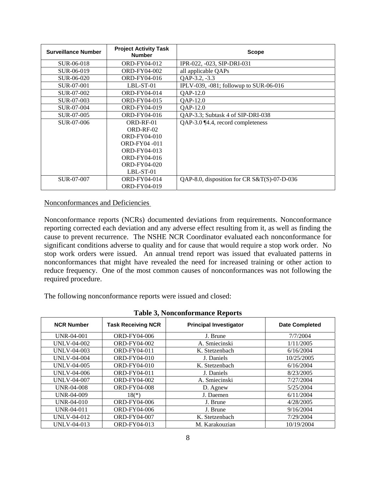| <b>Surveillance Number</b> | <b>Project Activity Task</b><br><b>Number</b> | <b>Scope</b>                                |
|----------------------------|-----------------------------------------------|---------------------------------------------|
| SUR-06-018                 | <b>ORD-FY04-012</b>                           | IPR-022, -023, SIP-DRI-031                  |
| SUR-06-019                 | <b>ORD-FY04-002</b>                           | all applicable QAPs                         |
| SUR-06-020                 | ORD-FY04-016                                  | QAP-3.2, -3.3                               |
| SUR-07-001                 | LBL-ST-01                                     | IPLV-039, $-081$ ; followup to SUR-06-016   |
| SUR-07-002                 | ORD-FY04-014                                  | QAP-12.0                                    |
| SUR-07-003                 | ORD-FY04-015                                  | QAP-12.0                                    |
| SUR-07-004                 | ORD-FY04-019                                  | QAP-12.0                                    |
| SUR-07-005                 | ORD-FY04-016                                  | QAP-3.3; Subtask 4 of SIP-DRI-038           |
| SUR-07-006                 | ORD-RF-01                                     | QAP-3.0 ¶4.4, record completeness           |
|                            | $ORD-RF-02$                                   |                                             |
|                            | ORD-FY04-010                                  |                                             |
|                            | ORD-FY04 -011                                 |                                             |
|                            | ORD-FY04-013                                  |                                             |
|                            | ORD-FY04-016                                  |                                             |
|                            | <b>ORD-FY04-020</b>                           |                                             |
|                            | LBL-ST-01                                     |                                             |
| SUR-07-007                 | ORD-FY04-014                                  | QAP-8.0, disposition for CR S&T(S)-07-D-036 |
|                            | ORD-FY04-019                                  |                                             |

Nonconformances and Deficiencies

Nonconformance reports (NCRs) documented deviations from requirements. Nonconformance reporting corrected each deviation and any adverse effect resulting from it, as well as finding the cause to prevent recurrence. The NSHE NCR Coordinator evaluated each nonconformance for significant conditions adverse to quality and for cause that would require a stop work order. No stop work orders were issued. An annual trend report was issued that evaluated patterns in nonconformances that might have revealed the need for increased training or other action to reduce frequency. One of the most common causes of nonconformances was not following the required procedure.

The following nonconformance reports were issued and closed:

| Table 54 Toncomormance Reports |                           |                               |                       |  |  |
|--------------------------------|---------------------------|-------------------------------|-----------------------|--|--|
| <b>NCR Number</b>              | <b>Task Receiving NCR</b> | <b>Principal Investigator</b> | <b>Date Completed</b> |  |  |
| <b>UNR-04-001</b>              | ORD-FY04-006              | 7/7/2004<br>J. Brune          |                       |  |  |
| UNLV-04-002                    | <b>ORD-FY04-002</b>       | A. Smiecinski                 | 1/11/2005             |  |  |
| UNLV-04-003                    | ORD-FY04-011              | K. Stetzenbach                | 6/16/2004             |  |  |
| <b>UNLV-04-004</b>             | ORD-FY04-010              | J. Daniels                    | 10/25/2005            |  |  |
| UNLV-04-005                    | ORD-FY04-010              | K. Stetzenbach                | 6/16/2004             |  |  |
| UNLV-04-006                    | ORD-FY04-011              | J. Daniels<br>8/23/2005       |                       |  |  |
| <b>UNLV-04-007</b>             | <b>ORD-FY04-002</b>       | 7/27/2004<br>A. Smiecinski    |                       |  |  |
| <b>UNR-04-008</b>              | <b>ORD-FY04-008</b>       | 5/25/2004<br>D. Agnew         |                       |  |  |
| UNR-04-009                     | $18(*)$                   | J. Daemen                     | 6/11/2004             |  |  |
| UNR-04-010                     | ORD-FY04-006              | J. Brune                      | 4/28/2005             |  |  |
| UNR-04-011                     | ORD-FY04-006              | 9/16/2004<br>J. Brune         |                       |  |  |
| UNLV-04-012                    | <b>ORD-FY04-007</b>       | 7/29/2004<br>K. Stetzenbach   |                       |  |  |
| UNLV-04-013                    | ORD-FY04-013              | M. Karakouzian                | 10/19/2004            |  |  |

**Table 3, Nonconformance Reports**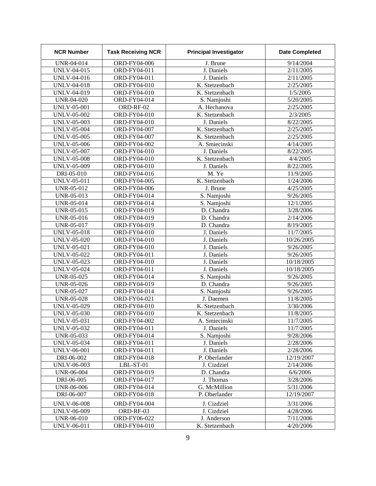| <b>NCR Number</b>  | <b>Task Receiving NCR</b> | <b>Principal Investigator</b> | <b>Date Completed</b> |
|--------------------|---------------------------|-------------------------------|-----------------------|
| UNR-04-014         | ORD-FY04-006              | J. Brune                      | 9/14/2004             |
| <b>UNLV-04-015</b> | ORD-FY04-011              | J. Daniels                    | 2/11/2005             |
| <b>UNLV-04-016</b> | ORD-FY04-011              | J. Daniels                    | 2/11/2005             |
| <b>UNLV-04-018</b> | ORD-FY04-010              | K. Stetzenbach                | 2/25/2005             |
| <b>UNLV-04-019</b> | ORD-FY04-010              | K. Stetzenbach                | 1/5/2005              |
| <b>UNR-04-020</b>  | ORD-FY04-014              | S. Namjoshi                   | 5/20/2005             |
| <b>UNLV-05-001</b> | ORD-RF-02                 | A. Hechanova                  | 2/25/2005             |
| <b>UNLV-05-002</b> | ORD-FY04-010              | K. Stetzenbach                | 2/3/2005              |
| <b>UNLV-05-003</b> | ORD-FY04-010              | J. Daniels                    | 8/22/2005             |
| <b>UNLV-05-004</b> | ORD-FY04-007              | K. Stetzenbach                | 2/25/2005             |
| <b>UNLV-05-005</b> | ORD-FY04-007              | K. Stetzenbach                | 2/25/2005             |
| <b>UNLV-05-006</b> | ORD-FY04-002              | A. Smiecinski                 | 4/14/2005             |
| <b>UNLV-05-007</b> | ORD-FY04-010              | J. Daniels                    | 8/22/2005             |
| <b>UNLV-05-008</b> | ORD-FY04-010              | K. Stetzenbach                | 4/4/2005              |
| <b>UNLV-05-009</b> | ORD-FY04-010              | J. Daniels                    | 8/22/2005             |
| DRI-05-010         | ORD-FY04-016              | M. Ye                         | 11/9/2005             |
| <b>UNLV-05-011</b> | ORD-FY04-005              | K. Stetzenbach                | 1/24/2006             |
| UNR-05-012         | ORD-FY04-006              | J. Brune                      | 4/25/2005             |
| UNR-05-013         | ORD-FY04-014              | S. Namjoshi                   | 9/26/2005             |
| UNR-05-014         | ORD-FY04-014              | S. Namjoshi                   | 12/1/2005             |
| UNR-05-015         | ORD-FY04-019              | D. Chandra                    | 3/28/2006             |
| UNR-05-016         | ORD-FY04-019              | D. Chandra                    | 2/14/2006             |
| UNR-05-017         | ORD-FY04-019              | $\overline{D}$ . Chandra      | 8/19/2005             |
| <b>UNLV-05-018</b> | ORD-FY04-010              | J. Daniels                    | 11/7/2005             |
| <b>UNLV-05-020</b> | ORD-FY04-010              | J. Daniels                    | 10/26/2005            |
| <b>UNLV-05-021</b> | ORD-FY04-010              | J. Daniels                    | 9/26/2005             |
| <b>UNLV-05-022</b> | ORD-FY04-011              | J. Daniels                    | 9/26/2005             |
| UNLV-05-023        | ORD-FY04-010              | J. Daniels                    | 10/18/2005            |
| <b>UNLV-05-024</b> | ORD-FY04-011              | J. Daniels                    | 10/18/2005            |
| UNR-05-025         | ORD-FY04-014              | S. Namjoshi                   | 9/26/2005             |
| UNR-05-026         | ORD-FY04-019              | D. Chandra                    | 9/26/2005             |
| <b>UNR-05-027</b>  | ORD-FY04-014              | S. Namjoshi                   | 9/26/2005             |
| <b>UNR-05-028</b>  | ORD-FY04-021              | J. Daemen                     | 11/8/2005             |
| <b>UNLV-05-029</b> | ORD-FY04-010              | K. Stetzenbach                | 3/30/2006             |
| <b>UNLV-05-030</b> | ORD-FY04-010              | K. Stetzenbach                | 11/8/2005             |
| <b>UNLV-05-031</b> | ORD-FY04-002              | A. Smiecinski                 | 11/7/2005             |
| <b>UNLV-05-032</b> | ORD-FY04-011              | J. Daniels                    | 11/7/2005             |
| UNR-05-033         | ORD-FY04-014              | S. Namjoshi                   | 9/28/2006             |
| UNLV-05-034        | ORD-FY04-011              | J. Daniels                    | 2/28/2006             |
| UNLV-06-001        | ORD-FY04-011              | J. Daniels                    | 2/28/2006             |
| DRI-06-002         | ORD-FY04-018              | P. Oberlander                 | 12/19/2007            |
| <b>UNLV-06-003</b> | LBL-ST-01                 | J. Cizdziel                   | 2/14/2006             |
| UNR-06-004         | ORD-FY04-019              | D. Chandra                    | 6/6/2006              |
| DRI-06-005         | ORD-FY04-017              | J. Thomas                     | 3/28/2006             |
| <b>UNR-06-006</b>  | ORD-FY04-014              | G. McMillion                  | 5/31/2006             |
| DRI-06-007         | ORD-FY04-018              | P. Oberlander                 | 12/19/2007            |
| <b>UNLV-06-008</b> | ORD-FY04-004              | J. Cizdziel                   | 3/31/2006             |
| <b>UNLV-06-009</b> | ORD-RF-03                 | J. Cizdziel                   | 4/28/2006             |
| UNR-06-010         | ORD-FY06-022              | J. Anderson                   | 7/11/2006             |
| <b>UNLV-06-011</b> | ORD-FY04-010              | K. Stetzenbach                | 4/20/2006             |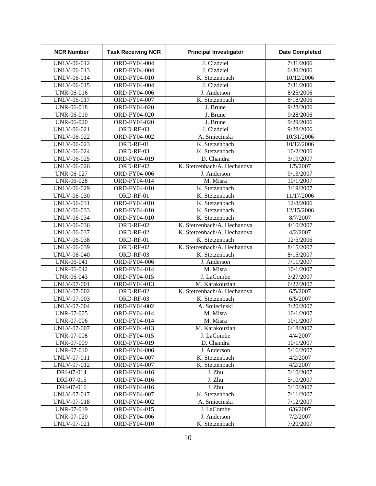| <b>NCR Number</b>  | <b>Task Receiving NCR</b> | <b>Principal Investigator</b> | <b>Date Completed</b> |
|--------------------|---------------------------|-------------------------------|-----------------------|
| UNLV-06-012        | ORD-FY04-004              | J. Cizdziel                   | 7/31/2006             |
| UNLV-06-013        | ORD-FY04-004              | J. Cizdziel                   | 6/30/2006             |
| UNLV-06-014        | ORD-FY04-010              | K. Stetzenbach                | 10/12/2006            |
| UNLV-06-015        | ORD-FY04-004              | J. Cizdziel                   | 7/31/2006             |
| UNR-06-016         | ORD-FY04-006              | J. Anderson                   | 8/25/2006             |
| <b>UNLV-06-017</b> | ORD-FY04-007              | K. Stetzenbach                | 8/18/2006             |
| UNR-06-018         | ORD-FY04-020              | J. Brune                      | 9/28/2006             |
| UNR-06-019         | ORD-FY04-020              | J. Brune                      | 9/28/2006             |
| UNR-06-020         | ORD-FY04-020              | J. Brune                      | 9/29/2006             |
| UNLV-06-021        | ORD-RF-03                 | J. Cizdziel                   | 9/28/2006             |
| UNLV-06-022        | ORD-FY04-002              | A. Smiecinski                 | 10/31/2006            |
| UNLV-06-023        | ORD-RF-01                 | K. Stetzenbach                | 10/12/2006            |
| UNLV-06-024        | ORD-RF-03                 | K. Stetzenbach                | 10/2/2006             |
| <b>UNLV-06-025</b> | ORD-FY04-019              | D. Chandra                    | 3/19/2007             |
| UNLV-06-026        | ORD-RF-02                 | K. Stetzenbach/A. Hechanova   | 1/5/2007              |
| <b>UNR-06-027</b>  | ORD-FY04-006              | J. Anderson                   | 9/13/2007             |
| <b>UNR-06-028</b>  | ORD-FY04-014              | M. Misra                      | 10/1/2007             |
| UNLV-06-029        | ORD-FY04-010              | K. Stetzenbach                | 3/19/2007             |
| <b>UNLV-06-030</b> | ORD-RF-01                 | K. Stetzenbach                | 11/17/2006            |
| <b>UNLV-06-031</b> | ORD-FY04-010              | K. Stetzenbach                | 12/8/2006             |
| UNLV-06-033        | ORD-FY04-010              | K. Stetzenbach                | 12/15/2006            |
| UNLV-06-034        | ORD-FY04-010              | K. Stetzenbach                | 8/7/2007              |
| UNLV-06-036        | ORD-RF-02                 | K. Stetzenbach/A. Hechanova   | 4/10/2007             |
| UNLV-06-037        | ORD-RF-02                 | K. Stetzenbach/A. Hechanova   | 4/2/2007              |
| <b>UNLV-06-038</b> | ORD-RF-01                 | K. Stetzenbach                | 12/5/2006             |
| UNLV-06-039        | ORD-RF-02                 | K. Stetzenbach/A. Hechanova   | 8/15/2007             |
| <b>UNLV-06-040</b> | ORD-RF-03                 | K. Stetzenbach                | 8/15/2007             |
| <b>UNR-06-041</b>  | ORD-FY04-006              | J. Anderson                   | 7/11/2007             |
| UNR-06-042         | ORD-FY04-014              | M. Misra                      | 10/1/2007             |
| UNR-06-043         | ORD-FY04-015              | J. LaCombe                    | 3/27/2007             |
| <b>UNLV-07-001</b> | ORD-FY04-013              | M. Karakouzian                | 6/22/2007             |
| UNLV-07-002        | ORD-RF-02                 | K. Stetzenbach/A. Hechanova   | 6/5/2007              |
| UNLV-07-003        | ORD-RF-03                 | K. Stetzenbach                | 6/5/2007              |
| <b>UNLV-07-004</b> | ORD-FY04-002              | A. Smiecinski                 | 3/20/2007             |
| <b>UNR-07-005</b>  | ORD-FY04-014              | M. Misra                      | 10/1/2007             |
| UNR-07-006         | ORD-FY04-014              | M. Misra                      | 10/1/2007             |
| UNLV-07-007        | ORD-FY04-013              | M. Karakouzian                | 6/18/2007             |
| UNR-07-008         | ORD-FY04-015              | J. LaCombe                    | 4/4/2007              |
| UNR-07-009         | ORD-FY04-019              | D. Chandra                    | 10/1/2007             |
| UNR-07-010         | ORD-FY04-006              | J. Anderson                   | 5/16/2007             |
| UNLV-07-011        | <b>ORD-FY04-007</b>       | K. Stetzenbach                | 4/2/2007              |
| UNLV-07-012        | <b>ORD-FY04-007</b>       | K. Stetzenbach                | 4/2/2007              |
| DRI-07-014         | ORD-FY04-016              | J. Zhu                        | 5/10/2007             |
| DRI-07-015         | ORD-FY04-016              | J. Zhu<br>5/10/2007           |                       |
| DRI-07-016         | ORD-FY04-016              | J. Zhu<br>5/10/2007           |                       |
| UNLV-07-017        | ORD-FY04-007              | K. Stetzenbach<br>7/11/2007   |                       |
| UNLV-07-018        | ORD-FY04-002              | A. Smiecinski<br>7/12/2007    |                       |
| UNR-07-019         | ORD-FY04-015              | J. LaCombe<br>6/6/2007        |                       |
| UNR-07-020         | <b>ORD-FY04-006</b>       | J. Anderson<br>7/2/2007       |                       |
| UNLV-07-021        | ORD-FY04-010              | K. Stetzenbach                | 7/20/2007             |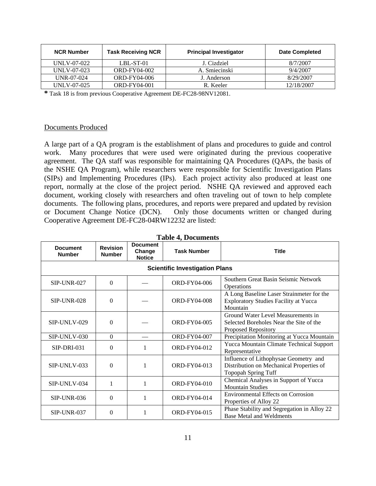| <b>NCR Number</b> | <b>Task Receiving NCR</b> | <b>Principal Investigator</b> | <b>Date Completed</b> |
|-------------------|---------------------------|-------------------------------|-----------------------|
| UNLV-07-022       | $LBL-ST-01$               | J. Cizdziel                   | 8/7/2007              |
| UNLV-07-023       | ORD-FY04-002              | A. Smiecinski                 | 9/4/2007              |
| $UNR-07-024$      | ORD-FY04-006              | J. Anderson                   | 8/29/2007             |
| UNLV-07-025       | ORD-FY04-001              | R. Keeler                     | 12/18/2007            |

**\*** Task 18 is from previous Cooperative Agreement DE-FC28-98NV12081.

#### Documents Produced

A large part of a QA program is the establishment of plans and procedures to guide and control work. Many procedures that were used were originated during the previous cooperative agreement. The QA staff was responsible for maintaining QA Procedures (QAPs, the basis of the NSHE QA Program), while researchers were responsible for Scientific Investigation Plans (SIPs) and Implementing Procedures (IPs). Each project activity also produced at least one report, normally at the close of the project period. NSHE QA reviewed and approved each document, working closely with researchers and often traveling out of town to help complete documents. The following plans, procedures, and reports were prepared and updated by revision or Document Change Notice (DCN). Only those documents written or changed during Cooperative Agreement DE-FC28-04RW12232 are listed:

|                                  | <b>Revision</b>                       | <b>Document</b>         | 1 avit 7, Documents |                                                                                                                 |  |
|----------------------------------|---------------------------------------|-------------------------|---------------------|-----------------------------------------------------------------------------------------------------------------|--|
| <b>Document</b><br><b>Number</b> | <b>Number</b>                         | Change<br><b>Notice</b> | <b>Task Number</b>  | <b>Title</b>                                                                                                    |  |
|                                  | <b>Scientific Investigation Plans</b> |                         |                     |                                                                                                                 |  |
| <b>SIP-UNR-027</b>               | $\Omega$                              |                         | ORD-FY04-006        | Southern Great Basin Seismic Network<br>Operations                                                              |  |
| <b>SIP-UNR-028</b>               | $\Omega$                              |                         | <b>ORD-FY04-008</b> | A Long Baseline Laser Strainmeter for the<br><b>Exploratory Studies Facility at Yucca</b><br>Mountain           |  |
| SIP-UNLV-029                     | $\Omega$                              |                         | <b>ORD-FY04-005</b> | Ground Water Level Measurements in<br>Selected Boreholes Near the Site of the<br>Proposed Repository            |  |
| $SIP-UNLV-030$                   | $\Omega$                              |                         | ORD-FY04-007        | Precipitation Monitoring at Yucca Mountain                                                                      |  |
| $SIP-DRI-031$                    | $\Omega$                              |                         | ORD-FY04-012        | Yucca Mountain Climate Technical Support<br>Representative                                                      |  |
| SIP-UNLV-033                     | $\Omega$                              | 1                       | ORD-FY04-013        | Influence of Lithophysae Geometry and<br>Distribution on Mechanical Properties of<br><b>Topopah Spring Tuff</b> |  |
| SIP-UNLV-034                     | $\mathbf{1}$                          | 1                       | ORD-FY04-010        | Chemical Analyses in Support of Yucca<br><b>Mountain Studies</b>                                                |  |
| $SIP$ -UNR-036                   | $\Omega$                              | 1                       | ORD-FY04-014        | <b>Environmental Effects on Corrosion</b><br>Properties of Alloy 22                                             |  |
| <b>SIP-UNR-037</b>               | $\Omega$                              |                         | ORD-FY04-015        | Phase Stability and Segregation in Alloy 22<br><b>Base Metal and Weldments</b>                                  |  |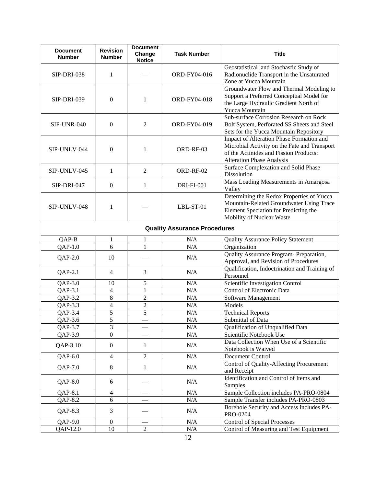| <b>Document</b><br><b>Number</b> | <b>Revision</b><br><b>Number</b> | <b>Document</b><br>Change<br><b>Notice</b> | <b>Task Number</b>                  | <b>Title</b>                                                                                                                                                           |
|----------------------------------|----------------------------------|--------------------------------------------|-------------------------------------|------------------------------------------------------------------------------------------------------------------------------------------------------------------------|
| SIP-DRI-038                      | 1                                |                                            | ORD-FY04-016                        | Geostatistical and Stochastic Study of<br>Radionuclide Transport in the Unsaturated<br>Zone at Yucca Mountain                                                          |
| <b>SIP-DRI-039</b>               | $\boldsymbol{0}$                 | 1                                          | ORD-FY04-018                        | Groundwater Flow and Thermal Modeling to<br>Support a Preferred Conceptual Model for<br>the Large Hydraulic Gradient North of<br>Yucca Mountain                        |
| <b>SIP-UNR-040</b>               | $\overline{0}$                   | $\mathfrak{2}$                             | ORD-FY04-019                        | Sub-surface Corrosion Research on Rock<br>Bolt System, Perforated SS Sheets and Steel<br>Sets for the Yucca Mountain Repository                                        |
| SIP-UNLV-044                     | $\theta$                         | 1                                          | ORD-RF-03                           | Impact of Alteration Phase Formation and<br>Microbial Activity on the Fate and Transport<br>of the Actinides and Fission Products:<br><b>Alteration Phase Analysis</b> |
| SIP-UNLV-045                     | $\mathbf{1}$                     | $\overline{2}$                             | ORD-RF-02                           | Surface Complexation and Solid Phase<br>Dissolution                                                                                                                    |
| SIP-DRI-047                      | $\boldsymbol{0}$                 | 1                                          | <b>DRI-FI-001</b>                   | Mass Loading Measurements in Amargosa<br>Valley                                                                                                                        |
| SIP-UNLV-048                     | 1                                |                                            | LBL-ST-01                           | Determining the Redox Properties of Yucca<br>Mountain-Related Groundwater Using Trace<br>Element Speciation for Predicting the<br>Mobility of Nuclear Waste            |
|                                  |                                  |                                            | <b>Quality Assurance Procedures</b> |                                                                                                                                                                        |
| QAP-B                            | 1                                | 1                                          | N/A                                 | <b>Quality Assurance Policy Statement</b>                                                                                                                              |
| $QAP-1.0$                        | 6                                | $\mathbf{1}$                               | N/A                                 | Organization                                                                                                                                                           |
| $QAP-2.0$                        | 10                               |                                            | N/A                                 | Quality Assurance Program- Preparation,<br>Approval, and Revision of Procedures                                                                                        |
| $QAP-2.1$                        | $\overline{4}$                   | 3                                          | N/A                                 | Qualification, Indoctrination and Training of<br>Personnel                                                                                                             |
| QAP-3.0                          | 10                               | 5                                          | N/A                                 | Scientific Investigation Control                                                                                                                                       |
| $QAP-3.1$                        | $\overline{4}$                   | 1                                          | N/A                                 | Control of Electronic Data                                                                                                                                             |
| $QAP-3.2$                        | 8                                | $\overline{2}$                             | N/A                                 | Software Management                                                                                                                                                    |
| QAP-3.3                          | 4                                | $\overline{2}$                             | N/A                                 | Models                                                                                                                                                                 |
| $QAP-3.4$                        | 5                                | 5                                          | N/A                                 | <b>Technical Reports</b>                                                                                                                                               |
| QAP-3.6                          | 5                                |                                            | $\rm N/A$                           | Submittal of Data                                                                                                                                                      |
| $QAP-3.7$                        | 3                                |                                            | N/A                                 | Qualification of Unqualified Data                                                                                                                                      |
| QAP-3.9                          | $\boldsymbol{0}$                 |                                            | N/A                                 | Scientific Notebook Use                                                                                                                                                |
| QAP-3.10                         | $\boldsymbol{0}$                 | $\mathbf{1}$                               | N/A                                 | Data Collection When Use of a Scientific<br>Notebook is Waived                                                                                                         |
| $QAP-6.0$                        | $\overline{4}$                   | $\overline{2}$                             | N/A                                 | Document Control                                                                                                                                                       |
| QAP-7.0                          | 8                                | $\mathbf{1}$                               | N/A                                 | Control of Quality-Affecting Procurement<br>and Receipt                                                                                                                |
| QAP-8.0                          | 6                                |                                            | N/A                                 | Identification and Control of Items and<br>Samples                                                                                                                     |
| QAP-8.1                          | $\overline{4}$                   |                                            | N/A                                 | Sample Collection includes PA-PRO-0804                                                                                                                                 |
| QAP-8.2                          | $\sqrt{6}$                       |                                            | $\rm N/A$                           | Sample Transfer includes PA-PRO-0803                                                                                                                                   |
| QAP-8.3                          | 3                                |                                            | N/A                                 | Borehole Security and Access includes PA-<br>PRO-0204                                                                                                                  |
| $QAP-9.0$                        | $\boldsymbol{0}$                 |                                            | N/A                                 | <b>Control of Special Processes</b>                                                                                                                                    |
| QAP-12.0                         | $10\,$                           | $\overline{c}$                             | N/A                                 | Control of Measuring and Test Equipment                                                                                                                                |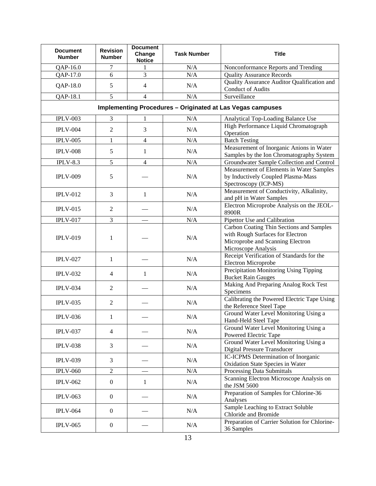| <b>Document</b><br><b>Number</b>                                  | <b>Revision</b><br><b>Number</b> | <b>Document</b><br>Change<br><b>Notice</b> | <b>Task Number</b> | <b>Title</b>                                                                                                                            |  |
|-------------------------------------------------------------------|----------------------------------|--------------------------------------------|--------------------|-----------------------------------------------------------------------------------------------------------------------------------------|--|
| QAP-16.0                                                          | 7                                |                                            | N/A                | Nonconformance Reports and Trending                                                                                                     |  |
| QAP-17.0                                                          | 6                                | 3                                          | N/A                | <b>Quality Assurance Records</b>                                                                                                        |  |
| QAP-18.0                                                          | 5                                | $\overline{4}$                             | N/A                | Quality Assurance Auditor Qualification and<br><b>Conduct of Audits</b>                                                                 |  |
| QAP-18.1                                                          | 5                                | 4                                          | N/A                | Surveillance                                                                                                                            |  |
| <b>Implementing Procedures - Originated at Las Vegas campuses</b> |                                  |                                            |                    |                                                                                                                                         |  |
| <b>IPLV-003</b>                                                   | 3                                | 1                                          | N/A                | Analytical Top-Loading Balance Use                                                                                                      |  |
| <b>IPLV-004</b>                                                   | 2                                | 3                                          | N/A                | High Performance Liquid Chromatograph<br>Operation                                                                                      |  |
| <b>IPLV-005</b>                                                   | 1                                | $\overline{4}$                             | N/A                | <b>Batch Testing</b>                                                                                                                    |  |
|                                                                   |                                  |                                            |                    | Measurement of Inorganic Anions in Water                                                                                                |  |
| <b>IPLV-008</b>                                                   | 5                                | 1                                          | N/A                | Samples by the Ion Chromatography System                                                                                                |  |
| $IPLV-8.3$                                                        | 5                                | $\overline{4}$                             | N/A                | Groundwater Sample Collection and Control                                                                                               |  |
| <b>IPLV-009</b>                                                   | 5                                |                                            | N/A                | Measurement of Elements in Water Samples<br>by Inductively Coupled Plasma-Mass<br>Spectroscopy (ICP-MS)                                 |  |
| <b>IPLV-012</b>                                                   | 3                                | 1                                          | N/A                | Measurement of Conductivity, Alkalinity,<br>and pH in Water Samples                                                                     |  |
| <b>IPLV-015</b>                                                   | $\overline{2}$                   |                                            | N/A                | Electron Microprobe Analysis on the JEOL-<br>8900R                                                                                      |  |
| <b>IPLV-017</b>                                                   | 3                                |                                            | N/A                | Pipettor Use and Calibration                                                                                                            |  |
| <b>IPLV-019</b>                                                   | 1                                |                                            | N/A                | Carbon Coating Thin Sections and Samples<br>with Rough Surfaces for Electron<br>Microprobe and Scanning Electron<br>Microscope Analysis |  |
| <b>IPLV-027</b>                                                   | 1                                |                                            | N/A                | Receipt Verification of Standards for the<br>Electron Microprobe                                                                        |  |
| <b>IPLV-032</b>                                                   | $\overline{4}$                   | 1                                          | N/A                | Precipitation Monitoring Using Tipping<br><b>Bucket Rain Gauges</b>                                                                     |  |
| <b>IPLV-034</b>                                                   | $\overline{2}$                   |                                            | N/A                | Making And Preparing Analog Rock Test<br>Specimens                                                                                      |  |
| <b>IPLV-035</b>                                                   | $\mathfrak{2}$                   |                                            | N/A                | Calibrating the Powered Electric Tape Using<br>the Reference Steel Tape                                                                 |  |
| <b>IPLV-036</b>                                                   | 1                                |                                            | N/A                | Ground Water Level Monitoring Using a<br>Hand-Held Steel Tape                                                                           |  |
| <b>IPLV-037</b>                                                   | $\overline{4}$                   |                                            | N/A                | Ground Water Level Monitoring Using a<br>Powered Electric Tape                                                                          |  |
| <b>IPLV-038</b>                                                   | 3                                |                                            | N/A                | Ground Water Level Monitoring Using a<br><b>Digital Pressure Transducer</b>                                                             |  |
| <b>IPLV-039</b>                                                   | 3                                |                                            | N/A                | IC-ICPMS Determination of Inorganic<br>Oxidation State Species in Water                                                                 |  |
| <b>IPLV-060</b>                                                   | $\overline{2}$                   |                                            | N/A                | Processing Data Submittals                                                                                                              |  |
| <b>IPLV-062</b>                                                   | $\boldsymbol{0}$                 | $\mathbf{1}$                               | N/A                | Scanning Electron Microscope Analysis on<br>the JSM 5600                                                                                |  |
| <b>IPLV-063</b>                                                   | $\boldsymbol{0}$                 |                                            | N/A                | Preparation of Samples for Chlorine-36<br>Analyses                                                                                      |  |
| <b>IPLV-064</b>                                                   | $\boldsymbol{0}$                 |                                            | N/A                | Sample Leaching to Extract Soluble<br>Chloride and Bromide                                                                              |  |
| <b>IPLV-065</b>                                                   | $\mathbf{0}$                     |                                            | N/A                | Preparation of Carrier Solution for Chlorine-<br>36 Samples                                                                             |  |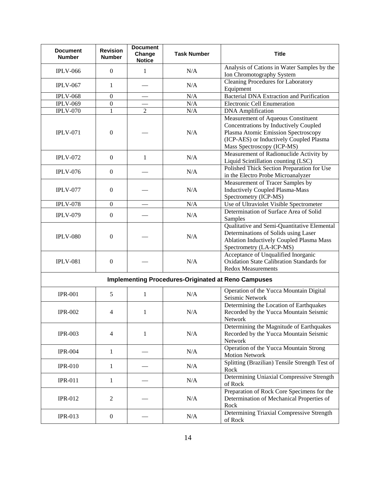| <b>Document</b><br><b>Number</b>                           | <b>Revision</b><br><b>Number</b> | <b>Document</b><br>Change<br><b>Notice</b> | <b>Task Number</b> | <b>Title</b>                                                                                                                                                                                |
|------------------------------------------------------------|----------------------------------|--------------------------------------------|--------------------|---------------------------------------------------------------------------------------------------------------------------------------------------------------------------------------------|
| <b>IPLV-066</b>                                            | $\overline{0}$                   | 1                                          | N/A                | Analysis of Cations in Water Samples by the<br>Ion Chromotography System                                                                                                                    |
| <b>IPLV-067</b>                                            | 1                                |                                            | N/A                | <b>Cleaning Procedures for Laboratory</b><br>Equipment                                                                                                                                      |
| <b>IPLV-068</b>                                            | $\boldsymbol{0}$                 |                                            | N/A                | <b>Bacterial DNA Extraction and Purification</b>                                                                                                                                            |
| <b>IPLV-069</b>                                            | $\boldsymbol{0}$                 |                                            | N/A                | <b>Electronic Cell Enumeration</b>                                                                                                                                                          |
| <b>IPLV-070</b>                                            | $\mathbf{1}$                     | $\overline{2}$                             | N/A                | <b>DNA</b> Amplification                                                                                                                                                                    |
| <b>IPLV-071</b>                                            | $\overline{0}$                   |                                            | N/A                | Measurement of Aqueous Constituent<br>Concentrations by Inductively Coupled<br>Plasma Atomic Emission Spectroscopy<br>(ICP-AES) or Inductively Coupled Plasma<br>Mass Spectroscopy (ICP-MS) |
| <b>IPLV-072</b>                                            | $\boldsymbol{0}$                 | $\mathbf{1}$                               | N/A                | Measurement of Radionuclide Activity by<br>Liquid Scintillation counting (LSC)                                                                                                              |
| <b>IPLV-076</b>                                            | $\boldsymbol{0}$                 |                                            | N/A                | Polished Thick Section Preparation for Use<br>in the Electro Probe Microanalyzer                                                                                                            |
| <b>IPLV-077</b>                                            | $\overline{0}$                   |                                            | N/A                | Measurement of Tracer Samples by<br><b>Inductively Coupled Plasma-Mass</b><br>Spectrometry (ICP-MS)                                                                                         |
| <b>IPLV-078</b>                                            | $\boldsymbol{0}$                 |                                            | N/A                | Use of Ultraviolet Visible Spectrometer                                                                                                                                                     |
| <b>IPLV-079</b>                                            | $\boldsymbol{0}$                 |                                            | N/A                | Determination of Surface Area of Solid<br>Samples                                                                                                                                           |
| <b>IPLV-080</b>                                            | $\theta$                         |                                            | N/A                | Qualitative and Semi-Quantitative Elemental<br>Determinations of Solids using Laser<br>Ablation Inductively Coupled Plasma Mass<br>Spectrometry (LA-ICP-MS)                                 |
| <b>IPLV-081</b>                                            | $\overline{0}$                   |                                            | N/A                | Acceptance of Unqualified Inorganic<br><b>Oxidation State Calibration Standards for</b><br><b>Redox Measurements</b>                                                                        |
| <b>Implementing Procedures-Originated at Reno Campuses</b> |                                  |                                            |                    |                                                                                                                                                                                             |
| <b>IPR-001</b>                                             | 5                                | 1                                          | N/A                | Operation of the Yucca Mountain Digital<br>Seismic Network                                                                                                                                  |
| <b>IPR-002</b>                                             | 4                                | 1                                          | N/A                | Determining the Location of Earthquakes<br>Recorded by the Yucca Mountain Seismic<br>Network                                                                                                |
| <b>IPR-003</b>                                             | 4                                | $\mathbf{1}$                               | N/A                | Determining the Magnitude of Earthquakes<br>Recorded by the Yucca Mountain Seismic<br>Network                                                                                               |
| <b>IPR-004</b>                                             | $\mathbf{1}$                     |                                            | N/A                | Operation of the Yucca Mountain Strong<br><b>Motion Network</b>                                                                                                                             |
| <b>IPR-010</b>                                             | 1                                |                                            | N/A                | Splitting (Brazilian) Tensile Strength Test of<br>Rock                                                                                                                                      |
| <b>IPR-011</b>                                             | 1                                |                                            | N/A                | Determining Uniaxial Compressive Strength<br>of Rock                                                                                                                                        |
| <b>IPR-012</b>                                             | 2                                |                                            | N/A                | Preparation of Rock Core Specimens for the<br>Determination of Mechanical Properties of<br>Rock                                                                                             |
| <b>IPR-013</b>                                             | $\boldsymbol{0}$                 |                                            | N/A                | Determining Triaxial Compressive Strength<br>of Rock                                                                                                                                        |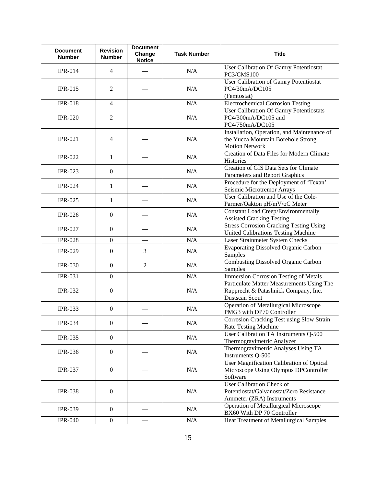| <b>Document</b><br><b>Number</b> | <b>Revision</b><br><b>Number</b> | <b>Document</b><br>Change<br><b>Notice</b> | <b>Task Number</b> | <b>Title</b>                                                                                               |
|----------------------------------|----------------------------------|--------------------------------------------|--------------------|------------------------------------------------------------------------------------------------------------|
| <b>IPR-014</b>                   | $\overline{4}$                   |                                            | N/A                | User Calibration Of Gamry Potentiostat<br>PC3/CMS100                                                       |
| <b>IPR-015</b>                   | 2                                |                                            | N/A                | User Calibration of Gamry Potentiostat<br>PC4/30mA/DC105<br>(Femtostat)                                    |
| <b>IPR-018</b>                   | $\overline{4}$                   |                                            | N/A                | <b>Electrochemical Corrosion Testing</b>                                                                   |
| <b>IPR-020</b>                   | 2                                |                                            | N/A                | <b>User Calibration Of Gamry Potentiostats</b><br>PC4/300mA/DC105 and<br>PC4/750mA/DC105                   |
| <b>IPR-021</b>                   | $\overline{4}$                   |                                            | N/A                | Installation, Operation, and Maintenance of<br>the Yucca Mountain Borehole Strong<br><b>Motion Network</b> |
| <b>IPR-022</b>                   | 1                                |                                            | N/A                | Creation of Data Files for Modern Climate<br>Histories                                                     |
| <b>IPR-023</b>                   | $\boldsymbol{0}$                 |                                            | N/A                | Creation of GIS Data Sets for Climate<br>Parameters and Report Graphics                                    |
| <b>IPR-024</b>                   | 1                                |                                            | N/A                | Procedure for the Deployment of 'Texan'<br>Seismic Microtremor Arrays                                      |
| <b>IPR-025</b>                   | 1                                |                                            | N/A                | User Calibration and Use of the Cole-<br>Parmer/Oakton pH/mV/oC Meter                                      |
| <b>IPR-026</b>                   | $\overline{0}$                   |                                            | N/A                | <b>Constant Load Creep/Environmentally</b><br><b>Assisted Cracking Testing</b>                             |
| <b>IPR-027</b>                   | $\overline{0}$                   |                                            | N/A                | <b>Stress Corrosion Cracking Testing Using</b><br><b>United Calibrations Testing Machine</b>               |
| <b>IPR-028</b>                   | $\boldsymbol{0}$                 |                                            | N/A                | Laser Strainmeter System Checks                                                                            |
| <b>IPR-029</b>                   | $\boldsymbol{0}$                 | 3                                          | N/A                | <b>Evaporating Dissolved Organic Carbon</b><br>Samples                                                     |
| <b>IPR-030</b>                   | $\boldsymbol{0}$                 | $\overline{2}$                             | N/A                | <b>Combusting Dissolved Organic Carbon</b><br>Samples                                                      |
| <b>IPR-031</b>                   | $\overline{0}$                   |                                            | N/A                | <b>Immersion Corrosion Testing of Metals</b>                                                               |
| <b>IPR-032</b>                   | $\overline{0}$                   |                                            | N/A                | Particulate Matter Measurements Using The<br>Rupprecht & Patashnick Company, Inc.<br>Dustscan Scout        |
| <b>IPR-033</b>                   | $\boldsymbol{0}$                 |                                            | N/A                | Operation of Metallurgical Microscope<br>PMG3 with DP70 Controller                                         |
| <b>IPR-034</b>                   | $\boldsymbol{0}$                 |                                            | N/A                | Corrosion Cracking Test using Slow Strain<br>Rate Testing Machine                                          |
| <b>IPR-035</b>                   | $\overline{0}$                   |                                            | N/A                | User Calibration TA Instruments Q-500<br>Thermogravimetric Analyzer                                        |
| <b>IPR-036</b>                   | $\overline{0}$                   |                                            | N/A                | Thermogravimetric Analyses Using TA<br>Instruments Q-500                                                   |
| <b>IPR-037</b>                   | $\overline{0}$                   |                                            | N/A                | User Magnification Calibration of Optical<br>Microscope Using Olympus DPController<br>Software             |
| <b>IPR-038</b>                   | $\overline{0}$                   |                                            | N/A                | User Calibration Check of<br>Potentiostat/Galvanostat/Zero Resistance<br>Ammeter (ZRA) Instruments         |
| <b>IPR-039</b>                   | $\boldsymbol{0}$                 |                                            | N/A                | Operation of Metallurgical Microscope<br>BX60 With DP 70 Controller                                        |
| <b>IPR-040</b>                   | $\boldsymbol{0}$                 |                                            | $\rm N/A$          | Heat Treatment of Metallurgical Samples                                                                    |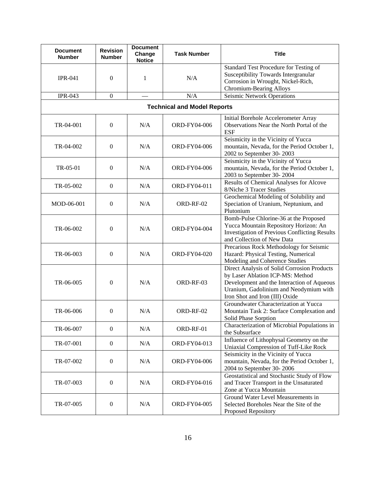| <b>Document</b><br><b>Number</b> | <b>Revision</b><br><b>Number</b>   | <b>Document</b><br>Change<br><b>Notice</b> | <b>Task Number</b> | <b>Title</b>                                                                                                                                                                                              |  |  |
|----------------------------------|------------------------------------|--------------------------------------------|--------------------|-----------------------------------------------------------------------------------------------------------------------------------------------------------------------------------------------------------|--|--|
| <b>IPR-041</b>                   | $\boldsymbol{0}$                   | $\mathbf{1}$                               | N/A                | Standard Test Procedure for Testing of<br>Susceptibility Towards Intergranular<br>Corrosion in Wrought, Nickel-Rich,<br>Chromium-Bearing Alloys                                                           |  |  |
| <b>IPR-043</b>                   | $\boldsymbol{0}$                   | $\overbrace{\phantom{123221111}}$          | N/A                | Seismic Network Operations                                                                                                                                                                                |  |  |
|                                  | <b>Technical and Model Reports</b> |                                            |                    |                                                                                                                                                                                                           |  |  |
| TR-04-001                        | $\boldsymbol{0}$                   | N/A                                        | ORD-FY04-006       | Initial Borehole Accelerometer Array<br>Observations Near the North Portal of the<br><b>ESF</b>                                                                                                           |  |  |
| TR-04-002                        | $\boldsymbol{0}$                   | N/A                                        | ORD-FY04-006       | Seismicity in the Vicinity of Yucca<br>mountain, Nevada, for the Period October 1,<br>2002 to September 30-2003                                                                                           |  |  |
| TR-05-01                         | $\boldsymbol{0}$                   | N/A                                        | ORD-FY04-006       | Seismicity in the Vicinity of Yucca<br>mountain, Nevada, for the Period October 1,<br>2003 to September 30-2004                                                                                           |  |  |
| TR-05-002                        | $\boldsymbol{0}$                   | N/A                                        | ORD-FY04-011       | Results of Chemical Analyses for Alcove<br>8/Niche 3 Tracer Studies                                                                                                                                       |  |  |
| MOD-06-001                       | $\boldsymbol{0}$                   | N/A                                        | ORD-RF-02          | Geochemical Modeling of Solubility and<br>Speciation of Uranium, Neptunium, and<br>Plutonium                                                                                                              |  |  |
| TR-06-002                        | $\boldsymbol{0}$                   | N/A                                        | ORD-FY04-004       | Bomb-Pulse Chlorine-36 at the Proposed<br>Yucca Mountain Repository Horizon: An<br><b>Investigation of Previous Conflicting Results</b><br>and Collection of New Data                                     |  |  |
| TR-06-003                        | $\theta$                           | N/A                                        | ORD-FY04-020       | Precarious Rock Methodology for Seismic<br>Hazard: Physical Testing, Numerical<br>Modeling and Coherence Studies                                                                                          |  |  |
| TR-06-005                        | $\boldsymbol{0}$                   | N/A                                        | ORD-RF-03          | Direct Analysis of Solid Corrosion Products<br>by Laser Ablation ICP-MS: Method<br>Development and the Interaction of Aqueous<br>Uranium, Gadolinium and Neodymium with<br>Iron Shot and Iron (III) Oxide |  |  |
| TR-06-006                        | $\theta$                           | N/A                                        | ORD-RF-02          | Groundwater Characterization at Yucca<br>Mountain Task 2: Surface Complexation and<br>Solid Phase Sorption                                                                                                |  |  |
| TR-06-007                        | $\boldsymbol{0}$                   | N/A                                        | ORD-RF-01          | Characterization of Microbial Populations in<br>the Subsurface                                                                                                                                            |  |  |
| TR-07-001                        | $\boldsymbol{0}$                   | N/A                                        | ORD-FY04-013       | Influence of Lithophysal Geometry on the<br>Uniaxial Compression of Tuff-Like Rock                                                                                                                        |  |  |
| TR-07-002                        | $\boldsymbol{0}$                   | N/A                                        | ORD-FY04-006       | Seismicity in the Vicinity of Yucca<br>mountain, Nevada, for the Period October 1,<br>2004 to September 30-2006                                                                                           |  |  |
| TR-07-003                        | $\theta$                           | N/A                                        | ORD-FY04-016       | Geostatistical and Stochastic Study of Flow<br>and Tracer Transport in the Unsaturated<br>Zone at Yucca Mountain                                                                                          |  |  |
| TR-07-005                        | $\boldsymbol{0}$                   | N/A                                        | ORD-FY04-005       | Ground Water Level Measurements in<br>Selected Boreholes Near the Site of the<br>Proposed Repository                                                                                                      |  |  |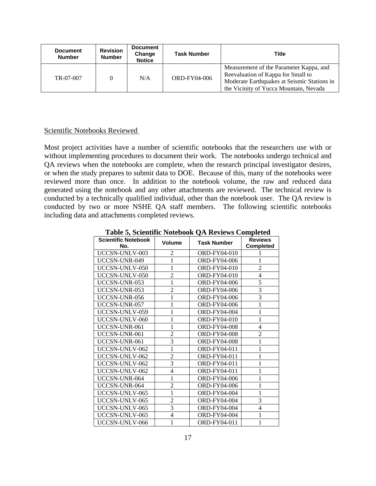| <b>Document</b><br><b>Number</b> | <b>Revision</b><br><b>Number</b> | <b>Document</b><br>Change<br><b>Notice</b> | <b>Task Number</b>  | Title                                                                                                                                                                  |
|----------------------------------|----------------------------------|--------------------------------------------|---------------------|------------------------------------------------------------------------------------------------------------------------------------------------------------------------|
| TR-07-007                        |                                  | N/A                                        | <b>ORD-FY04-006</b> | Measurement of the Parameter Kappa, and<br>Reevaluation of Kappa for Small to<br>Moderate Earthquakes at Seismic Stations in<br>the Vicinity of Yucca Mountain, Nevada |

## Scientific Notebooks Reviewed

Most project activities have a number of scientific notebooks that the researchers use with or without implementing procedures to document their work. The notebooks undergo technical and QA reviews when the notebooks are complete, when the research principal investigator desires, or when the study prepares to submit data to DOE. Because of this, many of the notebooks were reviewed more than once. In addition to the notebook volume, the raw and reduced data generated using the notebook and any other attachments are reviewed. The technical review is conducted by a technically qualified individual, other than the notebook user. The QA review is conducted by two or more NSHE QA staff members. The following scientific notebooks including data and attachments completed reviews.

| <b>Scientific Notebook</b> | <b>Volume</b>  | <b>Task Number</b>  | <b>Reviews</b>   |
|----------------------------|----------------|---------------------|------------------|
| No.                        |                |                     | <b>Completed</b> |
| UCCSN-UNLV-003             | 2              | ORD-FY04-010        |                  |
| UCCSN-UNR-049              | 1              | ORD-FY04-006        | 1                |
| UCCSN-UNLV-050             | 1              | ORD-FY04-010        | $\mathbf{2}$     |
| UCCSN-UNLV-050             | $\overline{2}$ | ORD-FY04-010        | $\overline{4}$   |
| UCCSN-UNR-053              | 1              | <b>ORD-FY04-006</b> | 5                |
| UCCSN-UNR-053              | $\overline{c}$ | <b>ORD-FY04-006</b> | 3                |
| UCCSN-UNR-056              | 1              | ORD-FY04-006        | 3                |
| UCCSN-UNR-057              | 1              | <b>ORD-FY04-006</b> | $\mathbf{1}$     |
| UCCSN-UNLV-059             | 1              | ORD-FY04-004        | $\mathbf{1}$     |
| UCCSN-UNLV-060             | 1              | ORD-FY04-010        | $\mathbf{1}$     |
| UCCSN-UNR-061              | 1              | <b>ORD-FY04-008</b> | 4                |
| UCCSN-UNR-061              | $\overline{c}$ | ORD-FY04-008        | $\overline{2}$   |
| UCCSN-UNR-061              | 3              | ORD-FY04-008        | $\mathbf{1}$     |
| UCCSN-UNLV-062             | 1              | ORD-FY04-011        | 1                |
| UCCSN-UNLV-062             | $\overline{2}$ | ORD-FY04-011        | $\mathbf{1}$     |
| UCCSN-UNLV-062             | 3              | ORD-FY04-011        | 1                |
| UCCSN-UNLV-062             | 4              | ORD-FY04-011        | 1                |
| UCCSN-UNR-064              | 1              | <b>ORD-FY04-006</b> | 1                |
| UCCSN-UNR-064              | $\overline{2}$ | <b>ORD-FY04-006</b> | 1                |
| UCCSN-UNLV-065             | 1              | <b>ORD-FY04-004</b> | $\mathbf{1}$     |
| UCCSN-UNLV-065             | $\overline{c}$ | ORD-FY04-004        | 3                |
| UCCSN-UNLV-065             | 3              | <b>ORD-FY04-004</b> | $\overline{4}$   |
| UCCSN-UNLV-065             | $\overline{4}$ | ORD-FY04-004        | 1                |
| UCCSN-UNLV-066             | 1              | ORD-FY04-011        | 1                |

**Table 5, Scientific Notebook QA Reviews Completed**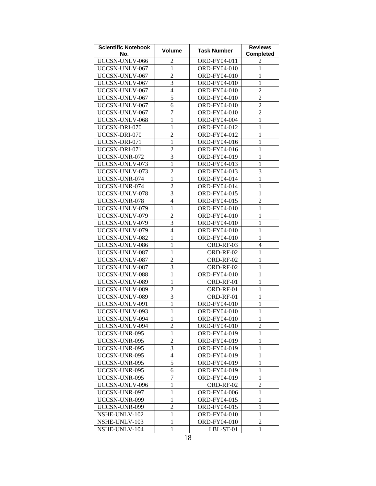| <b>Scientific Notebook</b><br>No. | <b>Volume</b>            | <b>Task Number</b> | <b>Reviews</b><br><b>Completed</b> |
|-----------------------------------|--------------------------|--------------------|------------------------------------|
| UCCSN-UNLV-066                    | $\overline{2}$           | ORD-FY04-011       | 2                                  |
| UCCSN-UNLV-067                    | $\mathbf{1}$             | ORD-FY04-010       | $\mathbf{1}$                       |
| UCCSN-UNLV-067                    | $\overline{2}$           | ORD-FY04-010       | $\mathbf{1}$                       |
| UCCSN-UNLV-067                    | 3                        | ORD-FY04-010       | $\mathbf{1}$                       |
| UCCSN-UNLV-067                    | 4                        | ORD-FY04-010       | $\overline{2}$                     |
| UCCSN-UNLV-067                    | 5                        | ORD-FY04-010       | $\overline{2}$                     |
| UCCSN-UNLV-067                    | 6                        | ORD-FY04-010       | $\overline{2}$                     |
| UCCSN-UNLV-067                    | 7                        | ORD-FY04-010       | $\overline{2}$                     |
| UCCSN-UNLV-068                    | $\mathbf{1}$             | ORD-FY04-004       | $\mathbf{1}$                       |
| UCCSN-DRI-070                     | $\mathbf{1}$             | ORD-FY04-012       | $\mathbf{1}$                       |
| UCCSN-DRI-070                     | $\overline{c}$           | ORD-FY04-012       | $\mathbf{1}$                       |
| UCCSN-DRI-071                     | $\mathbf{1}$             | ORD-FY04-016       | $\mathbf{1}$                       |
| UCCSN-DRI-071                     | $\overline{c}$           | ORD-FY04-016       | $\mathbf{1}$                       |
| UCCSN-UNR-072                     | 3                        | ORD-FY04-019       | $\mathbf{1}$                       |
| UCCSN-UNLV-073                    | $\mathbf{1}$             | ORD-FY04-013       | $\mathbf{1}$                       |
| UCCSN-UNLV-073                    | $\overline{c}$           | ORD-FY04-013       | 3                                  |
| UCCSN-UNR-074                     | $\mathbf{1}$             | ORD-FY04-014       | $\mathbf{1}$                       |
| UCCSN-UNR-074                     | $\overline{c}$           | ORD-FY04-014       | $\mathbf{1}$                       |
| UCCSN-UNLV-078                    | 3                        | ORD-FY04-015       | $\mathbf{1}$                       |
| UCCSN-UNR-078                     | 4                        | ORD-FY04-015       | $\overline{2}$                     |
| UCCSN-UNLV-079                    | $\mathbf{1}$             | ORD-FY04-010       | $\mathbf{1}$                       |
| UCCSN-UNLV-079                    | $\overline{c}$           | ORD-FY04-010       | $\mathbf{1}$                       |
| UCCSN-UNLV-079                    | 3                        | ORD-FY04-010       | $\mathbf{1}$                       |
| UCCSN-UNLV-079                    | 4                        | ORD-FY04-010       | $\mathbf{1}$                       |
| UCCSN-UNLV-082                    | $\mathbf{1}$             | ORD-FY04-010       | $\mathbf{1}$                       |
| UCCSN-UNLV-086                    | $\mathbf{1}$             | ORD-RF-03          | $\overline{4}$                     |
| UCCSN-UNLV-087                    | $\mathbf{1}$             | ORD-RF-02          | $\mathbf{1}$                       |
| UCCSN-UNLV-087                    | $\overline{2}$           | ORD-RF-02          | $\mathbf{1}$                       |
| UCCSN-UNLV-087                    | 3                        | ORD-RF-02          | $\mathbf{1}$                       |
| UCCSN-UNLV-088                    | $\mathbf{1}$             | ORD-FY04-010       | $\mathbf{1}$                       |
| UCCSN-UNLV-089                    | $\mathbf{1}$             | ORD-RF-01          | $\mathbf{1}$                       |
| UCCSN-UNLV-089                    | $\overline{c}$           | ORD-RF-01          | $\mathbf{1}$                       |
| UCCSN-UNLV-089                    | 3                        | ORD-RF-01          | $\mathbf{1}$                       |
| UCCSN-UNLV-091                    | $\mathbf{1}$             | ORD-FY04-010       | $\mathbf{1}$                       |
| UCCSN-UNLV-093                    | $\mathbf{1}$             | ORD-FY04-010       | $\mathbf{1}$                       |
| UCCSN-UNLV-094                    | $\,1$                    | ORD-FY04-010       | $\mathbf{1}$                       |
| UCCSN-UNLV-094                    | 2                        | ORD-FY04-010       | $\overline{2}$                     |
| UCCSN-UNR-095                     | $\mathbf{1}$             | ORD-FY04-019       | 1                                  |
| UCCSN-UNR-095                     | $\overline{2}$           | ORD-FY04-019       | 1                                  |
| UCCSN-UNR-095                     | 3                        | ORD-FY04-019       | 1                                  |
| UCCSN-UNR-095                     | $\overline{\mathcal{L}}$ | ORD-FY04-019       | 1                                  |
| UCCSN-UNR-095                     | 5                        | ORD-FY04-019       | 1                                  |
| UCCSN-UNR-095                     | 6                        | ORD-FY04-019       | 1                                  |
| UCCSN-UNR-095                     | 7                        | ORD-FY04-019       | 1                                  |
| UCCSN-UNLV-096                    | $\mathbf{1}$             | ORD-RF-02          | $\overline{c}$                     |
| UCCSN-UNR-097                     | $\mathbf{1}$             | ORD-FY04-006       | 1                                  |
| UCCSN-UNR-099                     | $\mathbf{1}$             | ORD-FY04-015       | 1                                  |
| UCCSN-UNR-099                     | $\overline{c}$           | ORD-FY04-015       | 1                                  |
| NSHE-UNLV-102                     | $\mathbf{1}$             | ORD-FY04-010       | 1                                  |
| NSHE-UNLV-103                     | 1                        | ORD-FY04-010       | $\overline{2}$                     |
| NSHE-UNLV-104                     | $\mathbf{1}$             | LBL-ST-01          | $\mathbf{1}$                       |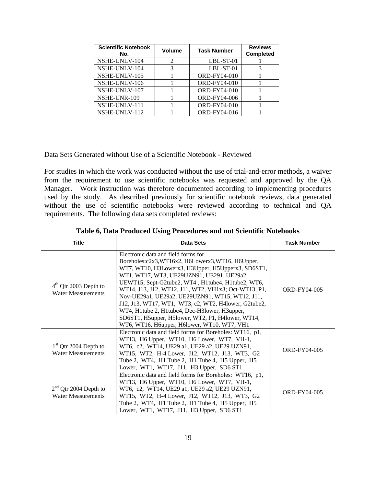| <b>Scientific Notebook</b><br>No. | <b>Volume</b>               | <b>Task Number</b>  | <b>Reviews</b><br><b>Completed</b> |
|-----------------------------------|-----------------------------|---------------------|------------------------------------|
| NSHE-UNLV-104                     | $\mathcal{D}_{\mathcal{L}}$ | $LBL-ST-01$         |                                    |
| NSHE-UNLV-104                     | 3                           | LBL-ST-01           |                                    |
| NSHE-UNLV-105                     |                             | <b>ORD-FY04-010</b> |                                    |
| NSHE-UNLV-106                     |                             | <b>ORD-FY04-010</b> |                                    |
| NSHE-UNLV-107                     |                             | <b>ORD-FY04-010</b> |                                    |
| NSHE-UNR-109                      |                             | <b>ORD-FY04-006</b> |                                    |
| NSHE-UNLV-111                     |                             | <b>ORD-FY04-010</b> |                                    |
| NSHE-UNLV-112                     |                             | ORD-FY04-016        |                                    |

#### Data Sets Generated without Use of a Scientific Notebook - Reviewed

For studies in which the work was conducted without the use of trial-and-error methods, a waiver from the requirement to use scientific notebooks was requested and approved by the QA Manager. Work instruction was therefore documented according to implementing procedures used by the study. As described previously for scientific notebook reviews, data generated without the use of scientific notebooks were reviewed according to technical and QA requirements. The following data sets completed reviews:

| Title                                                | Data Sets                                                                                                                                                                                                                                                                                                                                                                                                                                                                                                                                                                | <b>Task Number</b>  |
|------------------------------------------------------|--------------------------------------------------------------------------------------------------------------------------------------------------------------------------------------------------------------------------------------------------------------------------------------------------------------------------------------------------------------------------------------------------------------------------------------------------------------------------------------------------------------------------------------------------------------------------|---------------------|
| $4th$ Qtr 2003 Depth to<br><b>Water Measurements</b> | Electronic data and field forms for<br>Boreholes: c2x3, WT16x2, H6Lowerx3, WT16, H6Upper,<br>WT7, WT10, H3Lowerx3, H3Upper, H5Upperx3, SD6ST1,<br>WT1, WT17, WT3, UE29UZN91, UE291, UE29a2,<br>UEWT15; Sept-G2tube2, WT4, H1tube4, H1tube2, WT6,<br>WT14, J13, J12, WT12, J11, WT2, VH1x3; Oct-WT13, P1,<br>Nov-UE29a1, UE29a2, UE29UZN91, WT15, WT12, J11,<br>J12, J13, WT17, WT1, WT3, c2, WT2, H4lower, G2tube2,<br>WT4, H1tube 2, H1tube4, Dec-H3lower, H3upper,<br>SD6ST1, H5upper, H5lower, WT2, P1, H4lower, WT14,<br>WT6, WT16, H6upper, H6lower, WT10, WT7, VH1 | ORD-FY04-005        |
| $1st$ Qtr 2004 Depth to<br><b>Water Measurements</b> | Electronic data and field forms for Boreholes: WT16, p1,<br>WT13, H6 Upper, WT10, H6 Lower, WT7, VH-1,<br>WT6, c2, WT14, UE29 a1, UE29 a2, UE29 UZN91,<br>WT15, WT2, H-4 Lower, J12, WT12, J13, WT3, G2<br>Tube 2, WT4, H1 Tube 2, H1 Tube 4, H5 Upper, H5<br>Lower, WT1, WT17, J11, H3 Upper, SD6 ST1                                                                                                                                                                                                                                                                   | ORD-FY04-005        |
| $2nd$ Qtr 2004 Depth to<br><b>Water Measurements</b> | Electronic data and field forms for Boreholes: WT16, p1,<br>WT13, H6 Upper, WT10, H6 Lower, WT7, VH-1,<br>WT6, c2, WT14, UE29 a1, UE29 a2, UE29 UZN91,<br>WT15, WT2, H-4 Lower, J12, WT12, J13, WT3, G2<br>Tube 2, WT4, H1 Tube 2, H1 Tube 4, H5 Upper, H5<br>Lower, WT1, WT17, J11, H3 Upper, SD6 ST1                                                                                                                                                                                                                                                                   | <b>ORD-FY04-005</b> |

## **Table 6, Data Produced Using Procedures and not Scientific Notebooks**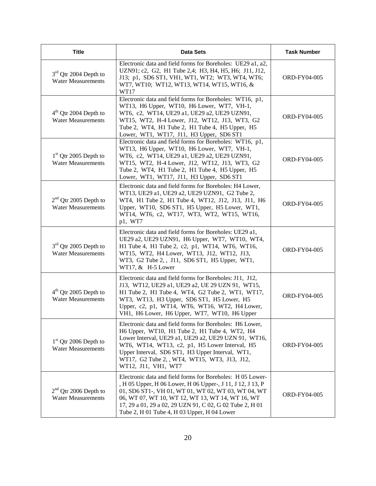| <b>Title</b>                                                   | <b>Data Sets</b>                                                                                                                                                                                                                                                                                                                               | <b>Task Number</b>  |
|----------------------------------------------------------------|------------------------------------------------------------------------------------------------------------------------------------------------------------------------------------------------------------------------------------------------------------------------------------------------------------------------------------------------|---------------------|
| 3 <sup>rd</sup> Qtr 2004 Depth to<br><b>Water Measurements</b> | Electronic data and field forms for Boreholes: UE29 a1, a2,<br>UZN91; c2, G2, H1 Tube 2,4; H3, H4, H5, H6; J11, J12,<br>J13; p1, SD6 ST1, VH1, WT1, WT2; WT3, WT4, WT6;<br>WT7, WT10; WT12, WT13, WT14, WT15, WT16, &<br>WT17                                                                                                                  | ORD-FY04-005        |
| 4 <sup>th</sup> Qtr 2004 Depth to<br><b>Water Measurements</b> | Electronic data and field forms for Boreholes: WT16, p1,<br>WT13, H6 Upper, WT10, H6 Lower, WT7, VH-1,<br>WT6, c2, WT14, UE29 a1, UE29 a2, UE29 UZN91,<br>WT15, WT2, H-4 Lower, J12, WT12, J13, WT3, G2<br>Tube 2, WT4, H1 Tube 2, H1 Tube 4, H5 Upper, H5<br>Lower, WT1, WT17, J11, H3 Upper, SD6 ST1                                         | <b>ORD-FY04-005</b> |
| $1st$ Qtr 2005 Depth to<br><b>Water Measurements</b>           | Electronic data and field forms for Boreholes: WT16, p1,<br>WT13, H6 Upper, WT10, H6 Lower, WT7, VH-1,<br>WT6, c2, WT14, UE29 a1, UE29 a2, UE29 UZN91,<br>WT15, WT2, H-4 Lower, J12, WT12, J13, WT3, G2<br>Tube 2, WT4, H1 Tube 2, H1 Tube 4, H5 Upper, H5<br>Lower, WT1, WT17, J11, H3 Upper, SD6 ST1                                         | ORD-FY04-005        |
| $2nd$ Qtr 2005 Depth to<br><b>Water Measurements</b>           | Electronic data and field forms for Boreholes: H4 Lower,<br>WT13, UE29 a1, UE29 a2, UE29 UZN91, G2 Tube 2,<br>WT4, H1 Tube 2, H1 Tube 4, WT12, J12, J13, J11, H6<br>Upper, WT10, SD6 ST1, H5 Upper, H5 Lower, WT1,<br>WT14, WT6, c2, WT17, WT3, WT2, WT15, WT16,<br>p1, WT7                                                                    | <b>ORD-FY04-005</b> |
| $3rd$ Qtr 2005 Depth to<br><b>Water Measurements</b>           | Electronic data and field forms for Boreholes: UE29 a1,<br>UE29 a2, UE29 UZN91, H6 Upper, WT7, WT10, WT4,<br>H1 Tube 4, H1 Tube 2, c2, p1, WT14, WT6, WT16,<br>WT15, WT2, H4 Lower, WT13, J12, WT12, J13,<br>WT3, G2 Tube 2, , J11, SD6 ST1, H5 Upper, WT1,<br>WT17, & H-5 Lower                                                               | ORD-FY04-005        |
| $4th$ Qtr 2005 Depth to<br><b>Water Measurements</b>           | Electronic data and field forms for Boreholes: J11, J12,<br>J13, WT12, UE29 a1, UE29 a2, UE 29 UZN 91, WT15,<br>H1 Tube 2, H1 Tube 4, WT4, G2 Tube 2, WT1, WT17,<br>WT3, WT13, H3 Upper, SD6 ST1, H5 Lower, H5<br>Upper, c2, p1, WT14, WT6, WT16, WT2, H4 Lower,<br>VH1, H6 Lower, H6 Upper, WT7, WT10, H6 Upper                               | ORD-FY04-005        |
| $1st$ Qtr 2006 Depth to<br><b>Water Measurements</b>           | Electronic data and field forms for Boreholes: H6 Lower,<br>H6 Upper, WT10, H1 Tube 2, H1 Tube 4, WT2, H4<br>Lower Interval, UE29 a1, UE29 a2, UE29 UZN 91, WT16,<br>WT6, WT14, WT13, c2, p1, H5 Lower Interval, H5<br>Upper Interval, SD6 ST1, H3 Upper Interval, WT1,<br>WT17, G2 Tube 2, , WT4, WT15, WT3, J13, J12,<br>WT12, J11, VH1, WT7 | ORD-FY04-005        |
| $2nd$ Qtr 2006 Depth to<br><b>Water Measurements</b>           | Electronic data and field forms for Boreholes: H 05 Lower-<br>, H 05 Upper, H 06 Lower, H 06 Upper-, J 11, J 12, J 13, P<br>01, SD6 ST1-, VH 01, WT 01, WT 02, WT 03, WT 04, WT<br>06, WT 07, WT 10, WT 12, WT 13, WT 14, WT 16, WT<br>17, 29 a 01, 29 a 02, 29 UZN 91, C 02, G 02 Tube 2, H 01<br>Tube 2, H 01 Tube 4, H 03 Upper, H 04 Lower | ORD-FY04-005        |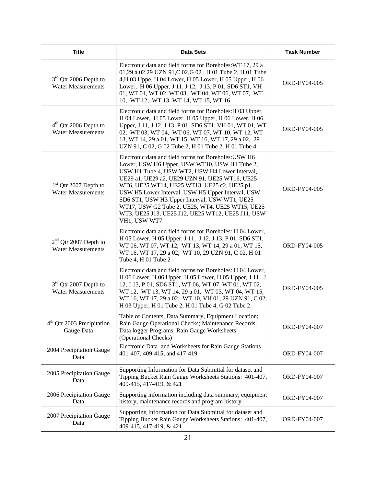| <b>Title</b>                                         | <b>Data Sets</b>                                                                                                                                                                                                                                                                                                                                                                                                                                                                         | <b>Task Number</b>  |
|------------------------------------------------------|------------------------------------------------------------------------------------------------------------------------------------------------------------------------------------------------------------------------------------------------------------------------------------------------------------------------------------------------------------------------------------------------------------------------------------------------------------------------------------------|---------------------|
| $3rd$ Qtr 2006 Depth to<br><b>Water Measurements</b> | Electronic data and field forms for Boreholes: WT 17, 29 a<br>01,29 a 02,29 UZN 91,C 02,G 02, H 01 Tube 2, H 01 Tube<br>4, H 03 Uppe, H 04 Lower, H 05 Lower, H 05 Upper, H 06<br>Lower, H 06 Upper, J 11, J 12, J 13, P 01, SD6 ST1, VH<br>01, WT 01, WT 02, WT 03, WT 04, WT 06, WT 07, WT<br>10, WT 12, WT 13, WT 14, WT 15, WT 16                                                                                                                                                    | ORD-FY04-005        |
| $4th$ Qtr 2006 Depth to<br><b>Water Measurements</b> | Electronic data and field forms for Boreholes: H 03 Upper,<br>H 04 Lower, H 05 Lower, H 05 Upper, H 06 Lower, H 06<br>Upper, J 11, J 12, J 13, P 01, SD6 ST1, VH 01, WT 01, WT<br>02, WT 03, WT 04, WT 06, WT 07, WT 10, WT 12, WT<br>13, WT 14, 29 a 01, WT 15, WT 16, WT 17, 29 a 02, 29<br>UZN 91, C 02, G 02 Tube 2, H 01 Tube 2, H 01 Tube 4                                                                                                                                        | ORD-FY04-005        |
| $1st$ Qtr 2007 Depth to<br><b>Water Measurements</b> | Electronic data and field forms for Boreholes: USW H6<br>Lower, USW H6 Upper, USW WT10, USW H1 Tube 2,<br>USW H1 Tube 4, USW WT2, USW H4 Lower Interval,<br>UE29 a1, UE29 a2, UE29 UZN 91, UE25 WT16, UE25<br>WT6, UE25 WT14, UE25 WT13, UE25 c2, UE25 p1,<br>USW H5 Lower Interval, USW H5 Upper Interval, USW<br>SD6 ST1, USW H3 Upper Interval, USW WT1, UE25<br>WT17, USW G2 Tube 2, UE25, WT4, UE25 WT15, UE25<br>WT3, UE25 J13, UE25 J12, UE25 WT12, UE25 J11, USW<br>VH1, USW WT7 | <b>ORD-FY04-005</b> |
| $2nd$ Qtr 2007 Depth to<br><b>Water Measurements</b> | Electronic data and field forms for Boreholes: H 04 Lower,<br>H 05 Lower, H 05 Upper, J 11, J 12, J 13, P 01, SD6 ST1,<br>WT 06, WT 07, WT 12, WT 13, WT 14, 29 a 01, WT 15,<br>WT 16, WT 17, 29 a 02, WT 10, 29 UZN 91, C 02, H 01<br>Tube 4, H 01 Tube 2                                                                                                                                                                                                                               | ORD-FY04-005        |
| $3rd$ Qtr 2007 Depth to<br><b>Water Measurements</b> | Electronic data and field forms for Boreholes: H 04 Lower,<br>H 06 Lower, H 06 Upper, H 05 Lower, H 05 Upper, J 11, J<br>12, J 13, P 01, SD6 ST1, WT 06, WT 07, WT 01, WT 02,<br>WT 12, WT 13, WT 14, 29 a 01, WT 03, WT 04, WT 15,<br>WT 16, WT 17, 29 a 02, WT 10, VH 01, 29 UZN 91, C 02,<br>H 03 Upper, H 01 Tube 2, H 01 Tube 4, G 02 Tube 2                                                                                                                                        | ORD-FY04-005        |
| 4 <sup>th</sup> Qtr 2003 Precipitation<br>Gauge Data | Table of Contents, Data Summary, Equipment Location;<br>Rain Gauge Operational Checks; Maintenance Records;<br>Data logger Programs; Rain Gauge Worksheets<br>(Operational Checks)                                                                                                                                                                                                                                                                                                       | ORD-FY04-007        |
| 2004 Precipitation Gauge<br>Data                     | Electronic Data and Worksheets for Rain Gauge Stations<br>401-407, 409-415, and 417-419                                                                                                                                                                                                                                                                                                                                                                                                  | ORD-FY04-007        |
| 2005 Precipitation Gauge<br>Data                     | Supporting Information for Data Submittal for dataset and<br>Tipping Bucket Rain Gauge Worksheets Stations: 401-407,<br>409-415, 417-419, & 421                                                                                                                                                                                                                                                                                                                                          | ORD-FY04-007        |
| 2006 Precipitation Gauge<br>Data                     | Supporting information including data summary, equipment<br>history, maintenance records and program history                                                                                                                                                                                                                                                                                                                                                                             | ORD-FY04-007        |
| 2007 Precipitation Gauge<br>Data                     | Supporting Information for Data Submittal for dataset and<br>Tipping Bucket Rain Gauge Worksheets Stations: 401-407,<br>409-415, 417-419, & 421                                                                                                                                                                                                                                                                                                                                          | ORD-FY04-007        |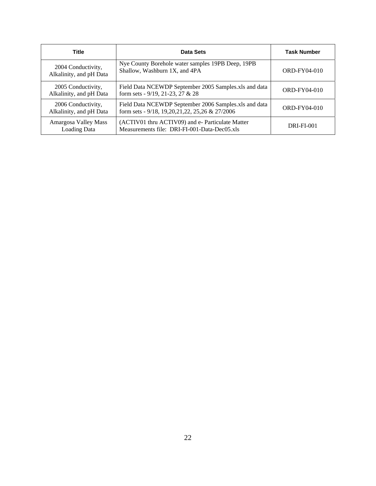| <b>Title</b>                                  | Data Sets                                                                                                    | <b>Task Number</b> |
|-----------------------------------------------|--------------------------------------------------------------------------------------------------------------|--------------------|
| 2004 Conductivity,<br>Alkalinity, and pH Data | Nye County Borehole water samples 19PB Deep, 19PB<br>Shallow, Washburn 1X, and 4PA                           | ORD-FY04-010       |
| 2005 Conductivity,<br>Alkalinity, and pH Data | Field Data NCEWDP September 2005 Samples.xls and data<br>form sets - 9/19, 21-23, 27 & 28                    | ORD-FY04-010       |
| 2006 Conductivity,<br>Alkalinity, and pH Data | Field Data NCEWDP September 2006 Samples.xls and data<br>form sets - 9/18, 19, 20, 21, 22, 25, 26 & 27/ 2006 | ORD-FY04-010       |
| Amargosa Valley Mass<br><b>Loading Data</b>   | (ACTIV01 thru ACTIV09) and e- Particulate Matter<br>Measurements file: DRI-FI-001-Data-Dec05.xls             | <b>DRI-FI-001</b>  |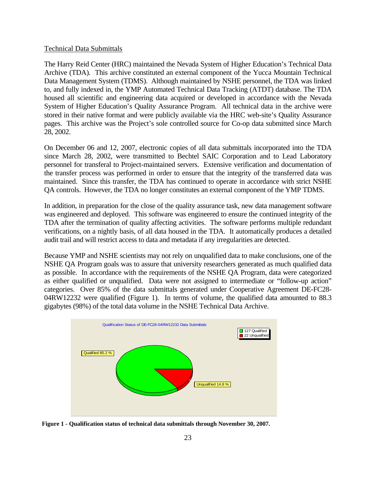## Technical Data Submittals

The Harry Reid Center (HRC) maintained the Nevada System of Higher Education's Technical Data Archive (TDA). This archive constituted an external component of the Yucca Mountain Technical Data Management System (TDMS). Although maintained by NSHE personnel, the TDA was linked to, and fully indexed in, the YMP Automated Technical Data Tracking (ATDT) database. The TDA housed all scientific and engineering data acquired or developed in accordance with the Nevada System of Higher Education's Quality Assurance Program. All technical data in the archive were stored in their native format and were publicly available via the HRC web-site's Quality Assurance pages. This archive was the Project's sole controlled source for Co-op data submitted since March 28, 2002.

On December 06 and 12, 2007, electronic copies of all data submittals incorporated into the TDA since March 28, 2002, were transmitted to Bechtel SAIC Corporation and to Lead Laboratory personnel for transferal to Project-maintained servers. Extensive verification and documentation of the transfer process was performed in order to ensure that the integrity of the transferred data was maintained. Since this transfer, the TDA has continued to operate in accordance with strict NSHE QA controls. However, the TDA no longer constitutes an external component of the YMP TDMS.

In addition, in preparation for the close of the quality assurance task, new data management software was engineered and deployed. This software was engineered to ensure the continued integrity of the TDA after the termination of quality affecting activities. The software performs multiple redundant verifications, on a nightly basis, of all data housed in the TDA. It automatically produces a detailed audit trail and will restrict access to data and metadata if any irregularities are detected.

Because YMP and NSHE scientists may not rely on unqualified data to make conclusions, one of the NSHE QA Program goals was to assure that university researchers generated as much qualified data as possible. In accordance with the requirements of the NSHE QA Program, data were categorized as either qualified or unqualified. Data were not assigned to intermediate or "follow-up action" categories. Over 85% of the data submittals generated under Cooperative Agreement DE-FC28- 04RW12232 were qualified (Figure 1). In terms of volume, the qualified data amounted to 88.3 gigabytes (98%) of the total data volume in the NSHE Technical Data Archive.



**Figure 1 - Qualification status of technical data submittals through November 30, 2007.**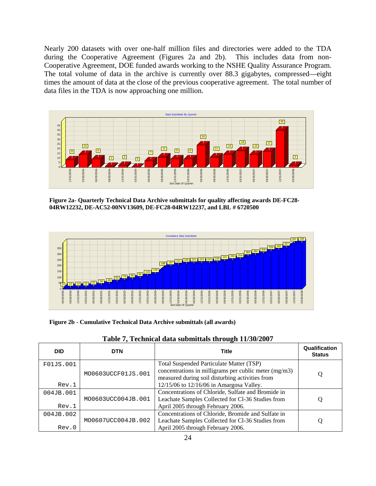Nearly 200 datasets with over one-half million files and directories were added to the TDA during the Cooperative Agreement (Figures 2a and 2b). This includes data from non-Cooperative Agreement, DOE funded awards working to the NSHE Quality Assurance Program. The total volume of data in the archive is currently over 88.3 gigabytes, compressed—eight times the amount of data at the close of the previous cooperative agreement. The total number of data files in the TDA is now approaching one million.



**Figure 2a- Quarterly Technical Data Archive submittals for quality affecting awards DE-FC28- 04RW12232, DE-AC52-00NV13609, DE-FC28-04RW12237, and LBL # 6720500**



**Figure 2b - Cumulative Technical Data Archive submittals (all awards)** 

| <b>DID</b> | <b>DTN</b>         | <b>Title</b>                                          | Qualification<br><b>Status</b> |
|------------|--------------------|-------------------------------------------------------|--------------------------------|
| F01JS.001  |                    | Total Suspended Particulate Matter (TSP)              |                                |
|            | MO0603UCCF01JS.001 | concentrations in milligrams per cublic meter (mg/m3) | O                              |
|            |                    | measured during soil disturbing activities from       |                                |
| Rev.1      |                    | 12/15/06 to 12/16/06 in Amargosa Valley.              |                                |
| 004JB.001  |                    | Concentrations of Chloride, Sulfate and Bromide in    |                                |
|            | MO0603UCC004JB.001 | Leachate Samples Collected for Cl-36 Studies from     | Q                              |
| Rev.1      |                    | April 2005 through February 2006.                     |                                |
| 004JB.002  |                    | Concentrations of Chloride, Bromide and Sulfate in    |                                |
|            | MO0607UCC004JB.002 | Leachate Samples Collected for Cl-36 Studies from     | O                              |
| Rev.0      |                    | April 2005 through February 2006.                     |                                |

|  |  |  |  |  | Table 7, Technical data submittals through 11/30/2007 |
|--|--|--|--|--|-------------------------------------------------------|
|--|--|--|--|--|-------------------------------------------------------|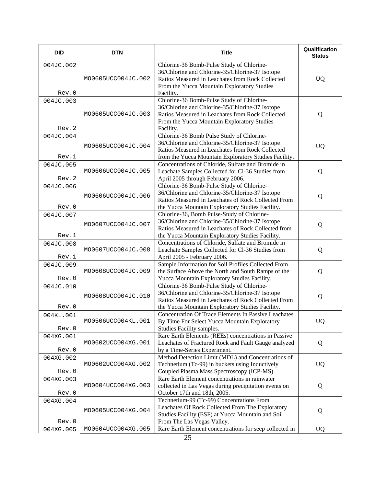| <b>DID</b>         | <b>DTN</b>         | <b>Title</b>                                                                                                                                                                                                 | Qualification<br><b>Status</b> |
|--------------------|--------------------|--------------------------------------------------------------------------------------------------------------------------------------------------------------------------------------------------------------|--------------------------------|
| 004JC.002<br>Rev.0 | MO0605UCC004JC.002 | Chlorine-36 Bomb-Pulse Study of Chlorine-<br>36/Chlorine and Chlorine-35/Chlorine-37 Isotope<br>Ratios Measured in Leachates from Rock Collected<br>From the Yucca Mountain Exploratory Studies<br>Facility. | <b>UQ</b>                      |
| 004JC.003<br>Rev.2 | MO0605UCC004JC.003 | Chlorine-36 Bomb-Pulse Study of Chlorine-<br>36/Chlorine and Chlorine-35/Chlorine-37 Isotope<br>Ratios Measured in Leachates from Rock Collected<br>From the Yucca Mountain Exploratory Studies<br>Facility. | Q                              |
| 004JC.004<br>Rev.1 | MO0605UCC004JC.004 | Chlorine-36 Bomb Pulse Study of Chlorine-<br>36/Chlorine and Chlorine-35/Chlorine-37 Isotope<br>Ratios Measured in Leachates from Rock Collected<br>from the Yucca Mountain Exploratory Studies Facility.    | <b>UQ</b>                      |
| 004JC.005<br>Rev.2 | MO0606UCC004JC.005 | Concentrations of Chloride, Sulfate and Bromide in<br>Leachate Samples Collected for Cl-36 Studies from<br>April 2005 through February 2006.                                                                 | Q                              |
| 004JC.006<br>Rev.0 | MO0606UCC004JC.006 | Chlorine-36 Bomb-Pulse Study of Chlorine-<br>36/Chlorine and Chlorine-35/Chlorine-37 Isotope<br>Ratios Measured in Leachates of Rock Collected From<br>the Yucca Mountain Exploratory Studies Facility.      | Q                              |
| 004JC.007<br>Rev.1 | MO0607UCC004JC.007 | Chlorine-36, Bomb Pulse-Study of Chlorine-<br>36/Chlorine and Chlorine-35/Chlorine-37 Isotope<br>Ratios Measured in Leachates of Rock Collected from<br>the Yucca Mountain Exploratory Studies Facility.     | Q                              |
| 004JC.008<br>Rev.1 | MO0607UCC004JC.008 | Concentrations of Chloride, Sulfate and Bromide in<br>Leachate Samples Collected for Cl-36 Studies from<br>April 2005 - February 2006.                                                                       | Q                              |
| 004JC.009<br>Rev.0 | MO0608UCC004JC.009 | Sample Information for Soil Profiles Collected From<br>the Surface Above the North and South Ramps of the<br>Yucca Mountain Exploratory Studies Facility.                                                    | Q                              |
| 004JC.010<br>Rev.0 | MO0608UCC004JC.010 | Chlorine-36 Bomb-Pulse Study of Chlorine-<br>36/Chlorine and Chlorine-35/Chlorine-37 Isotope<br>Ratios Measured in Leachates of Rock Collected From<br>the Yucca Mountain Exploratory Studies Facility.      | Q                              |
| 004KL.001<br>Rev.0 | MO0506UCC004KL.001 | <b>Concentration Of Trace Elements In Passive Leachates</b><br>By Time For Select Yucca Mountain Exploratory<br>Studies Facility samples.                                                                    | UQ                             |
| 004XG.001<br>Rev.0 | MO0602UCC004XG.001 | Rare Earth Elements (REEs) concentrations in Passive<br>Leachates of Fractured Rock and Fault Gauge analyzed<br>by a Time-Series Experiment.                                                                 | Q                              |
| 004XG.002<br>Rev.0 | MO0602UCC004XG.002 | Method Detection Limit (MDL) and Concentrations of<br>Technetium (Tc-99) in buckets using Inductively<br>Coupled Plasma Mass Spectroscopy (ICP-MS).                                                          | <b>UQ</b>                      |
| 004XG.003<br>Rev.0 | MO0604UCC004XG.003 | Rare Earth Element concentrations in rainwater<br>collected in Las Vegas during precipitation events on<br>October 17th and 18th, 2005.                                                                      | Q                              |
| 004XG.004<br>Rev.0 | MO0605UCC004XG.004 | Technetium-99 (Tc-99) Concentrations From<br>Leachates Of Rock Collected From The Exploratory<br>Studies Facility (ESF) at Yucca Mountain and Soil<br>From The Las Vegas Valley.                             | Q                              |
| 004XG.005          | MO0604UCC004XG.005 | Rare Earth Element concentrations for seep collected in                                                                                                                                                      | <b>UQ</b>                      |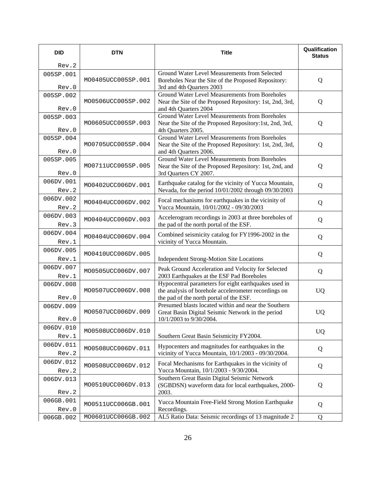| <b>DID</b>         | <b>DTN</b>         | <b>Title</b>                                                                                              | Qualification<br><b>Status</b> |
|--------------------|--------------------|-----------------------------------------------------------------------------------------------------------|--------------------------------|
| Rev.2              |                    |                                                                                                           |                                |
| 005SP.001          |                    | Ground Water Level Measurements from Selected                                                             |                                |
| Rev.0              | MO0405UCC005SP.001 | Boreholes Near the Site of the Proposed Repository:<br>3rd and 4th Quarters 2003                          | Q                              |
| 005SP.002          |                    | <b>Ground Water Level Measurements from Boreholes</b>                                                     |                                |
|                    | MO0506UCC005SP.002 | Near the Site of the Proposed Repository: 1st, 2nd, 3rd,                                                  | Q                              |
| Rev.0              |                    | and 4th Quarters 2004                                                                                     |                                |
| 005SP.003          | MO0605UCC005SP.003 | Ground Water Level Measurements from Boreholes<br>Near the Site of the Proposed Repository:1st, 2nd, 3rd, | Q                              |
| Rev.0              |                    | 4th Quarters 2005.                                                                                        |                                |
| 005SP.004          |                    | Ground Water Level Measurements from Boreholes                                                            |                                |
| Rev.0              | MO0705UCC005SP.004 | Near the Site of the Proposed Repository: 1st, 2nd, 3rd,<br>and 4th Quarters 2006.                        | Q                              |
| 005SP.005          |                    | Ground Water Level Measurements from Boreholes                                                            |                                |
|                    | MO0711UCC005SP.005 | Near the Site of the Proposed Repository: 1st, 2nd, and                                                   | Q                              |
| Rev.0              |                    | 3rd Quarters CY 2007.                                                                                     |                                |
| 006DV.001          | MO0402UCC006DV.001 | Earthquake catalog for the vicinity of Yucca Mountain,                                                    | Q                              |
| Rev.2              |                    | Nevada, for the period 10/01/2002 through 09/30/2003                                                      |                                |
| 006DV.002          | MO0404UCC006DV.002 | Focal mechanisms for earthquakes in the vicinity of                                                       | Q                              |
| Rev.2              |                    | Yucca Mountain, 10/01/2002 - 09/30/2003                                                                   |                                |
| 006DV.003          | MO0404UCC006DV.003 | Accelerogram recordings in 2003 at three boreholes of                                                     | Q                              |
| Rev.3              |                    | the pad of the north portal of the ESF.                                                                   |                                |
| 006DV.004<br>Rev.1 | MO0404UCC006DV.004 | Combined seismicity catalog for FY1996-2002 in the<br>vicinity of Yucca Mountain.                         | Q                              |
| 006DV.005          |                    |                                                                                                           |                                |
| Rev.1              | MO0410UCC006DV.005 | Independent Strong-Motion Site Locations                                                                  | Q                              |
| 006DV.007          |                    | Peak Ground Acceleration and Velocity for Selected                                                        |                                |
| Rev.1              | MO0505UCC006DV.007 | 2003 Earthquakes at the ESF Pad Boreholes                                                                 | Q                              |
| 006DV.008          |                    | Hypocentral parameters for eight earthquakes used in                                                      |                                |
|                    | MO0507UCC006DV.008 | the analysis of borehole accelerometer recordings on                                                      | <b>UQ</b>                      |
| Rev.0              |                    | the pad of the north portal of the ESF.<br>Presumed blasts located within and near the Southern           |                                |
| 006DV.009          | MO0507UCC006DV.009 | Great Basin Digital Seismic Network in the period                                                         | <b>UQ</b>                      |
| Rev.0              |                    | 10/1/2003 to 9/30/2004.                                                                                   |                                |
| 006DV.010          | MO0508UCC006DV.010 |                                                                                                           | <b>UQ</b>                      |
| Rev.1              |                    | Southern Great Basin Seismicity FY2004.                                                                   |                                |
| 006DV.011          | MO0508UCC006DV.011 | Hypocenters and magnitudes for earthquakes in the                                                         | Q                              |
| Rev.2              |                    | vicinity of Yucca Mountain, 10/1/2003 - 09/30/2004.                                                       |                                |
| 006DV.012          | MO0508UCC006DV.012 | Focal Mechanisms for Earthquakes in the vicinity of                                                       | Q                              |
| Rev.2              |                    | Yucca Mountain, 10/1/2003 - 9/30/2004.<br>Southern Great Basin Digital Seismic Network                    |                                |
| 006DV.013          | MO0510UCC006DV.013 | (SGBDSN) waveform data for local earthquakes, 2000-                                                       | Q                              |
| Rev.2              |                    | 2003.                                                                                                     |                                |
| 006GB.001          | MO0511UCC006GB.001 | Yucca Mountain Free-Field Strong Motion Earthquake                                                        | Q                              |
| Rev.0              |                    | Recordings.                                                                                               |                                |
| 006GB.002          | MO0601UCC006GB.002 | AL5 Ratio Data: Seismic recordings of 13 magnitude 2                                                      | Q                              |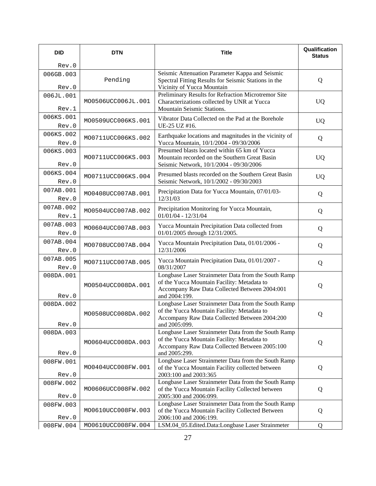| <b>DID</b>         | <b>DTN</b>         | <b>Title</b>                                                                                            | Qualification<br><b>Status</b> |
|--------------------|--------------------|---------------------------------------------------------------------------------------------------------|--------------------------------|
| Rev.0              |                    |                                                                                                         |                                |
| 006GB.003          | Pending            | Seismic Attenuation Parameter Kappa and Seismic                                                         |                                |
| Rev.0              |                    | Spectral Fitting Results for Seismic Stations in the<br>Vicinity of Yucca Mountain                      | Q                              |
| 006JL.001          |                    | Preliminary Results for Refraction Microtremor Site                                                     |                                |
| Rev.1              | MO0506UCC006JL.001 | Characterizations collected by UNR at Yucca<br>Mountain Seismic Stations.                               | <b>UQ</b>                      |
| 006KS.001          | MO0509UCC006KS.001 | Vibrator Data Collected on the Pad at the Borehole                                                      | <b>UQ</b>                      |
| Rev.0              |                    | UE-25 UZ #16.                                                                                           |                                |
| 006KS.002<br>Rev.0 | MO0711UCC006KS.002 | Earthquake locations and magnitudes in the vicinity of<br>Yucca Mountain, 10/1/2004 - 09/30/2006        | Q                              |
| 006KS.003          |                    | Presumed blasts located within 65 km of Yucca                                                           |                                |
|                    | MO0711UCC006KS.003 | Mountain recorded on the Southern Great Basin                                                           | <b>UQ</b>                      |
| Rev.0              |                    | Seismic Network, 10/1/2004 - 09/30/2006                                                                 |                                |
| 006KS.004<br>Rev.0 | MO0711UCC006KS.004 | Presumed blasts recorded on the Southern Great Basin<br>Seismic Network, 10/1/2002 - 09/30/2003         | <b>UQ</b>                      |
| 007AB.001          |                    |                                                                                                         |                                |
| Rev.0              | MO0408UCC007AB.001 | Precipitation Data for Yucca Mountain, 07/01/03-<br>12/31/03                                            | Q                              |
| 007AB.002          |                    | Precipitation Monitoring for Yucca Mountain,                                                            |                                |
| Rev.1              | MO0504UCC007AB.002 | $01/01/04 - 12/31/04$                                                                                   | Q                              |
| 007AB.003          | MO0604UCC007AB.003 | Yucca Mountain Precipitation Data collected from                                                        | Q                              |
| Rev.0              |                    | 01/01/2005 through 12/31/2005.                                                                          |                                |
| 007AB.004          | MO0708UCC007AB.004 | Yucca Mountain Precipitation Data, 01/01/2006 -                                                         | Q                              |
| Rev.0              |                    | 12/31/2006                                                                                              |                                |
| 007AB.005<br>Rev.0 | MO0711UCC007AB.005 | Yucca Mountain Precipitation Data, 01/01/2007 -<br>08/31/2007                                           | Q                              |
| 008DA.001          |                    | Longbase Laser Strainmeter Data from the South Ramp                                                     |                                |
|                    | MO0504UCC008DA.001 | of the Yucca Mountain Facility: Metadata to                                                             | Q                              |
| Rev.0              |                    | Accompany Raw Data Collected Between 2004:001<br>and 2004:199.                                          |                                |
| 008DA.002          |                    | Longbase Laser Strainmeter Data from the South Ramp                                                     |                                |
|                    | MO0508UCC008DA.002 | of the Yucca Mountain Facility: Metadata to                                                             | Q                              |
| Rev.0              |                    | Accompany Raw Data Collected Between 2004:200<br>and 2005:099.                                          |                                |
| 008DA.003          |                    | Longbase Laser Strainmeter Data from the South Ramp                                                     |                                |
|                    | MO0604UCC008DA.003 | of the Yucca Mountain Facility: Metadata to                                                             | Q                              |
| Rev.0              |                    | Accompany Raw Data Collected Between 2005:100<br>and 2005:299.                                          |                                |
| 008FW.001          |                    | Longbase Laser Strainmeter Data from the South Ramp                                                     |                                |
|                    | MO0404UCC008FW.001 | of the Yucca Mountain Facility collected between                                                        | Q                              |
| Rev.0              |                    | 2003:100 and 2003:365                                                                                   |                                |
| 008FW.002          | MO0606UCC008FW.002 | Longbase Laser Strainmeter Data from the South Ramp<br>of the Yucca Mountain Facility Collected between | Q                              |
| Rev.0              |                    | 2005:300 and 2006:099.                                                                                  |                                |
| 008FW.003          |                    | Longbase Laser Strainmeter Data from the South Ramp                                                     |                                |
| Rev.0              | MO0610UCC008FW.003 | of the Yucca Mountain Facility Collected Between<br>2006:100 and 2006:199.                              | Q                              |
| 008FW.004          | MO0610UCC008FW.004 | LSM.04_05.Edited.Data:Longbase Laser Strainmeter                                                        | Q                              |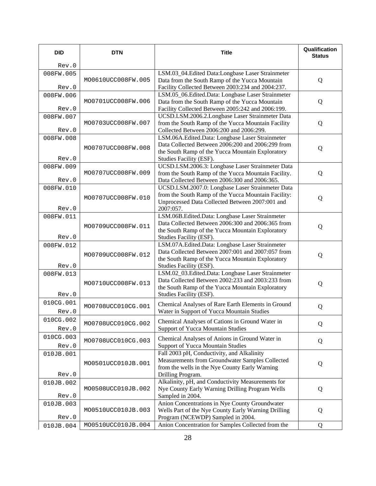| <b>DID</b> | <b>DTN</b>         | <b>Title</b>                                                                                           | Qualification<br><b>Status</b> |
|------------|--------------------|--------------------------------------------------------------------------------------------------------|--------------------------------|
| Rev.0      |                    |                                                                                                        |                                |
| 008FW.005  |                    | LSM.03_04.Edited Data:Longbase Laser Strainmeter                                                       |                                |
|            | MO0610UCC008FW.005 | Data from the South Ramp of the Yucca Mountain                                                         | Q                              |
| Rev.0      |                    | Facility Collected Between 2003:234 and 2004:237.<br>LSM.05_06.Edited.Data: Longbase Laser Strainmeter |                                |
| 008FW.006  | MO0701UCC008FW.006 | Data from the South Ramp of the Yucca Mountain                                                         | Q                              |
| Rev.0      |                    | Facility Collected Between 2005:242 and 2006:199.                                                      |                                |
| 008FW.007  |                    | UCSD.LSM.2006.2.Longbase Laser Strainmeter Data                                                        |                                |
|            | MO0703UCC008FW.007 | from the South Ramp of the Yucca Mountain Facility                                                     | Q                              |
| Rev.0      |                    | Collected Between 2006:200 and 2006:299.                                                               |                                |
| 008FW.008  |                    | LSM.06A.Edited.Data: Longbase Laser Strainmeter                                                        |                                |
|            | MO0707UCC008FW.008 | Data Collected Between 2006:200 and 2006:299 from<br>the South Ramp of the Yucca Mountain Exploratory  | Q                              |
| Rev.0      |                    | Studies Facility (ESF).                                                                                |                                |
| 008FW.009  |                    | UCSD.LSM.2006.3: Longbase Laser Strainmeter Data                                                       |                                |
|            | MO0707UCC008FW.009 | from the South Ramp of the Yucca Mountain Facility.                                                    | Q                              |
| Rev.0      |                    | Data Collected Between 2006:300 and 2006:365.                                                          |                                |
| 008FW.010  |                    | UCSD.LSM.2007.0: Longbase Laser Strainmeter Data                                                       |                                |
|            | MO0707UCC008FW.010 | from the South Ramp of the Yucca Mountain Facility:                                                    | Q                              |
| Rev.0      |                    | Unprocessed Data Collected Between 2007:001 and<br>2007:057.                                           |                                |
| 008FW.011  |                    | LSM.06B.Edited.Data: Longbase Laser Strainmeter                                                        |                                |
|            |                    | Data Collected Between 2006:300 and 2006:365 from                                                      |                                |
|            | MO0709UCC008FW.011 | the South Ramp of the Yucca Mountain Exploratory                                                       | Q                              |
| Rev.0      |                    | Studies Facility (ESF).                                                                                |                                |
| 008FW.012  |                    | LSM.07A.Edited.Data: Longbase Laser Strainmeter                                                        |                                |
|            | MO0709UCC008FW.012 | Data Collected Between 2007:001 and 2007:057 from                                                      | Q                              |
| Rev.0      |                    | the South Ramp of the Yucca Mountain Exploratory                                                       |                                |
| 008FW.013  |                    | Studies Facility (ESF).<br>LSM.02_03.Edited.Data: Longbase Laser Strainmeter                           |                                |
|            |                    | Data Collected Between 2002:233 and 2003:233 from                                                      |                                |
|            | MO0710UCC008FW.013 | the South Ramp of the Yucca Mountain Exploratory                                                       | Q                              |
| Rev.0      |                    | Studies Facility (ESF).                                                                                |                                |
| 010CG.001  | MO0708UCC010CG.001 | Chemical Analyses of Rare Earth Elements in Ground                                                     |                                |
| Rev.0      |                    | Water in Support of Yucca Mountain Studies                                                             | Q                              |
| 010CG.002  | MO0708UCC010CG.002 | Chemical Analyses of Cations in Ground Water in                                                        |                                |
| Rev.0      |                    | Support of Yucca Mountain Studies                                                                      | Q                              |
| 010CG.003  |                    | Chemical Analyses of Anions in Ground Water in                                                         |                                |
| Rev.0      | MO0708UCC010CG.003 | Support of Yucca Mountain Studies                                                                      | Q                              |
| 010JB.001  |                    | Fall 2003 pH, Conductivity, and Alkalinity                                                             |                                |
|            | MO0501UCC010JB.001 | Measurements from Groundwater Samples Collected                                                        | Q                              |
|            |                    | from the wells in the Nye County Early Warning                                                         |                                |
| Rev.0      |                    | Drilling Program.                                                                                      |                                |
| 010JB.002  | MO0508UCC010JB.002 | Alkalinity, pH, and Conductivity Measurements for<br>Nye County Early Warning Drilling Program Wells   | Q                              |
| Rev.0      |                    | Sampled in 2004.                                                                                       |                                |
| 010JB.003  |                    | Anion Concentrations in Nye County Groundwater                                                         |                                |
|            | MO0510UCC010JB.003 | Wells Part of the Nye County Early Warning Drilling                                                    | Q                              |
| Rev.0      |                    | Program (NCEWDP) Sampled in 2004.                                                                      |                                |
| 010JB.004  | MO0510UCC010JB.004 | Anion Concentration for Samples Collected from the                                                     | Q                              |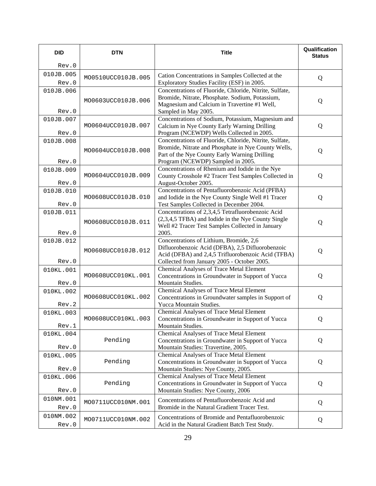| <b>DID</b> | <b>DTN</b>         | <b>Title</b>                                                                             | Qualification<br><b>Status</b> |
|------------|--------------------|------------------------------------------------------------------------------------------|--------------------------------|
| Rev.0      |                    |                                                                                          |                                |
| 010JB.005  | MO0510UCC010JB.005 | Cation Concentrations in Samples Collected at the                                        | Q                              |
| Rev.0      |                    | Exploratory Studies Facility (ESF) in 2005.                                              |                                |
| 010JB.006  |                    | Concentrations of Fluoride, Chloride, Nitrite, Sulfate,                                  |                                |
|            | MO0603UCC010JB.006 | Bromide, Nitrate, Phosphate. Sodium, Potassium,                                          | Q                              |
| Rev.0      |                    | Magnesium and Calcium in Travertine #1 Well,<br>Sampled in May 2005.                     |                                |
| 010JB.007  |                    | Concentrations of Sodium, Potassium, Magnesium and                                       |                                |
|            | MO0604UCC010JB.007 | Calcium in Nye County Early Warning Drilling                                             | Q                              |
| Rev.0      |                    | Program (NCEWDP) Wells Collected in 2005.                                                |                                |
| 010JB.008  |                    | Concentrations of Fluoride, Chloride, Nitrite, Sulfate,                                  |                                |
|            | MO0604UCC010JB.008 | Bromide, Nitrate and Phosphate in Nye County Wells,                                      | Q                              |
|            |                    | Part of the Nye County Early Warning Drilling                                            |                                |
| Rev.0      |                    | Program (NCEWDP) Sampled in 2005.<br>Concentrations of Rhenium and Iodide in the Nye     |                                |
| 010JB.009  | MO0604UCC010JB.009 | County Crosshole #2 Tracer Test Samples Collected in                                     | Q                              |
| Rev.0      |                    | August-October 2005.                                                                     |                                |
| 010JB.010  |                    | Concentrations of Pentafluorobenzoic Acid (PFBA)                                         |                                |
|            | MO0608UCC010JB.010 | and Iodide in the Nye County Single Well #1 Tracer                                       | Q                              |
| Rev.0      |                    | Test Samples Collected in December 2004.                                                 |                                |
| 010JB.011  |                    | Concentrations of 2,3,4,5 Tetrafluorobenzoic Acid                                        |                                |
|            | MO0608UCC010JB.011 | (2,3,4,5 TFBA) and Iodide in the Nye County Single                                       | Q                              |
| Rev.0      |                    | Well #2 Tracer Test Samples Collected in January<br>2005.                                |                                |
| 010JB.012  |                    | Concentrations of Lithium, Bromide, 2,6                                                  |                                |
|            |                    | Difluorobenzoic Acid (DFBA), 2,5 Difluorobenzoic                                         |                                |
|            | MO0608UCC010JB.012 | Acid (DFBA) and 2,4,5 Trifluorobenzoic Acid (TFBA)                                       | Q                              |
| Rev.0      |                    | Collected from January 2005 - October 2005.                                              |                                |
| 010KL.001  |                    | Chemical Analyses of Trace Metal Element                                                 |                                |
|            | MO0608UCC010KL.001 | Concentrations in Groundwater in Support of Yucca                                        | Q                              |
| Rev.0      |                    | Mountain Studies.                                                                        |                                |
| 010KL.002  | MO0608UCC010KL.002 | Chemical Analyses of Trace Metal Element                                                 |                                |
| Rev.2      |                    | Concentrations in Groundwater samples in Support of<br>Yucca Mountain Studies.           | Q                              |
| 010KL.003  |                    | Chemical Analyses of Trace Metal Element                                                 |                                |
|            | MO0608UCC010KL.003 | Concentrations in Groundwater in Support of Yucca                                        | Q                              |
| Rev.1      |                    | Mountain Studies.                                                                        |                                |
| 010KL.004  |                    | <b>Chemical Analyses of Trace Metal Element</b>                                          |                                |
|            | Pending            | Concentrations in Groundwater in Support of Yucca                                        | Q                              |
| Rev.0      |                    | Mountain Studies: Travertine, 2005.                                                      |                                |
| 010KL.005  |                    | Chemical Analyses of Trace Metal Element                                                 |                                |
| Rev.0      | Pending            | Concentrations in Groundwater in Support of Yucca<br>Mountain Studies: Nye County, 2005. | Q                              |
| 010KL.006  |                    | <b>Chemical Analyses of Trace Metal Element</b>                                          |                                |
|            | Pending            | Concentrations in Groundwater in Support of Yucca                                        | Q                              |
| Rev.0      |                    | Mountain Studies: Nye County, 2006                                                       |                                |
| 010NM.001  |                    | Concentrations of Pentafluorobenzoic Acid and                                            |                                |
| Rev.0      | MO0711UCC010NM.001 | Bromide in the Natural Gradient Tracer Test.                                             | Q                              |
| 010NM.002  |                    | Concentrations of Bromide and Pentafluorobenzoic                                         |                                |
| Rev.0      | MO0711UCC010NM.002 | Acid in the Natural Gradient Batch Test Study.                                           | Q                              |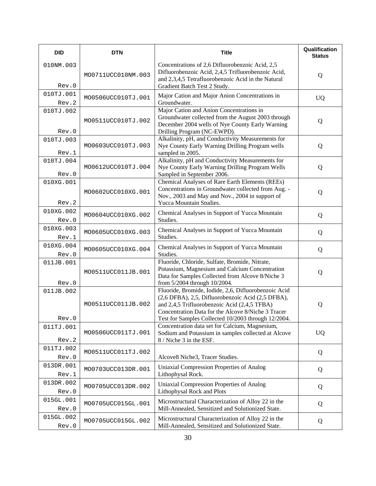| <b>DID</b>         | <b>DTN</b>         | <b>Title</b>                                                                                                                                                                                                                                                           | Qualification<br><b>Status</b> |
|--------------------|--------------------|------------------------------------------------------------------------------------------------------------------------------------------------------------------------------------------------------------------------------------------------------------------------|--------------------------------|
| 010NM.003<br>Rev.0 | MO0711UCC010NM.003 | Concentrations of 2,6 Difluorobenzoic Acid, 2,5<br>Difluorobenzoic Acid, 2,4,5 Trifluorobenzoic Acid,<br>and 2,3,4,5 Tetrafluorobenzoic Acid in the Natural<br>Gradient Batch Test 2 Study.                                                                            | Q                              |
| 010TJ.001<br>Rev.2 | MO0506UCC010TJ.001 | Major Cation and Major Anion Concentrations in<br>Groundwater.                                                                                                                                                                                                         | <b>UQ</b>                      |
| 010TJ.002<br>Rev.0 | MO0511UCC010TJ.002 | Major Cation and Anion Concentrations in<br>Groundwater collected from the August 2003 through<br>December 2004 wells of Nye County Early Warning<br>Drilling Program (NC-EWPD).                                                                                       | Q                              |
| 010TJ.003<br>Rev.1 | MO0603UCC010TJ.003 | Alkalinity, pH, and Conductivity Measurements for<br>Nye County Early Warning Drilling Program wells<br>sampled in 2005.                                                                                                                                               | Q                              |
| 010TJ.004<br>Rev.0 | MO0612UCC010TJ.004 | Alkalinity, pH and Conductivity Measurements for<br>Nye County Early Warning Drilling Program Wells<br>Sampled in September 2006.                                                                                                                                      | Q                              |
| 010XG.001<br>Rev.2 | MO0602UCC010XG.001 | Chemical Analyses of Rare Earth Elements (REEs)<br>Concentrations in Groundwater collected from Aug. -<br>Nov., 2003 and May and Nov., 2004 in support of<br>Yucca Mountain Studies.                                                                                   | Q                              |
| 010XG.002<br>Rev.0 | MO0604UCC010XG.002 | Chemical Analyses in Support of Yucca Mountain<br>Studies.                                                                                                                                                                                                             | Q                              |
| 010XG.003<br>Rev.1 | MO0605UCC010XG.003 | Chemical Analyses in Support of Yucca Mountain<br>Studies.                                                                                                                                                                                                             | Q                              |
| 010XG.004<br>Rev.0 | MO0605UCC010XG.004 | Chemical Analyses in Support of Yucca Mountain<br>Studies.                                                                                                                                                                                                             | Q                              |
| 011JB.001<br>Rev.0 | MO0511UCC011JB.001 | Fluoride, Chloride, Sulfate, Bromide, Nitrate,<br>Potassium, Magnesium and Calcium Concentration<br>Data for Samples Collected from Alcove 8/Niche 3<br>from 5/2004 through 10/2004.                                                                                   | Q                              |
| 011JB.002<br>Rev.0 | MO0511UCC011JB.002 | Fluoride, Bromide, Iodide, 2,6, Difluorobenzoic Acid<br>(2,6 DFBA), 2,5, Difluorobenzoic Acid (2,5 DFBA),<br>and 2,4,5 Trifluorobenzoic Acid (2,4,5 TFBA)<br>Concentration Data for the Alcove 8/Niche 3 Tracer<br>Test for Samples Collected 10/2003 through 12/2004. | Q                              |
| 011TJ.001<br>Rev.2 | MO0506UCC011TJ.001 | Concentration data set for Calcium, Magnesium,<br>Sodium and Potassium in samples collected at Alcove<br>8 / Niche 3 in the ESF.                                                                                                                                       | <b>UQ</b>                      |
| 011TJ.002<br>Rev.0 | MO0511UCC011TJ.002 | Alcove8 Niche3, Tracer Studies.                                                                                                                                                                                                                                        | Q                              |
| 013DR.001<br>Rev.1 | MO0703UCC013DR.001 | Uniaxial Compression Properties of Analog<br>Lithophysal Rock.                                                                                                                                                                                                         | Q                              |
| 013DR.002<br>Rev.0 | MO0705UCC013DR.002 | <b>Uniaxial Compression Properties of Analog</b><br>Lithophysal Rock and Plots                                                                                                                                                                                         | Q                              |
| 015GL.001<br>Rev.0 | MO0705UCC015GL.001 | Microstructural Characterization of Alloy 22 in the<br>Mill-Annealed, Sensitized and Solutionized State.                                                                                                                                                               | Q                              |
| 015GL.002<br>Rev.0 | MO0705UCC015GL.002 | Microstructural Characterization of Alloy 22 in the<br>Mill-Annealed, Sensitized and Solutionized State.                                                                                                                                                               | Q                              |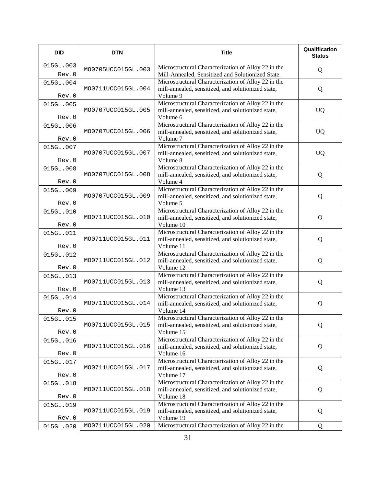| <b>DID</b>         | <b>DTN</b>         | <b>Title</b>                                                                                                           | Qualification<br><b>Status</b> |
|--------------------|--------------------|------------------------------------------------------------------------------------------------------------------------|--------------------------------|
| 015GL.003<br>Rev.0 | MO0705UCC015GL.003 | Microstructural Characterization of Alloy 22 in the<br>Mill-Annealed, Sensitized and Solutionized State.               | Q                              |
| 015GL.004<br>Rev.0 | MO0711UCC015GL.004 | Microstructural Characterization of Alloy 22 in the<br>mill-annealed, sensitized, and solutionized state,<br>Volume 9  | Q                              |
| 015GL.005<br>Rev.0 | MO0707UCC015GL.005 | Microstructural Characterization of Alloy 22 in the<br>mill-annealed, sensitized, and solutionized state,<br>Volume 6  | <b>UQ</b>                      |
| 015GL.006<br>Rev.0 | MO0707UCC015GL.006 | Microstructural Characterization of Alloy 22 in the<br>mill-annealed, sensitized, and solutionized state,<br>Volume 7  | <b>UQ</b>                      |
| 015GL.007<br>Rev.0 | MO0707UCC015GL.007 | Microstructural Characterization of Alloy 22 in the<br>mill-annealed, sensitized, and solutionized state,<br>Volume 8  | <b>UQ</b>                      |
| 015GL.008<br>Rev.0 | MO0707UCC015GL.008 | Microstructural Characterization of Alloy 22 in the<br>mill-annealed, sensitized, and solutionized state,<br>Volume 4  | Q                              |
| 015GL.009<br>Rev.0 | MO0707UCC015GL.009 | Microstructural Characterization of Alloy 22 in the<br>mill-annealed, sensitized, and solutionized state,<br>Volume 5  | Q                              |
| 015GL.010<br>Rev.0 | MO0711UCC015GL.010 | Microstructural Characterization of Alloy 22 in the<br>mill-annealed, sensitized, and solutionized state,<br>Volume 10 | Q                              |
| 015GL.011<br>Rev.0 | MO0711UCC015GL.011 | Microstructural Characterization of Alloy 22 in the<br>mill-annealed, sensitized, and solutionized state,<br>Volume 11 | Q                              |
| 015GL.012<br>Rev.0 | MO0711UCC015GL.012 | Microstructural Characterization of Alloy 22 in the<br>mill-annealed, sensitized, and solutionized state,<br>Volume 12 | Q                              |
| 015GL.013<br>Rev.0 | MO0711UCC015GL.013 | Microstructural Characterization of Alloy 22 in the<br>mill-annealed, sensitized, and solutionized state,<br>Volume 13 | Q                              |
| 015GL.014<br>Rev.0 | MO0711UCC015GL.014 | Microstructural Characterization of Alloy 22 in the<br>mill-annealed, sensitized, and solutionized state,<br>Volume 14 | Q                              |
| 015GL.015<br>Rev.0 | MO0711UCC015GL.015 | Microstructural Characterization of Alloy 22 in the<br>mill-annealed, sensitized, and solutionized state,<br>Volume 15 | Q                              |
| 015GL.016<br>Rev.0 | MO0711UCC015GL.016 | Microstructural Characterization of Alloy 22 in the<br>mill-annealed, sensitized, and solutionized state,<br>Volume 16 | Q                              |
| 015GL.017<br>Rev.0 | MO0711UCC015GL.017 | Microstructural Characterization of Alloy 22 in the<br>mill-annealed, sensitized, and solutionized state,<br>Volume 17 | Q                              |
| 015GL.018<br>Rev.0 | MO0711UCC015GL.018 | Microstructural Characterization of Alloy 22 in the<br>mill-annealed, sensitized, and solutionized state,<br>Volume 18 | Q                              |
| 015GL.019<br>Rev.0 | MO0711UCC015GL.019 | Microstructural Characterization of Alloy 22 in the<br>mill-annealed, sensitized, and solutionized state,<br>Volume 19 | Q                              |
| 015GL.020          | MO0711UCC015GL.020 | Microstructural Characterization of Alloy 22 in the                                                                    | Q                              |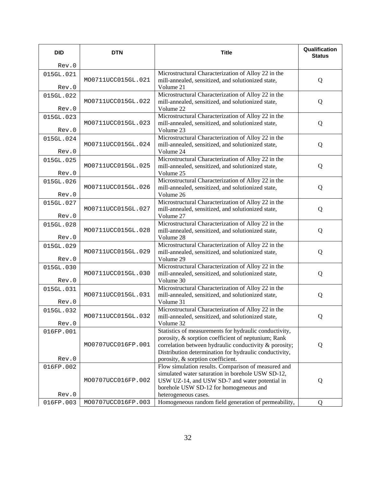| <b>DID</b> | <b>DTN</b>         | <b>Title</b>                                                                                                     | Qualification<br><b>Status</b> |
|------------|--------------------|------------------------------------------------------------------------------------------------------------------|--------------------------------|
| Rev.0      |                    |                                                                                                                  |                                |
| 015GL.021  |                    | Microstructural Characterization of Alloy 22 in the                                                              |                                |
| Rev.0      | MO0711UCC015GL.021 | mill-annealed, sensitized, and solutionized state,<br>Volume 21                                                  | Q                              |
| 015GL.022  |                    | Microstructural Characterization of Alloy 22 in the                                                              |                                |
| Rev.0      | MO0711UCC015GL.022 | mill-annealed, sensitized, and solutionized state,<br>Volume 22                                                  | Q                              |
| 015GL.023  |                    | Microstructural Characterization of Alloy 22 in the                                                              |                                |
|            | MO0711UCC015GL.023 | mill-annealed, sensitized, and solutionized state,                                                               | Q                              |
| Rev.0      |                    | Volume 23                                                                                                        |                                |
| 015GL.024  |                    | Microstructural Characterization of Alloy 22 in the                                                              |                                |
| Rev.0      | MO0711UCC015GL.024 | mill-annealed, sensitized, and solutionized state,<br>Volume 24                                                  | Q                              |
| 015GL.025  |                    | Microstructural Characterization of Alloy 22 in the                                                              |                                |
|            | MO0711UCC015GL.025 | mill-annealed, sensitized, and solutionized state,                                                               | Q                              |
| Rev.0      |                    | Volume 25                                                                                                        |                                |
| 015GL.026  | MO0711UCC015GL.026 | Microstructural Characterization of Alloy 22 in the                                                              |                                |
| Rev.0      |                    | mill-annealed, sensitized, and solutionized state,<br>Volume 26                                                  | Q                              |
| 015GL.027  |                    | Microstructural Characterization of Alloy 22 in the                                                              |                                |
|            | MO0711UCC015GL.027 | mill-annealed, sensitized, and solutionized state,                                                               | Q                              |
| Rev.0      |                    | Volume 27                                                                                                        |                                |
| 015GL.028  | MO0711UCC015GL.028 | Microstructural Characterization of Alloy 22 in the<br>mill-annealed, sensitized, and solutionized state,        | Q                              |
| Rev.0      |                    | Volume 28                                                                                                        |                                |
| 015GL.029  |                    | Microstructural Characterization of Alloy 22 in the                                                              |                                |
|            | MO0711UCC015GL.029 | mill-annealed, sensitized, and solutionized state,                                                               | Q                              |
| Rev.0      |                    | Volume 29                                                                                                        |                                |
| 015GL.030  | MO0711UCC015GL.030 | Microstructural Characterization of Alloy 22 in the<br>mill-annealed, sensitized, and solutionized state,        | Q                              |
| Rev.0      |                    | Volume 30                                                                                                        |                                |
| 015GL.031  |                    | Microstructural Characterization of Alloy 22 in the                                                              |                                |
|            | MO0711UCC015GL.031 | mill-annealed, sensitized, and solutionized state,                                                               | Q                              |
| Rev.0      |                    | Volume 31<br>Microstructural Characterization of Alloy 22 in the                                                 |                                |
| 015GL.032  | MO0711UCC015GL.032 | mill-annealed, sensitized, and solutionized state,                                                               | Q                              |
| Rev.0      |                    | Volume 32                                                                                                        |                                |
| 016FP.001  |                    | Statistics of measurements for hydraulic conductivity,                                                           |                                |
|            |                    | porosity, & sorption coefficient of neptunium; Rank                                                              |                                |
|            | MO0707UCC016FP.001 | correlation between hydraulic conductivity & porosity;<br>Distribution determination for hydraulic conductivity, | Q                              |
| Rev.0      |                    | porosity, & sorption coefficient.                                                                                |                                |
| 016FP.002  |                    | Flow simulation results. Comparison of measured and                                                              |                                |
|            |                    | simulated water saturation in borehole USW SD-12,                                                                |                                |
|            | MO0707UCC016FP.002 | USW UZ-14, and USW SD-7 and water potential in<br>borehole USW SD-12 for homogeneous and                         | Q                              |
| Rev.0      |                    | heterogeneous cases.                                                                                             |                                |
| 016FP.003  | MO0707UCC016FP.003 | Homogeneous random field generation of permeability,                                                             | Q                              |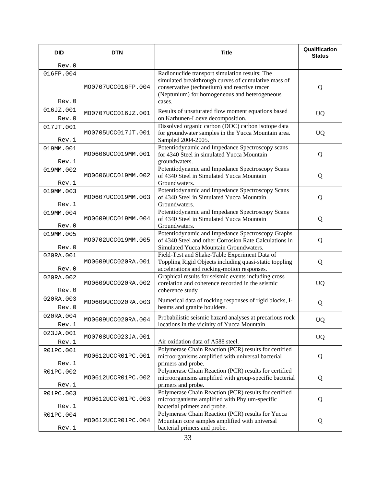| <b>DID</b>         | <b>DTN</b>         | <b>Title</b>                                                                                                                                                                                                      | Qualification<br><b>Status</b> |
|--------------------|--------------------|-------------------------------------------------------------------------------------------------------------------------------------------------------------------------------------------------------------------|--------------------------------|
| Rev.0              |                    |                                                                                                                                                                                                                   |                                |
| 016FP.004<br>Rev.0 | MO0707UCC016FP.004 | Radionuclide transport simulation results; The<br>simulated breakthrough curves of cumulative mass of<br>conservative (technetium) and reactive tracer<br>(Neptunium) for homogeneous and heterogeneous<br>cases. | Q                              |
| 016JZ.001<br>Rev.0 | MO0707UCC016JZ.001 | Results of unsaturated flow moment equations based<br>on Karhunen-Loeve decomposition.                                                                                                                            | <b>UQ</b>                      |
| 017JT.001<br>Rev.1 | MO0705UCC017JT.001 | Dissolved organic carbon (DOC) carbon isotope data<br>for groundwater samples in the Yucca Mountain area.<br>Sampled 2004-2005.                                                                                   | <b>UQ</b>                      |
| 019MM.001<br>Rev.1 | MO0606UCC019MM.001 | Potentiodynamic and Impedance Spectroscopy scans<br>for 4340 Steel in simulated Yucca Mountain<br>groundwaters.                                                                                                   | Q                              |
| 019MM.002<br>Rev.1 | MO0606UCC019MM.002 | Potentiodynamic and Impedance Spectroscopy Scans<br>of 4340 Steel in Simulated Yucca Mountain<br>Groundwaters.                                                                                                    | Q                              |
| 019MM.003<br>Rev.1 | MO0607UCC019MM.003 | Potentiodynamic and Impedance Spectroscopy Scans<br>of 4340 Steel in Simulated Yucca Mountain<br>Groundwaters.                                                                                                    | Q                              |
| 019MM.004<br>Rev.0 | MO0609UCC019MM.004 | Potentiodynamic and Impedance Spectroscopy Scans<br>of 4340 Steel in Simulated Yucca Mountain<br>Groundwaters.                                                                                                    | Q                              |
| 019MM.005<br>Rev.0 | MO0702UCC019MM.005 | Potentiodynamic and Impedance Spectroscopy Graphs<br>of 4340 Steel and other Corrosion Rate Calculations in<br>Simulated Yucca Mountain Groundwaters.                                                             | Q                              |
| 020RA.001<br>Rev.0 | MO0609UCC020RA.001 | Field-Test and Shake-Table Experiment Data of<br>Toppling Rigid Objects including quasi-static toppling<br>accelerations and rocking-motion responses.                                                            | Q                              |
| 020RA.002<br>Rev.0 | MO0609UCC020RA.002 | Graphical results for seismic events including cross<br>corelation and coherence recorded in the seismic<br>coherence study                                                                                       | <b>UQ</b>                      |
| 020RA.003<br>Rev.0 | MO0609UCC020RA.003 | Numerical data of rocking responses of rigid blocks, I-<br>beams and granite boulders.                                                                                                                            | Q                              |
| 020RA.004<br>Rev.1 | MO0609UCC020RA.004 | Probabilistic seismic hazard analyses at precarious rock<br>locations in the vicinity of Yucca Mountain                                                                                                           | UQ                             |
| 023JA.001<br>Rev.1 | MO0708UCC023JA.001 | Air oxidation data of A588 steel.                                                                                                                                                                                 | <b>UQ</b>                      |
| R01PC.001<br>Rev.1 | MO0612UCCR01PC.001 | Polymerase Chain Reaction (PCR) results for certified<br>microorganisms amplified with universal bacterial<br>primers and probe.                                                                                  | Q                              |
| R01PC.002<br>Rev.1 | MO0612UCCR01PC.002 | Polymerase Chain Reaction (PCR) results for certified<br>microorganisms amplified with group-specific bacterial<br>primers and probe.                                                                             | Q                              |
| R01PC.003<br>Rev.1 | MO0612UCCR01PC.003 | Polymerase Chain Reaction (PCR) results for certified<br>microorganisms amplified with Phylum-specific<br>bacterial primers and probe.                                                                            | Q                              |
| R01PC.004<br>Rev.1 | MO0612UCCR01PC.004 | Polymerase Chain Reaction (PCR) results for Yucca<br>Mountain core samples amplified with universal<br>bacterial primers and probe.                                                                               | Q                              |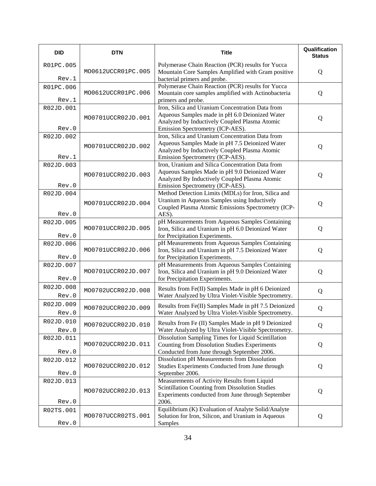| <b>DID</b>         | <b>DTN</b>         | <b>Title</b>                                                                                                                                                                            | Qualification<br><b>Status</b> |
|--------------------|--------------------|-----------------------------------------------------------------------------------------------------------------------------------------------------------------------------------------|--------------------------------|
| R01PC.005<br>Rev.1 | MO0612UCCR01PC.005 | Polymerase Chain Reaction (PCR) results for Yucca<br>Mountain Core Samples Amplified with Gram positive<br>bacterial primers and probe.                                                 | Q                              |
| R01PC.006<br>Rev.1 | MO0612UCCR01PC.006 | Polymerase Chain Reaction (PCR) results for Yucca<br>Mountain core samples amplified with Actinobacteria<br>primers and probe.                                                          | Q                              |
| R02JD.001<br>Rev.0 | MO0701UCCR02JD.001 | Iron, Silica and Uranium Concentration Data from<br>Aqueous Samples made in pH 6.0 Deionized Water<br>Analyzed by Inductively Coupled Plasma Atomic<br>Emission Spectrometry (ICP-AES). | Q                              |
| R02JD.002<br>Rev.1 | MO0701UCCR02JD.002 | Iron, Silica and Uranium Concentration Data from<br>Aqueous Samples Made in pH 7.5 Deionized Water<br>Analyzed by Inductively Coupled Plasma Atomic<br>Emission Spectrometry (ICP-AES). | Q                              |
| R02JD.003<br>Rev.0 | MO0701UCCR02JD.003 | Iron, Uranium and Silica Concentration Data from<br>Aqueous Samples Made in pH 9.0 Deionized Water<br>Analyzed By Inductively Coupled Plasma Atomic<br>Emission Spectrometry (ICP-AES). | Q                              |
| R02JD.004<br>Rev.0 | MO0701UCCR02JD.004 | Method Detection Limits (MDLs) for Iron, Silica and<br>Uranium in Aqueous Samples using Inductively<br>Coupled Plasma Atomic Emissions Spectrometry (ICP-<br>AES).                      | Q                              |
| R02JD.005<br>Rev.0 | MO0701UCCR02JD.005 | pH Measurements from Aqueous Samples Containing<br>Iron, Silica and Uranium in pH 6.0 Deionized Water<br>for Precipitation Experiments.                                                 | Q                              |
| R02JD.006<br>Rev.0 | MO0701UCCR02JD.006 | pH Measurements from Aqueous Samples Containing<br>Iron, Silica and Uranium in pH 7.5 Deionized Water<br>for Precipitation Experiments.                                                 | Q                              |
| R02JD.007<br>Rev.0 | MO0701UCCR02JD.007 | pH Measurements from Aqueous Samples Containing<br>Iron, Silica and Uranium in pH 9.0 Deionized Water<br>for Precipitation Experiments.                                                 | Q                              |
| R02JD.008<br>Rev.0 | MO0702UCCR02JD.008 | Results from Fe(II) Samples Made in pH 6 Deionized<br>Water Analyzed by Ultra Violet-Visible Spectrometry.                                                                              | Q                              |
| R02JD.009<br>Rev.0 | MO0702UCCR02JD.009 | Results from Fe(II) Samples Made in pH 7.5 Deionized<br>Water Analyzed by Ultra Violet-Visible Spectrometry.                                                                            | Q                              |
| R02JD.010<br>Rev.0 | MO0702UCCR02JD.010 | Results from Fe (II) Samples Made in pH 9 Deionized<br>Water Analyzed by Ultra Violet-Visible Spectrometry.                                                                             | Q                              |
| R02JD.011<br>Rev.0 | MO0702UCCR02JD.011 | Dissolution Sampling Times for Liquid Scintillation<br><b>Counting from Dissolution Studies Experiments</b><br>Conducted from June through September 2006.                              | Q                              |
| R02JD.012<br>Rev.0 | MO0702UCCR02JD.012 | Dissolution pH Measurements from Dissolution<br>Studies Experiments Conducted from June through<br>September 2006.                                                                      | Q                              |
| R02JD.013<br>Rev.0 | MO0702UCCR02JD.013 | Measurements of Activity Results from Liquid<br>Scintillation Counting from Dissolution Studies<br>Experiments conducted from June through September<br>2006.                           | Q                              |
| R02TS.001<br>Rev.0 | MO0707UCCR02TS.001 | Equilibrium (K) Evaluation of Analyte Solid/Analyte<br>Solution for Iron, Silicon, and Uranium in Aqueous<br>Samples                                                                    | Q                              |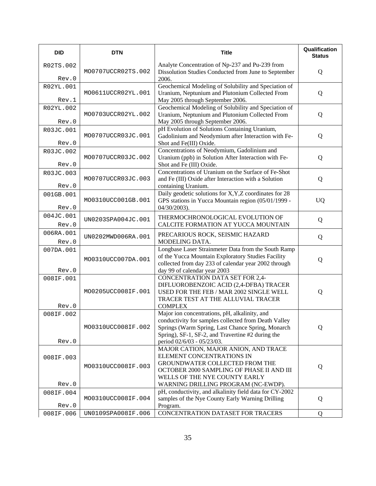| <b>DID</b>         | <b>DTN</b>         | <b>Title</b>                                                                                                                                                                                                                                  | Qualification<br><b>Status</b> |
|--------------------|--------------------|-----------------------------------------------------------------------------------------------------------------------------------------------------------------------------------------------------------------------------------------------|--------------------------------|
| R02TS.002<br>Rev.0 | MO0707UCCR02TS.002 | Analyte Concentration of Np-237 and Pu-239 from<br>Dissolution Studies Conducted from June to September<br>2006.                                                                                                                              | Q                              |
| R02YL.001<br>Rev.1 | MO0611UCCR02YL.001 | Geochemical Modeling of Solubility and Speciation of<br>Uranium, Neptunium and Plutonium Collected From<br>May 2005 through September 2006.                                                                                                   | Q                              |
| R02YL.002<br>Rev.0 | MO0703UCCR02YL.002 | Geochemical Modeling of Solubility and Speciation of<br>Uranium, Neptunium and Plutonium Collected From<br>May 2005 through September 2006.                                                                                                   | Q                              |
| R03JC.001<br>Rev.0 | MO0707UCCR03JC.001 | pH Evolution of Solutions Containing Uranium,<br>Gadolinium and Neodymium after Interaction with Fe-<br>Shot and Fe(III) Oxide.                                                                                                               | Q                              |
| R03JC.002<br>Rev.0 | MO0707UCCR03JC.002 | Concentrations of Neodymium, Gadolinium and<br>Uranium (ppb) in Solution After Interaction with Fe-<br>Shot and Fe (III) Oxide.                                                                                                               | Q                              |
| R03JC.003<br>Rev.0 | MO0707UCCR03JC.003 | Concentrations of Uranium on the Surface of Fe-Shot<br>and Fe (III) Oxide after Interaction with a Solution<br>containing Uranium.                                                                                                            | Q                              |
| 001GB.001<br>Rev.0 | MO0310UCC001GB.001 | Daily geodetic solutions for X, Y, Z coordinates for 28<br>GPS stations in Yucca Mountain region (05/01/1999 -<br>$04/30/2003$ ).                                                                                                             | <b>UQ</b>                      |
| 004JC.001<br>Rev.0 | UN0203SPA004JC.001 | THERMOCHRONOLOGICAL EVOLUTION OF<br>CALCITE FORMATION AT YUCCA MOUNTAIN                                                                                                                                                                       | Q                              |
| 006RA.001<br>Rev.0 | UN0202MWD006RA.001 | PRECARIOUS ROCK, SEISMIC HAZARD<br>MODELING DATA.                                                                                                                                                                                             | Q                              |
| 007DA.001<br>Rev.0 | MO0310UCC007DA.001 | Longbase Laser Strainmeter Data from the South Ramp<br>of the Yucca Mountain Exploratory Studies Facility<br>collected from day 233 of calendar year 2002 through<br>day 99 of calendar year 2003                                             | Q                              |
| 008IF.001<br>Rev.0 | MO0205UCC008IF.001 | CONCENTRATION DATA SET FOR 2,4-<br>DIFLUOROBENZOIC ACID (2,4-DFBA) TRACER<br>USED FOR THE FEB / MAR 2002 SINGLE WELL<br>TRACER TEST AT THE ALLUVIAL TRACER<br><b>COMPLEX</b>                                                                  | Q                              |
| 008IF.002<br>Rev.0 | MO0310UCC008IF.002 | Major ion concentrations, pH, alkalinity, and<br>conductivity for samples collected from Death Valley<br>Springs (Warm Spring, Last Chance Spring, Monarch<br>Spring), SF-1, SF-2, and Travertine #2 during the<br>period 02/6/03 - 05/23/03. | Q                              |
| 008IF.003<br>Rev.0 | MO0310UCC008IF.003 | MAJOR CATION, MAJOR ANION, AND TRACE<br>ELEMENT CONCENTRATIONS IN<br>GROUNDWATER COLLECTED FROM THE<br>OCTOBER 2000 SAMPLING OF PHASE II AND III<br>WELLS OF THE NYE COUNTY EARLY<br>WARNING DRILLING PROGRAM (NC-EWDP).                      | Q                              |
| 008IF.004<br>Rev.0 | MO0310UCC008IF.004 | pH, conductivity, and alkalinity field data for CY-2002<br>samples of the Nye County Early Warning Drilling<br>Program.                                                                                                                       | Q                              |
| 008IF.006          | UN0109SPA008IF.006 | CONCENTRATION DATASET FOR TRACERS                                                                                                                                                                                                             | Q                              |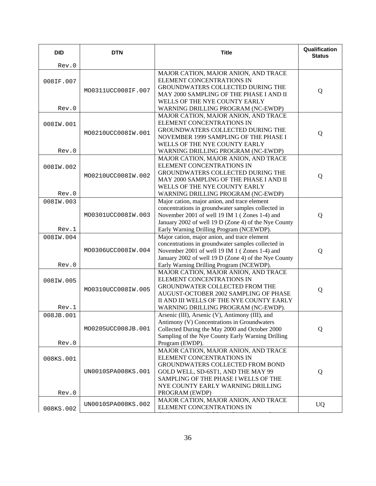| <b>DID</b>         | <b>DTN</b>         | <b>Title</b>                                                                                                                                                                                                                                            | Qualification<br><b>Status</b> |
|--------------------|--------------------|---------------------------------------------------------------------------------------------------------------------------------------------------------------------------------------------------------------------------------------------------------|--------------------------------|
| Rev.0              |                    |                                                                                                                                                                                                                                                         |                                |
| 008IF.007<br>Rev.0 | MO0311UCC008IF.007 | MAJOR CATION, MAJOR ANION, AND TRACE<br>ELEMENT CONCENTRATIONS IN<br>GROUNDWATERS COLLECTED DURING THE<br>MAY 2000 SAMPLING OF THE PHASE I AND II<br>WELLS OF THE NYE COUNTY EARLY<br>WARNING DRILLING PROGRAM (NC-EWDP)                                | Q                              |
| 008IW.001<br>Rev.0 | MO0210UCC008IW.001 | MAJOR CATION, MAJOR ANION, AND TRACE<br><b>ELEMENT CONCENTRATIONS IN</b><br>GROUNDWATERS COLLECTED DURING THE<br>NOVEMBER 1999 SAMPLING OF THE PHASE I<br>WELLS OF THE NYE COUNTY EARLY<br>WARNING DRILLING PROGRAM (NC-EWDP)                           | Q                              |
| 008IW.002<br>Rev.0 | MO0210UCC008IW.002 | MAJOR CATION, MAJOR ANION, AND TRACE<br><b>ELEMENT CONCENTRATIONS IN</b><br>GROUNDWATERS COLLECTED DURING THE<br>MAY 2000 SAMPLING OF THE PHASE I AND II<br>WELLS OF THE NYE COUNTY EARLY<br>WARNING DRILLING PROGRAM (NC-EWDP)                         | Q                              |
| 008IW.003<br>Rev.1 | MO0301UCC008IW.003 | Major cation, major anion, and trace element<br>concentrations in groundwater samples collected in<br>November 2001 of well 19 IM 1 (Zones 1-4) and<br>January 2002 of well 19 D (Zone 4) of the Nye County<br>Early Warning Drilling Program (NCEWDP). | Q                              |
| 008IW.004<br>Rev.0 | MO0306UCC008IW.004 | Major cation, major anion, and trace element<br>concentrations in groundwater samples collected in<br>November 2001 of well 19 IM 1 (Zones 1-4) and<br>January 2002 of well 19 D (Zone 4) of the Nye County<br>Early Warning Drilling Program (NCEWDP). | Q                              |
| 008IW.005<br>Rev.1 | MO0310UCC008IW.005 | MAJOR CATION, MAJOR ANION, AND TRACE<br><b>ELEMENT CONCENTRATIONS IN</b><br>GROUNDWATER COLLECTED FROM THE<br>AUGUST-OCTOBER 2002 SAMPLING OF PHASE<br>II AND III WELLS OF THE NYE COUNTY EARLY<br>WARNING DRILLING PROGRAM (NC-EWDP).                  | Q                              |
| 008JB.001<br>Rev.0 | MO0205UCC008JB.001 | Arsenic (III), Arsenic (V), Antimony (III), and<br>Antimony (V) Concentrations in Groundwaters<br>Collected During the May 2000 and October 2000<br>Sampling of the Nye County Early Warning Drilling<br>Program (EWDP).                                | Q                              |
| 008KS.001<br>Rev.0 | UN0010SPA008KS.001 | MAJOR CATION, MAJOR ANION, AND TRACE<br>ELEMENT CONCENTRATIONS IN<br>GROUNDWATERS COLLECTED FROM BOND<br>GOLD WELL, SD-6ST1, AND THE MAY 99<br>SAMPLING OF THE PHASE I WELLS OF THE<br>NYE COUNTY EARLY WARNING DRILLING<br>PROGRAM (EWDP)              | Q                              |
| 008KS.002          | UN0010SPA008KS.002 | MAJOR CATION, MAJOR ANION, AND TRACE<br>ELEMENT CONCENTRATIONS IN                                                                                                                                                                                       | <b>UQ</b>                      |

G O A S CO CONTRACTO DE LA CONTRACTO DE LA CONTRACTO DE LA CONTRACTO DE LA CONTRACTO DE LA CONTRACTO DE LA CON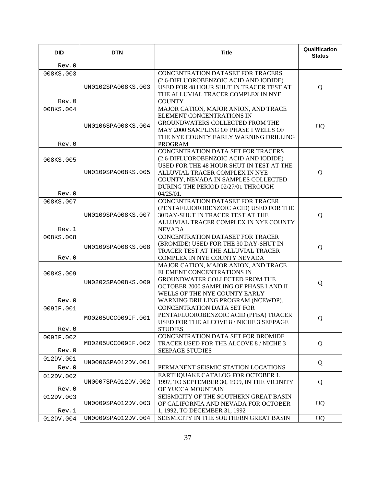| <b>DID</b>         | <b>DTN</b>         | <b>Title</b>                                                                                                                                                                                                                                           | Qualification<br><b>Status</b> |
|--------------------|--------------------|--------------------------------------------------------------------------------------------------------------------------------------------------------------------------------------------------------------------------------------------------------|--------------------------------|
| Rev.0              |                    |                                                                                                                                                                                                                                                        |                                |
| 008KS.003<br>Rev.0 | UN0102SPA008KS.003 | CONCENTRATION DATASET FOR TRACERS<br>(2,6-DIFLUOROBENZOIC ACID AND IODIDE)<br>USED FOR 48 HOUR SHUT IN TRACER TEST AT<br>THE ALLUVIAL TRACER COMPLEX IN NYE<br><b>COUNTY</b>                                                                           | Q                              |
| 008KS.004<br>Rev.0 | UN0106SPA008KS.004 | MAJOR CATION, MAJOR ANION, AND TRACE<br>ELEMENT CONCENTRATIONS IN<br>GROUNDWATERS COLLECTED FROM THE<br>MAY 2000 SAMPLING OF PHASE I WELLS OF<br>THE NYE COUNTY EARLY WARNING DRILLING<br><b>PROGRAM</b>                                               | <b>UQ</b>                      |
| 008KS.005<br>Rev.0 | UN0109SPA008KS.005 | CONCENTRATION DATA SET FOR TRACERS<br>(2,6-DIFLUOROBENZOIC ACID AND IODIDE)<br>USED FOR THE 48 HOUR SHUT IN TEST AT THE<br>ALLUVIAL TRACER COMPLEX IN NYE<br>COUNTY, NEVADA IN SAMPLES COLLECTED<br>DURING THE PERIOD 02/27/01 THROUGH<br>$04/25/01$ . | Q                              |
| 008KS.007<br>Rev.1 | UN0109SPA008KS.007 | <b>CONCENTRATION DATASET FOR TRACER</b><br>(PENTAFLUOROBENZOIC ACID) USED FOR THE<br>30DAY-SHUT IN TRACER TEST AT THE<br>ALLUVIAL TRACER COMPLEX IN NYE COUNTY<br><b>NEVADA</b>                                                                        | Q                              |
| 008KS.008<br>Rev.0 | UN0109SPA008KS.008 | CONCENTRATION DATASET FOR TRACER<br>(BROMIDE) USED FOR THE 30 DAY-SHUT IN<br>TRACER TEST AT THE ALLUVIAL TRACER<br>COMPLEX IN NYE COUNTY NEVADA                                                                                                        | Q                              |
| 008KS.009<br>Rev.0 | UN0202SPA008KS.009 | MAJOR CATION, MAJOR ANION, AND TRACE<br>ELEMENT CONCENTRATIONS IN<br>GROUNDWATER COLLECTED FROM THE<br>OCTOBER 2000 SAMPLING OF PHASE I AND II<br>WELLS OF THE NYE COUNTY EARLY<br>WARNING DRILLING PROGRAM (NCEWDP).                                  | Q                              |
| 009IF.001<br>Rev.0 | MO0205UCC009IF.001 | <b>CONCENTRATION DATA SET FOR</b><br>PENTAFLUOROBENZOIC ACID (PFBA) TRACER<br>USED FOR THE ALCOVE 8 / NICHE 3 SEEPAGE<br><b>STUDIES</b>                                                                                                                | Q                              |
| 009IF.002<br>Rev.0 | MO0205UCC009IF.002 | CONCENTRATION DATA SET FOR BROMIDE<br>TRACER USED FOR THE ALCOVE 8 / NICHE 3<br><b>SEEPAGE STUDIES</b>                                                                                                                                                 | Q                              |
| 012DV.001<br>Rev.0 | UN0006SPA012DV.001 | PERMANENT SEISMIC STATION LOCATIONS                                                                                                                                                                                                                    | Q                              |
| 012DV.002<br>Rev.0 | UN0007SPA012DV.002 | EARTHQUAKE CATALOG FOR OCTOBER 1,<br>1997, TO SEPTEMBER 30, 1999, IN THE VICINITY<br>OF YUCCA MOUNTAIN                                                                                                                                                 | Q                              |
| 012DV.003<br>Rev.1 | UN0009SPA012DV.003 | SEISMICITY OF THE SOUTHERN GREAT BASIN<br>OF CALIFORNIA AND NEVADA FOR OCTOBER<br>1, 1992, TO DECEMBER 31, 1992                                                                                                                                        | <b>UQ</b>                      |
| 012DV.004          | UN0009SPA012DV.004 | SEISMICITY IN THE SOUTHERN GREAT BASIN                                                                                                                                                                                                                 | <b>UQ</b>                      |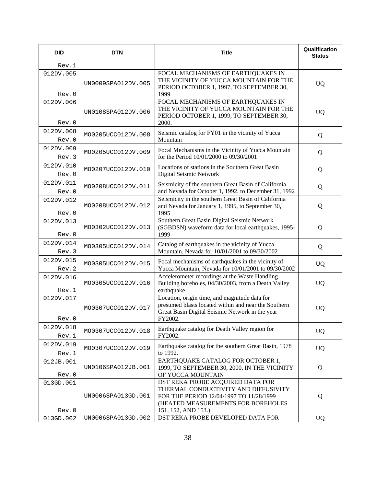| <b>DID</b>         | <b>DTN</b>         | <b>Title</b>                                                                                                                                                                     | Qualification<br><b>Status</b> |
|--------------------|--------------------|----------------------------------------------------------------------------------------------------------------------------------------------------------------------------------|--------------------------------|
| Rev.1              |                    |                                                                                                                                                                                  |                                |
| 012DV.005<br>Rev.0 | UN0009SPA012DV.005 | FOCAL MECHANISMS OF EARTHQUAKES IN<br>THE VICINITY OF YUCCA MOUNTAIN FOR THE<br>PERIOD OCTOBER 1, 1997, TO SEPTEMBER 30,<br>1999                                                 | <b>UQ</b>                      |
| 012DV.006<br>Rev.0 | UN0108SPA012DV.006 | FOCAL MECHANISMS OF EARTHQUAKES IN<br>THE VICINITY OF YUCCA MOUNTAIN FOR THE<br>PERIOD OCTOBER 1, 1999, TO SEPTEMBER 30,<br>2000.                                                | <b>UQ</b>                      |
| 012DV.008<br>Rev.0 | MO0205UCC012DV.008 | Seismic catalog for FY01 in the vicinity of Yucca<br>Mountain                                                                                                                    | Q                              |
| 012DV.009<br>Rev.3 | MO0205UCC012DV.009 | Focal Mechanisms in the Vicinity of Yucca Mountain<br>for the Period 10/01/2000 to 09/30/2001                                                                                    | Q                              |
| 012DV.010<br>Rev.0 | MO0207UCC012DV.010 | Locations of stations in the Southern Great Basin<br>Digital Seismic Network                                                                                                     | Q                              |
| 012DV.011<br>Rev.0 | MO0208UCC012DV.011 | Seismicity of the southern Great Basin of California<br>and Nevada for October 1, 1992, to December 31, 1992                                                                     | Q                              |
| 012DV.012<br>Rev.0 | MO0208UCC012DV.012 | Seismicity in the southern Great Basin of California<br>and Nevada for January 1, 1995, to September 30,<br>1995                                                                 | Q                              |
| 012DV.013<br>Rev.0 | MO0302UCC012DV.013 | Southern Great Basin Digital Seismic Network<br>(SGBDSN) waveform data for local earthquakes, 1995-<br>1999                                                                      | Q                              |
| 012DV.014<br>Rev.3 | MO0305UCC012DV.014 | Catalog of earthquakes in the vicinity of Yucca<br>Mountain, Nevada for 10/01/2001 to 09/30/2002                                                                                 | Q                              |
| 012DV.015<br>Rev.2 | MO0305UCC012DV.015 | Focal mechanisms of earthquakes in the vicinity of<br>Yucca Mountain, Nevada for 10/01/2001 to 09/30/2002                                                                        | <b>UQ</b>                      |
| 012DV.016<br>Rev.1 | MO0305UCC012DV.016 | Accelerometer recordings at the Waste Handling<br>Building boreholes, 04/30/2003, from a Death Valley<br>earthquake                                                              | <b>UQ</b>                      |
| 012DV.017<br>Rev.0 | MO0307UCC012DV.017 | Location, origin time, and magnitude data for<br>presumed blasts located within and near the Southern<br>Great Basin Digital Seismic Network in the year<br>FY2002.              | <b>UQ</b>                      |
| 012DV.018<br>Rev.1 | MO0307UCC012DV.018 | Earthquake catalog for Death Valley region for<br>FY2002.                                                                                                                        | <b>UQ</b>                      |
| 012DV.019<br>Rev.1 | MO0307UCC012DV.019 | Earthquake catalog for the southern Great Basin, 1978<br>to 1992.                                                                                                                | <b>UQ</b>                      |
| 012JB.001<br>Rev.0 | UN0106SPA012JB.001 | EARTHQUAKE CATALOG FOR OCTOBER 1,<br>1999, TO SEPTEMBER 30, 2000, IN THE VICINITY<br>OF YUCCA MOUNTAIN                                                                           | Q                              |
| 013GD.001<br>Rev.0 | UN0006SPA013GD.001 | DST REKA PROBE ACQUIRED DATA FOR<br>THERMAL CONDUCTIVITY AND DIFFUSIVITY<br>FOR THE PERIOD 12/04/1997 TO 11/28/1999<br>(HEATED MEASUREMENTS FOR BOREHOLES<br>151, 152, AND 153.) | Q                              |
| 013GD.002          | UN0006SPA013GD.002 | DST REKA PROBE DEVELOPED DATA FOR                                                                                                                                                | <b>UQ</b>                      |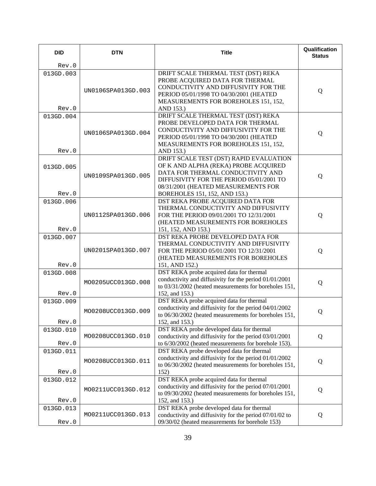| <b>DID</b>         | <b>DTN</b>         | <b>Title</b>                                                                                                                                                                                                   | Qualification<br><b>Status</b> |
|--------------------|--------------------|----------------------------------------------------------------------------------------------------------------------------------------------------------------------------------------------------------------|--------------------------------|
| Rev.0              |                    |                                                                                                                                                                                                                |                                |
| 013GD.003<br>Rev.0 | UN0106SPA013GD.003 | DRIFT SCALE THERMAL TEST (DST) REKA<br>PROBE ACQUIRED DATA FOR THERMAL<br>CONDUCTIVITY AND DIFFUSIVITY FOR THE<br>PERIOD 05/01/1998 TO 04/30/2001 (HEATED<br>MEASUREMENTS FOR BOREHOLES 151, 152,<br>AND 153.) | Q                              |
| 013GD.004          |                    | DRIFT SCALE THERMAL TEST (DST) REKA                                                                                                                                                                            |                                |
| Rev.0              | UN0106SPA013GD.004 | PROBE DEVELOPED DATA FOR THERMAL<br>CONDUCTIVITY AND DIFFUSIVITY FOR THE<br>PERIOD 05/01/1998 TO 04/30/2001 (HEATED<br>MEASUREMENTS FOR BOREHOLES 151, 152,<br>AND 153.)                                       | Q                              |
|                    |                    | DRIFT SCALE TEST (DST) RAPID EVALUATION                                                                                                                                                                        |                                |
| 013GD.005<br>Rev.0 | UN0109SPA013GD.005 | OF K AND ALPHA (REKA) PROBE ACQUIRED<br>DATA FOR THERMAL CONDUCTIVITY AND<br>DIFFUSIVITY FOR THE PERIOD 05/01/2001 TO<br>08/31/2001 (HEATED MEASUREMENTS FOR<br>BOREHOLES 151, 152, AND 153.)                  | Q                              |
| 013GD.006          |                    | DST REKA PROBE ACQUIRED DATA FOR                                                                                                                                                                               |                                |
| Rev.0              | UN0112SPA013GD.006 | THERMAL CONDUCTIVITY AND DIFFUSIVITY<br>FOR THE PERIOD 09/01/2001 TO 12/31/2001<br>(HEATED MEASUREMENTS FOR BOREHOLES<br>151, 152, AND 153.)                                                                   | Q                              |
| 013GD.007<br>Rev.0 | UN0201SPA013GD.007 | DST REKA PROBE DEVELOPED DATA FOR<br>THERMAL CONDUCTIVITY AND DIFFUSIVITY<br>FOR THE PERIOD 05/01/2001 TO 12/31/2001<br>(HEATED MEASUREMENTS FOR BOREHOLES<br>151, AND 152.)                                   | Q                              |
| 013GD.008<br>Rev.0 | MO0205UCC013GD.008 | DST REKA probe acquired data for thermal<br>conductivity and diffusivity for the period 01/01/2001<br>to 03/31/2002 (heated measurements for boreholes 151,<br>152, and 153.)                                  | Q                              |
| 013GD.009<br>Rev.0 | MO0208UCC013GD.009 | DST REKA probe acquired data for thermal<br>conductivity and diffusivity for the period 04/01/2002<br>to 06/30/2002 (heated measurements for boreholes 151,<br>152, and 153.)                                  | Q                              |
| 013GD.010<br>Rev.0 | MO0208UCC013GD.010 | DST REKA probe developed data for thermal<br>conductivity and diffusivity for the period 03/01/2001<br>to 6/30/2002 (heated measurements for borehole 153).                                                    | Q                              |
| 013GD.011<br>Rev.0 | MO0208UCC013GD.011 | DST REKA probe developed data for thermal<br>conductivity and diffusivity for the period 01/01/2002<br>to 06/30/2002 (heated measurements for boreholes 151,<br>152)                                           | Q                              |
| 013GD.012<br>Rev.0 | MO0211UCC013GD.012 | DST REKA probe acquired data for thermal<br>conductivity and diffusivity for the period 07/01/2001<br>to 09/30/2002 (heated measurements for boreholes 151,<br>152, and 153.)                                  | Q                              |
| 013GD.013<br>Rev.0 | MO0211UCC013GD.013 | DST REKA probe developed data for thermal<br>conductivity and diffusivity for the period 07/01/02 to<br>09/30/02 (heated measurements for borehole 153)                                                        | Q                              |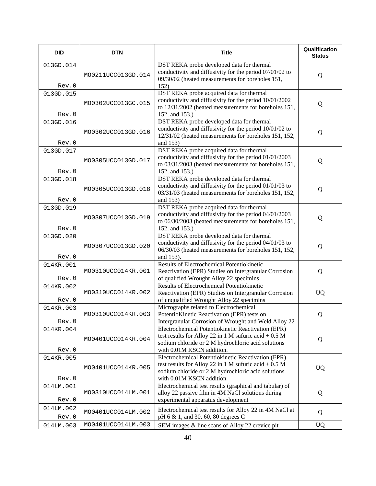| <b>DID</b>         | <b>DTN</b>         | <b>Title</b>                                                                                                                                                                                    | Qualification<br><b>Status</b> |
|--------------------|--------------------|-------------------------------------------------------------------------------------------------------------------------------------------------------------------------------------------------|--------------------------------|
| 013GD.014<br>Rev.0 | MO0211UCC013GD.014 | DST REKA probe developed data for thermal<br>conductivity and diffusivity for the period 07/01/02 to<br>09/30/02 (heated measurements for boreholes 151,<br>152)                                | Q                              |
| 013GD.015<br>Rev.0 | MO0302UCC013GC.015 | DST REKA probe acquired data for thermal<br>conductivity and diffusivity for the period 10/01/2002<br>to 12/31/2002 (heated measurements for boreholes 151,<br>152, and 153.)                   | Q                              |
| 013GD.016<br>Rev.0 | MO0302UCC013GD.016 | DST REKA probe developed data for thermal<br>conductivity and diffusivity for the period 10/01/02 to<br>12/31/02 (heated measurements for boreholes 151, 152,<br>and 153)                       | Q                              |
| 013GD.017<br>Rev.0 | MO0305UCC013GD.017 | DST REKA probe acquired data for thermal<br>conductivity and diffusivity for the period 01/01/2003<br>to 03/31/2003 (heated measurements for boreholes 151,<br>152, and 153.)                   | Q                              |
| 013GD.018<br>Rev.0 | MO0305UCC013GD.018 | DST REKA probe developed data for thermal<br>conductivity and diffusivity for the period 01/01/03 to<br>03/31/03 (heated measurements for boreholes 151, 152,<br>and 153)                       | Q                              |
| 013GD.019<br>Rev.0 | MO0307UCC013GD.019 | DST REKA probe acquired data for thermal<br>conductivity and diffusivity for the period 04/01/2003<br>to 06/30/2003 (heated measurements for boreholes 151,<br>152, and 153.)                   | Q                              |
| 013GD.020<br>Rev.0 | MO0307UCC013GD.020 | DST REKA probe developed data for thermal<br>conductivity and diffusivity for the period 04/01/03 to<br>06/30/03 (heated measurements for boreholes 151, 152,<br>and 153).                      | Q                              |
| 014KR.001<br>Rev.0 | MO0310UCC014KR.001 | Results of Electrochemical Potentiokinetic<br>Reactivation (EPR) Studies on Intergranular Corrosion<br>of qualified Wrought Alloy 22 specimins                                                  | Q                              |
| 014KR.002<br>Rev.0 | MO0310UCC014KR.002 | Results of Electrochemical Potentiokinetic<br>Reactivation (EPR) Studies on Intergranular Corrosion<br>of unqualified Wrought Alloy 22 specimins                                                | <b>UQ</b>                      |
| 014KR.003<br>Rev.0 | MO0310UCC014KR.003 | Micrographs related to Electrochemical<br>PotentioKinetic Reactivation (EPR) tests on<br>Intergranular Corrosion of Wrought and Weld Alloy 22                                                   | Q                              |
| 014KR.004<br>Rev.0 | MO0401UCC014KR.004 | Electrochemical Potentiokinetic Reactivation (EPR)<br>test results for Alloy 22 in 1 M sufuric acid $+0.5$ M<br>sodium chloride or 2 M hydrochloric acid solutions<br>with 0.01M KSCN addition. | Q                              |
| 014KR.005<br>Rev.0 | MO0401UCC014KR.005 | Electrochemical Potentiokinetic Reactivation (EPR)<br>test results for Alloy 22 in 1 M sufuric acid $+0.5$ M<br>sodium chloride or 2 M hydrochloric acid solutions<br>with 0.01M KSCN addition. | <b>UQ</b>                      |
| 014LM.001<br>Rev.0 | MO0310UCC014LM.001 | Electrochemical test results (graphical and tabular) of<br>alloy 22 passive film in 4M NaCl solutions during<br>experimental apparatus development                                              | Q                              |
| 014LM.002<br>Rev.0 | MO0401UCC014LM.002 | Electrochemical test results for Alloy 22 in 4M NaCl at<br>pH 6 & 1, and 30, 60, 80 degrees C                                                                                                   | Q                              |
| 014LM.003          | MO0401UCC014LM.003 | SEM images & line scans of Alloy 22 crevice pit                                                                                                                                                 | <b>UQ</b>                      |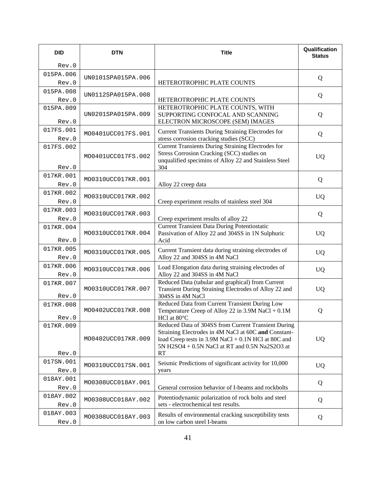| <b>DID</b>         | <b>DTN</b>         | <b>Title</b>                                                                                                                                                                   | Qualification<br><b>Status</b> |
|--------------------|--------------------|--------------------------------------------------------------------------------------------------------------------------------------------------------------------------------|--------------------------------|
| Rev.0              |                    |                                                                                                                                                                                |                                |
| 015PA.006          | UN0101SPA015PA.006 |                                                                                                                                                                                | Q                              |
| Rev.0              |                    | HETEROTROPHIC PLATE COUNTS                                                                                                                                                     |                                |
| 015PA.008          | UN0112SPA015PA.008 |                                                                                                                                                                                | Q                              |
| Rev.0<br>015PA.009 |                    | HETEROTROPHIC PLATE COUNTS<br>HETEROTROPHIC PLATE COUNTS, WITH                                                                                                                 |                                |
| Rev.0              | UN0201SPA015PA.009 | SUPPORTING CONFOCAL AND SCANNING<br>ELECTRON MICROSCOPE (SEM) IMAGES                                                                                                           | Q                              |
| 017FS.001<br>Rev.0 | MO0401UCC017FS.001 | <b>Current Transients During Straining Electrodes for</b><br>stress corrosion cracking studies (SCC)                                                                           | Q                              |
| 017FS.002          | MO0401UCC017FS.002 | <b>Current Transients During Straining Electrodes for</b><br>Stress Corrosion Cracking (SCC) studies on<br>unqualified specimins of Alloy 22 and Stainless Steel               | <b>UQ</b>                      |
| Rev.0              |                    | 304                                                                                                                                                                            |                                |
| 017KR.001<br>Rev.0 | MO0310UCC017KR.001 | Alloy 22 creep data                                                                                                                                                            | Q                              |
| 017KR.002          | MO0310UCC017KR.002 |                                                                                                                                                                                | <b>UQ</b>                      |
| Rev.0              |                    | Creep experiment results of stainless steel 304                                                                                                                                |                                |
| 017KR.003          | MO0310UCC017KR.003 |                                                                                                                                                                                | Q                              |
| Rev.0<br>017KR.004 |                    | Creep experiment results of alloy 22<br><b>Current Transient Data During Potentiostatic</b>                                                                                    |                                |
| Rev.0              | MO0310UCC017KR.004 | Passivation of Alloy 22 and 304SS in 1N Sulphuric<br>Acid                                                                                                                      | <b>UQ</b>                      |
| 017KR.005<br>Rev.0 | MO0310UCC017KR.005 | Current Transient data during straining electrodes of<br>Alloy 22 and 304SS in 4M NaCl                                                                                         | <b>UQ</b>                      |
| 017KR.006<br>Rev.0 | MO0310UCC017KR.006 | Load Elongation data during straining electrodes of<br>Alloy 22 and 304SS in 4M NaCl                                                                                           | <b>UQ</b>                      |
| 017KR.007<br>Rev.0 | MO0310UCC017KR.007 | Reduced Data (tabular and graphical) from Current<br>Transient During Straining Electrodes of Alloy 22 and<br>304SS in 4M NaCl                                                 | <b>UQ</b>                      |
| 017KR.008<br>Rev.0 | MO0402UCC017KR.008 | Reduced Data from Current Transient During Low<br>Temperature Creep of Alloy 22 in $3.9M$ NaCl + $0.1M$<br>HCl at $80^{\circ}$ C                                               | Q                              |
| 017KR.009          |                    | Reduced Data of 304SS from Current Transient During                                                                                                                            |                                |
| Rev.0              | MO0402UCC017KR.009 | Straining Electrodes in 4M NaCl at 60C and Constant-<br>load Creep tests in $3.9M$ NaCl + $0.1N$ HCl at 80C and<br>5N H2SO4 + 0.5N NaCl at RT and 0.5N Na2S2O3 at<br><b>RT</b> | <b>UQ</b>                      |
| 017SN.001          |                    | Seismic Predictions of significant activity for 10,000                                                                                                                         |                                |
| Rev.0              | MO0310UCC017SN.001 | years                                                                                                                                                                          | <b>UQ</b>                      |
| 018AY.001<br>Rev.0 | MO0308UCC018AY.001 | General corrosion behavior of I-beams and rockbolts                                                                                                                            | Q                              |
| 018AY.002<br>Rev.0 | MO0308UCC018AY.002 | Potentiodynamic polarization of rock bolts and steel<br>sets - electrochemical test results.                                                                                   | Q                              |
| 018AY.003<br>Rev.0 | MO0308UCC018AY.003 | Results of environmental cracking susceptibility tests<br>on low carbon steel I-beams                                                                                          | Q                              |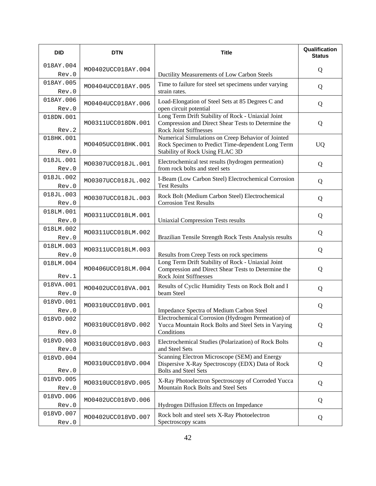| <b>DID</b>                  | <b>DTN</b>         | <b>Title</b>                                                                                                                                                                | Qualification<br><b>Status</b> |
|-----------------------------|--------------------|-----------------------------------------------------------------------------------------------------------------------------------------------------------------------------|--------------------------------|
| 018AY.004<br>Rev.0          | MO0402UCC018AY.004 | Ductility Measurements of Low Carbon Steels                                                                                                                                 | Q                              |
| 018AY.005                   |                    | Time to failure for steel set specimens under varying                                                                                                                       |                                |
| Rev.0                       | MO0404UCC018AY.005 | strain rates.                                                                                                                                                               | Q                              |
| 018AY.006                   | MO0404UCC018AY.006 | Load-Elongation of Steel Sets at 85 Degrees C and                                                                                                                           | Q                              |
| Rev.0                       |                    | open circuit potential                                                                                                                                                      |                                |
| 018DN.001                   | MO0311UCC018DN.001 | Long Term Drift Stability of Rock - Uniaxial Joint<br>Compression and Direct Shear Tests to Determine the                                                                   | Q                              |
| Rev.2<br>018HK.001<br>Rev.0 | MO0405UCC018HK.001 | <b>Rock Joint Stiffnesses</b><br>Numerical Simulations on Creep Behavior of Jointed<br>Rock Specimen to Predict Time-dependent Long Term<br>Stability of Rock Using FLAC 3D | <b>UQ</b>                      |
| 018JL.001<br>Rev.0          | MO0307UCC018JL.001 | Electrochemical test results (hydrogen permeation)<br>from rock bolts and steel sets                                                                                        | Q                              |
| 018JL.002<br>Rev.0          | MO0307UCC018JL.002 | I-Beam (Low Carbon Steel) Electrochemical Corrosion<br><b>Test Results</b>                                                                                                  | Q                              |
| 018JL.003<br>Rev.0          | MO0307UCC018JL.003 | Rock Bolt (Medium Carbon Steel) Electrochemical<br><b>Corrosion Test Results</b>                                                                                            | Q                              |
| 018LM.001<br>Rev.0          | MO0311UCC018LM.001 | <b>Uniaxial Compression Tests results</b>                                                                                                                                   | Q                              |
| 018LM.002<br>Rev.0          | MO0311UCC018LM.002 | Brazilian Tensile Strength Rock Tests Analysis results                                                                                                                      | Q                              |
| 018LM.003<br>Rev.0          | MO0311UCC018LM.003 | Results from Creep Tests on rock specimens                                                                                                                                  | Q                              |
| 018LM.004<br>Rev.1          | MO0406UCC018LM.004 | Long Term Drift Stability of Rock - Uniaxial Joint<br>Compression and Direct Shear Tests to Determine the<br><b>Rock Joint Stiffnesses</b>                                  | Q                              |
| 018VA.001<br>Rev.0          | MO0402UCC018VA.001 | Results of Cyclic Humidity Tests on Rock Bolt and I<br>beam Steel                                                                                                           | Q                              |
| 018VD.001<br>Rev.0          | MO0310UCC018VD.001 | Impedance Spectra of Medium Carbon Steel                                                                                                                                    | Q                              |
| 018VD.002<br>Rev.0          | MO0310UCC018VD.002 | Electrochemical Corrosion (Hydrogen Permeation) of<br>Yucca Mountain Rock Bolts and Steel Sets in Varying<br>Conditions                                                     | Q                              |
| 018VD.003<br>Rev.0          | MO0310UCC018VD.003 | Electrochemical Studies (Polarization) of Rock Bolts<br>and Steel Sets                                                                                                      | Q                              |
| 018VD.004<br>Rev.0          | MO0310UCC018VD.004 | Scanning Electron Microscope (SEM) and Energy<br>Dispersive X-Ray Spectroscopy (EDX) Data of Rock<br><b>Bolts and Steel Sets</b>                                            | Q                              |
| 018VD.005<br>Rev.0          | MO0310UCC018VD.005 | X-Ray Photoelectron Spectroscopy of Corroded Yucca<br>Mountain Rock Bolts and Steel Sets                                                                                    | Q                              |
| 018VD.006<br>Rev.0          | MO0402UCC018VD.006 | Hydrogen Diffusion Effects on Impedance                                                                                                                                     | Q                              |
| 018VD.007<br>Rev.0          | MO0402UCC018VD.007 | Rock bolt and steel sets X-Ray Photoelectron<br>Spectroscopy scans                                                                                                          | Q                              |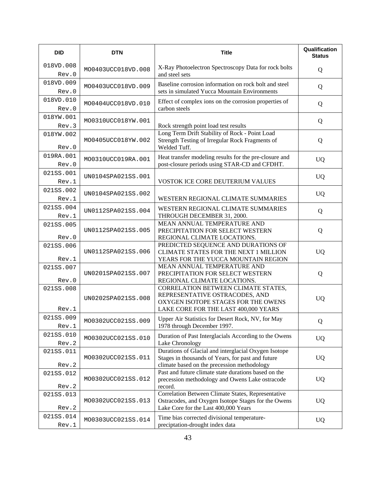| <b>DID</b>         | <b>DTN</b>         | <b>Title</b>                                                                                                                                             | Qualification<br><b>Status</b> |
|--------------------|--------------------|----------------------------------------------------------------------------------------------------------------------------------------------------------|--------------------------------|
| 018VD.008<br>Rev.0 | MO0403UCC018VD.008 | X-Ray Photoelectron Spectroscopy Data for rock bolts<br>and steel sets                                                                                   | Q                              |
| 018VD.009<br>Rev.0 | MO0403UCC018VD.009 | Baseline corrosion information on rock bolt and steel<br>sets in simulated Yucca Mountain Environments                                                   | Q                              |
| 018VD.010<br>Rev.0 | MO0404UCC018VD.010 | Effect of complex ions on the corrosion properties of<br>carbon steels                                                                                   | Q                              |
| 018YW.001<br>Rev.3 | MO0310UCC018YW.001 | Rock strength point load test results                                                                                                                    | Q                              |
| 018YW.002<br>Rev.0 | MO0405UCC018YW.002 | Long Term Drift Stability of Rock - Point Load<br>Strength Testing of Irregular Rock Fragments of<br>Welded Tuff.                                        | Q                              |
| 019RA.001<br>Rev.0 | MO0310UCC019RA.001 | Heat transfer modeling results for the pre-closure and<br>post-closure periods using STAR-CD and CFDHT.                                                  | <b>UQ</b>                      |
| 021SS.001<br>Rev.1 | UN0104SPA021SS.001 | VOSTOK ICE CORE DEUTERIUM VALUES                                                                                                                         | <b>UQ</b>                      |
| 021SS.002<br>Rev.1 | UN0104SPA021SS.002 | WESTERN REGIONAL CLIMATE SUMMARIES                                                                                                                       | <b>UQ</b>                      |
| 021SS.004<br>Rev.1 | UN0112SPA021SS.004 | WESTERN REGIONAL CLIMATE SUMMARIES<br>THROUGH DECEMBER 31, 2000.                                                                                         | Q                              |
| 021SS.005<br>Rev.0 | UN0112SPA021SS.005 | MEAN ANNUAL TEMPERATURE AND<br>PRECIPITATION FOR SELECT WESTERN<br>REGIONAL CLIMATE LOCATIONS.                                                           | Q                              |
| 021SS.006<br>Rev.1 | UN0112SPA021SS.006 | PREDICTED SEQUENCE AND DURATIONS OF<br>CLIMATE STATES FOR THE NEXT 1 MILLION<br>YEARS FOR THE YUCCA MOUNTAIN REGION                                      | <b>UQ</b>                      |
| 021SS.007<br>Rev.0 | UN0201SPA021SS.007 | MEAN ANNUAL TEMPERATURE AND<br>PRECIPITATION FOR SELECT WESTERN<br>REGIONAL CLIMATE LOCATIONS.                                                           | Q                              |
| 021SS.008<br>Rev.1 | UN0202SPA021SS.008 | CORRELATION BETWEEN CLIMATE STATES,<br>REPRESENTATIVE OSTRACODES, AND<br>OXYGEN ISOTOPE STAGES FOR THE OWENS<br>LAKE CORE FOR THE LAST 400,000 YEARS     | <b>UQ</b>                      |
| 021SS.009<br>Rev.1 | MO0302UCC021SS.009 | Upper Air Statistics for Desert Rock, NV, for May<br>1978 through December 1997.                                                                         | Q                              |
| 021SS.010<br>Rev.2 | MO0302UCC021SS.010 | Duration of Past Interglacials According to the Owens<br>Lake Chronology                                                                                 | <b>UQ</b>                      |
| 021SS.011<br>Rev.2 | MO0302UCC021SS.011 | Durations of Glacial and interglacial Oxygen Isotope<br>Stages in thousands of Years, for past and future<br>climate based on the precession methodology | <b>UQ</b>                      |
| 021SS.012<br>Rev.2 | MO0302UCC021SS.012 | Past and future climate state durations based on the<br>precession methodology and Owens Lake ostracode<br>record.                                       | <b>UQ</b>                      |
| 021SS.013<br>Rev.2 | MO0302UCC021SS.013 | Correlation Between Climate States, Representative<br>Ostracodes, and Oxygen Isotope Stages for the Owens<br>Lake Core for the Last 400,000 Years        | <b>UQ</b>                      |
| 021SS.014<br>Rev.1 | MO0303UCC021SS.014 | Time bias corrected divisional temperature-<br>preciptation-drought index data                                                                           | <b>UQ</b>                      |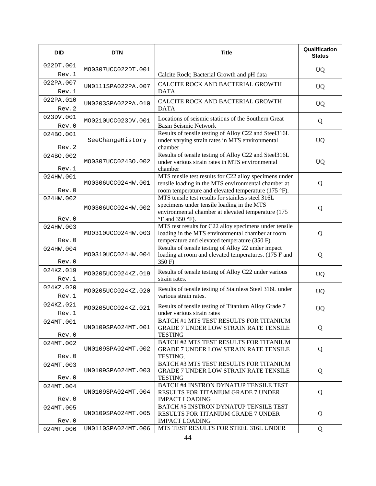| <b>DID</b>         | <b>DTN</b>         | <b>Title</b>                                                                                                                                                                                    | Qualification<br><b>Status</b> |
|--------------------|--------------------|-------------------------------------------------------------------------------------------------------------------------------------------------------------------------------------------------|--------------------------------|
| 022DT.001<br>Rev.1 | MO0307UCC022DT.001 | Calcite Rock; Bacterial Growth and pH data                                                                                                                                                      | <b>UQ</b>                      |
| 022PA.007<br>Rev.1 | UN0111SPA022PA.007 | CALCITE ROCK AND BACTERIAL GROWTH<br><b>DATA</b>                                                                                                                                                | <b>UQ</b>                      |
| 022PA.010<br>Rev.2 | UN0203SPA022PA.010 | CALCITE ROCK AND BACTERIAL GROWTH<br><b>DATA</b>                                                                                                                                                | <b>UQ</b>                      |
| 023DV.001<br>Rev.0 | MO0210UCC023DV.001 | Locations of seismic stations of the Southern Great<br><b>Basin Seismic Network</b>                                                                                                             | Q                              |
| 024BO.001<br>Rev.2 | SeeChangeHistory   | Results of tensile testing of Alloy C22 and Steel316L<br>under varying strain rates in MTS environmental<br>chamber                                                                             | <b>UQ</b>                      |
| 024BO.002<br>Rev.1 | MO0307UCC024BO.002 | Results of tensile testing of Alloy C22 and Steel316L<br>under various strain rates in MTS environmental<br>chamber                                                                             | <b>UQ</b>                      |
| 024HW.001<br>Rev.0 | MO0306UCC024HW.001 | MTS tensile test results for C22 alloy specimens under<br>tensile loading in the MTS environmental chamber at<br>room temperature and elevated temperature (175 °F).                            | Q                              |
| 024HW.002<br>Rev.0 | MO0306UCC024HW.002 | MTS tensile test results for stainless steel 316L<br>specimens under tensile loading in the MTS<br>environmental chamber at elevated temperature (175<br>$\mathrm{P}F$ and 350 $\mathrm{P}F$ ). | Q                              |
| 024HW.003<br>Rev.0 | MO0310UCC024HW.003 | MTS test results for C22 alloy specimens under tensile<br>loading in the MTS environmental chamber at room<br>temperature and elevated temperature (350 F).                                     | Q                              |
| 024HW.004<br>Rev.0 | MO0310UCC024HW.004 | Results of tensile testing of Alloy 22 under impact<br>loading at room and elevated temperatures. (175 F and<br>350 F)                                                                          | Q                              |
| 024KZ.019<br>Rev.1 | MO0205UCC024KZ.019 | Results of tensile testing of Alloy C22 under various<br>strain rates.                                                                                                                          | <b>UQ</b>                      |
| 024KZ.020<br>Rev.1 | MO0205UCC024KZ.020 | Results of tensile testing of Stainless Steel 316L under<br>various strain rates.                                                                                                               | <b>UQ</b>                      |
| 024KZ.021<br>Rev.1 | MO0205UCC024KZ.021 | Results of tensile testing of Titanium Alloy Grade 7<br>under various strain rates                                                                                                              | <b>UQ</b>                      |
| 024MT.001<br>Rev.0 | UN0109SPA024MT.001 | BATCH #1 MTS TEST RESULTS FOR TITANIUM<br><b>GRADE 7 UNDER LOW STRAIN RATE TENSILE</b><br><b>TESTING</b>                                                                                        | Q                              |
| 024MT.002<br>Rev.0 | UN0109SPA024MT.002 | BATCH #2 MTS TEST RESULTS FOR TITANIUM<br><b>GRADE 7 UNDER LOW STRAIN RATE TENSILE</b>                                                                                                          | Q                              |
| 024MT.003<br>Rev.0 | UN0109SPA024MT.003 | TESTING.<br>BATCH #3 MTS TEST RESULTS FOR TITANIUM<br><b>GRADE 7 UNDER LOW STRAIN RATE TENSILE</b><br><b>TESTING</b>                                                                            | Q                              |
| 024MT.004<br>Rev.0 | UN0109SPA024MT.004 | BATCH #4 INSTRON DYNATUP TENSILE TEST<br>RESULTS FOR TITANIUM GRADE 7 UNDER<br><b>IMPACT LOADING</b>                                                                                            | Q                              |
| 024MT.005<br>Rev.0 | UN0109SPA024MT.005 | BATCH #5 INSTRON DYNATUP TENSILE TEST<br>RESULTS FOR TITANIUM GRADE 7 UNDER<br><b>IMPACT LOADING</b>                                                                                            | Q                              |
| 024MT.006          | UN0110SPA024MT.006 | MTS TEST RESULTS FOR STEEL 316L UNDER                                                                                                                                                           | Q                              |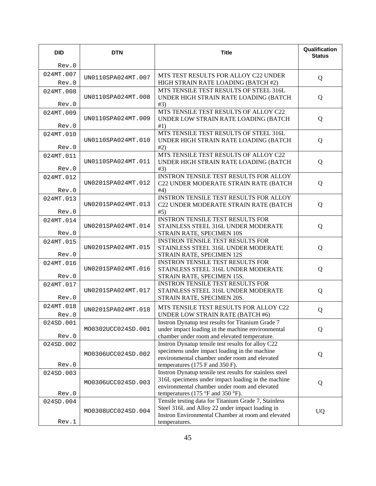| <b>DID</b>         | <b>DTN</b>         | <b>Title</b>                                                                                          | Qualification<br><b>Status</b> |
|--------------------|--------------------|-------------------------------------------------------------------------------------------------------|--------------------------------|
| Rev.0              |                    |                                                                                                       |                                |
| 024MT.007          | UN0110SPA024MT.007 | MTS TEST RESULTS FOR ALLOY C22 UNDER                                                                  | Q                              |
| Rev.0              |                    | HIGH STRAIN RATE LOADING (BATCH #2)                                                                   |                                |
| 024MT.008          |                    | MTS TENSILE TEST RESULTS OF STEEL 316L                                                                |                                |
|                    | UN0110SPA024MT.008 | UNDER HIGH STRAIN RATE LOADING (BATCH                                                                 | Q                              |
| Rev.0<br>024MT.009 |                    | #3)<br>MTS TENSILE TEST RESULTS OF ALLOY C22                                                          |                                |
|                    | UN0110SPA024MT.009 | UNDER LOW STRAIN RATE LOADING (BATCH                                                                  | Q                              |
| Rev.0              |                    | #1)                                                                                                   |                                |
| 024MT.010          |                    | MTS TENSILE TEST RESULTS OF STEEL 316L                                                                |                                |
|                    | UN0110SPA024MT.010 | UNDER HIGH STRAIN RATE LOADING (BATCH                                                                 | Q                              |
| Rev.0              |                    | #2)<br>MTS TENSILE TEST RESULTS OF ALLOY C22                                                          |                                |
| 024MT.011          | UN0110SPA024MT.011 | UNDER HIGH STRAIN RATE LOADING (BATCH                                                                 | Q                              |
| Rev.0              |                    | #3)                                                                                                   |                                |
| 024MT.012          |                    | <b>INSTRON TENSILE TEST RESULTS FOR ALLOY</b>                                                         |                                |
|                    | UN0201SPA024MT.012 | C22 UNDER MODERATE STRAIN RATE (BATCH                                                                 | Q                              |
| Rev.0              |                    | #4)                                                                                                   |                                |
| 024MT.013          | UN0201SPA024MT.013 | <b>INSTRON TENSILE TEST RESULTS FOR ALLOY</b><br>C22 UNDER MODERATE STRAIN RATE (BATCH                | Q                              |
| Rev.0              |                    | #5)                                                                                                   |                                |
| 024MT.014          |                    | <b>INSTRON TENSILE TEST RESULTS FOR</b>                                                               |                                |
|                    | UN0201SPA024MT.014 | STAINLESS STEEL 316L UNDER MODERATE                                                                   | Q                              |
| Rev.0              |                    | STRAIN RATE, SPECIMEN 10S                                                                             |                                |
| 024MT.015          |                    | <b>INSTRON TENSILE TEST RESULTS FOR</b>                                                               |                                |
| Rev.0              | UN0201SPA024MT.015 | STAINLESS STEEL 316L UNDER MODERATE<br>STRAIN RATE, SPECIMEN 12S                                      | Q                              |
| 024MT.016          |                    | <b>INSTRON TENSILE TEST RESULTS FOR</b>                                                               |                                |
|                    | UN0201SPA024MT.016 | STAINLESS STEEL 316L UNDER MODERATE                                                                   | Q                              |
| Rev.0              |                    | STRAIN RATE, SPECIMEN 15S.                                                                            |                                |
| 024MT.017          |                    | INSTRON TENSILE TEST RESULTS FOR                                                                      |                                |
| Rev.0              | UN0201SPA024MT.017 | STAINLESS STEEL 316L UNDER MODERATE<br>STRAIN RATE, SPECIMEN 20S.                                     | Q                              |
| 024MT.018          |                    |                                                                                                       |                                |
|                    | UN0201SPA024MT.018 | MTS TENSILE TEST RESULTS FOR ALLOY C22<br><b>UNDER LOW STRAIN RATE (BATCH #6)</b>                     | Q                              |
| Rev.0<br>024SD.001 |                    | Instron Dynatup test results for Titanium Grade 7                                                     |                                |
|                    | MO0302UCC024SD.001 | under impact loading in the machine environmental                                                     | Q                              |
| Rev.0              |                    | chamber under room and elevated temperature.                                                          |                                |
| 024SD.002          |                    | Instron Dynatup tensile test results for alloy C22                                                    |                                |
|                    | MO0306UCC024SD.002 | specimens under impact loading in the machine                                                         | Q                              |
| Rev.0              |                    | environmental chamber under room and elevated<br>temperatures (175 F and 350 F).                      |                                |
| 024SD.003          |                    | Instron Dynatup tensile test results for stainless steel                                              |                                |
|                    |                    | 316L specimens under impact loading in the machine                                                    |                                |
|                    | MO0306UCC024SD.003 | environmental chamber under room and elevated                                                         | Q                              |
| Rev.0              |                    | temperatures (175 °F and 350 °F).                                                                     |                                |
| 024SD.004          |                    | Tensile testing data for Titanium Grade 7, Stainless                                                  |                                |
|                    | MO0308UCC024SD.004 | Steel 316L and Alloy 22 under impact loading in<br>Instron Environmental Chamber at room and elevated | <b>UQ</b>                      |
| Rev.1              |                    | temperatures.                                                                                         |                                |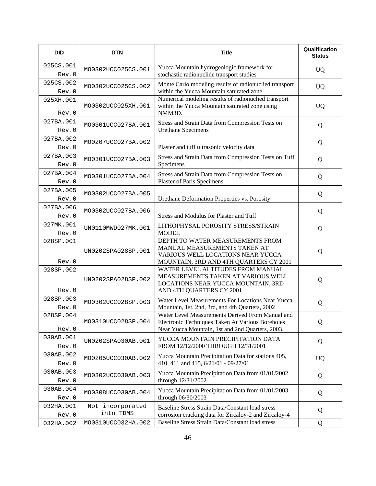| <b>DID</b>         | <b>DTN</b>                    | <b>Title</b>                                                                                                                                             | Qualification<br><b>Status</b> |
|--------------------|-------------------------------|----------------------------------------------------------------------------------------------------------------------------------------------------------|--------------------------------|
| 025CS.001<br>Rev.0 | MO0302UCC025CS.001            | Yucca Mountain hydrogeologic framework for<br>stochastic radionuclide transport studies                                                                  | <b>UQ</b>                      |
| 025CS.002<br>Rev.0 | MO0302UCC025CS.002            | Monte Carlo modeling results of radionuclied transport<br>within the Yucca Mountain saturated zone.                                                      | <b>UQ</b>                      |
| 025XH.001<br>Rev.0 | MO0302UCC025XH.001            | Numerical modeling results of radionuclied transport<br>within the Yucca Mountain saturated zone using<br>NMM3D.                                         | <b>UQ</b>                      |
| 027BA.001<br>Rev.0 | MO0301UCC027BA.001            | Stress and Strain Data from Compression Tests on<br><b>Urethane Specimens</b>                                                                            | Q                              |
| 027BA.002<br>Rev.0 | MO0207UCC027BA.002            | Plaster and tuff ultrasonic velocity data                                                                                                                | Q                              |
| 027BA.003<br>Rev.0 | MO0301UCC027BA.003            | Stress and Strain Data from Compression Tests on Tuff<br>Specimens                                                                                       | Q                              |
| 027BA.004<br>Rev.0 | MO0301UCC027BA.004            | Stress and Strain Data from Compression Tests on<br>Plaster of Paris Specimens                                                                           | Q                              |
| 027BA.005<br>Rev.0 | MO0302UCC027BA.005            | Urethane Deformation Properties vs. Porosity                                                                                                             | Q                              |
| 027BA.006<br>Rev.0 | MO0302UCC027BA.006            | Stress and Modulus for Plaster and Tuff                                                                                                                  | Q                              |
| 027MK.001<br>Rev.0 | UN0110MWD027MK.001            | LITHOPHYSAL POROSITY STRESS/STRAIN<br><b>MODEL</b>                                                                                                       | Q                              |
| 028SP.001<br>Rev.0 | UN0202SPA028SP.001            | DEPTH TO WATER MEASUREMENTS FROM<br>MANUAL MEASUREMENTS TAKEN AT<br>VARIOUS WELL LOCATIONS NEAR YUCCA<br>MOUNTAIN, 3RD AND 4TH QUARTERS CY 2001          | Q                              |
| 028SP.002<br>Rev.0 | UN0202SPA028SP.002            | WATER LEVEL ALTITUDES FROM MANUAL<br>MEASUREMENTS TAKEN AT VARIOUS WELL<br>LOCATIONS NEAR YUCCA MOUNTAIN, 3RD<br>AND 4TH QUARTERS CY 2001                | Q                              |
| 028SP.003<br>Rev.0 | MO0302UCC028SP.003            | Water Level Measurements For Locations Near Yucca<br>Mountain, 1st, 2nd, 3rd, and 4th Quarters, 2002                                                     | Q                              |
| 028SP.004<br>Rev.0 | MO0310UCC028SP.004            | Water Level Measurements Derived From Manual and<br>Electronic Techniques Taken At Various Boreholes<br>Near Yucca Mountain, 1st and 2nd Quarters, 2003. | Q                              |
| 030AB.001<br>Rev.0 | UN0202SPA030AB.001            | YUCCA MOUNTAIN PRECIPITATION DATA<br>FROM 12/12/2000 THROUGH 12/31/2001                                                                                  | Q                              |
| 030AB.002<br>Rev.0 | MO0205UCC030AB.002            | Yucca Mountain Precipitation Data for stations 405,<br>410, 411 and 415, 6/21/01 - 09/27/01                                                              | <b>UQ</b>                      |
| 030AB.003<br>Rev.0 | MO0302UCC030AB.003            | Yucca Mountain Precipitation Data from 01/01/2002<br>through 12/31/2002                                                                                  | Q                              |
| 030AB.004<br>Rev.0 | MO0308UCC030AB.004            | Yucca Mountain Precipitation Data from 01/01/2003<br>through 06/30/2003                                                                                  | Q                              |
| 032HA.001<br>Rev.0 | Not incorporated<br>into TDMS | Baseline Stress Strain Data/Constant load stress<br>corrosion cracking data for Zircaloy-2 and Zircaloy-4                                                | Q                              |
| 032HA.002          | MO0310UCC032HA.002            | Baseline Stress Strain Data/Constant load stress                                                                                                         | Q                              |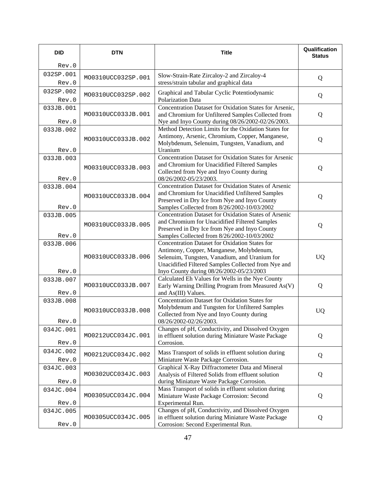| <b>DID</b>         | <b>DTN</b>         | <b>Title</b>                                                                                                                                                                                                                                   | Qualification<br><b>Status</b> |
|--------------------|--------------------|------------------------------------------------------------------------------------------------------------------------------------------------------------------------------------------------------------------------------------------------|--------------------------------|
| Rev.0              |                    |                                                                                                                                                                                                                                                |                                |
| 032SP.001<br>Rev.0 | MO0310UCC032SP.001 | Slow-Strain-Rate Zircaloy-2 and Zircaloy-4<br>stress/strain tabular and graphical data                                                                                                                                                         | Q                              |
| 032SP.002<br>Rev.0 | MO0310UCC032SP.002 | Graphical and Tabular Cyclic Potentiodynamic<br>Polarization Data                                                                                                                                                                              | Q                              |
| 033JB.001<br>Rev.0 | MO0310UCC033JB.001 | Concentration Dataset for Oxidation States for Arsenic,<br>and Chromium for Unfiltered Samples Collected from<br>Nye and Inyo County during 08/26/2002-02/26/2003.                                                                             | Q                              |
| 033JB.002<br>Rev.0 | MO0310UCC033JB.002 | Method Detection Limits for the Oxidation States for<br>Antimony, Arsenic, Chromium, Copper, Manganese,<br>Molybdenum, Selenuim, Tungsten, Vanadium, and<br>Uranium                                                                            | Q                              |
| 033JB.003<br>Rev.0 | MO0310UCC033JB.003 | Concentration Dataset for Oxidation States for Arsenic<br>and Chromium for Unacidified Filtered Samples<br>Collected from Nye and Inyo County during<br>08/26/2002-05/23/2003.                                                                 | Q                              |
| 033JB.004<br>Rev.0 | MO0310UCC033JB.004 | Concentration Dataset for Oxidation States of Arsenic<br>and Chromium for Unacidified Unfiltered Samples<br>Preserved in Dry Ice from Nye and Inyo County<br>Samples Collected from 8/26/2002-10/03/2002                                       | Q                              |
| 033JB.005<br>Rev.0 | MO0310UCC033JB.005 | Concentration Dataset for Oxidation States of Arsenic<br>and Chromium for Unacidified Filtered Samples<br>Preserved in Dry Ice from Nye and Inyo County<br>Samples Collected from 8/26/2002-10/03/2002                                         | Q                              |
| 033JB.006<br>Rev.0 | MO0310UCC033JB.006 | Concentration Dataset for Oxidation States for<br>Antimony, Copper, Manganese, Molybdenum,<br>Selenuim, Tungsten, Vanadium, and Uranium for<br>Unacidified Filtered Samples Collected from Nye and<br>Inyo County during 08/26/2002-05/23/2003 | <b>UQ</b>                      |
| 033JB.007<br>Rev.0 | MO0310UCC033JB.007 | Calculated Eh Values for Wells in the Nye County<br>Early Warning Drilling Program from Measured As(V)<br>and As(III) Values.                                                                                                                  | Q                              |
| 033JB.008<br>Rev.0 | MO0310UCC033JB.008 | Concentration Dataset for Oxidation States for<br>Molybdenum and Tungsten for Unfiltered Samples<br>Collected from Nye and Inyo County during<br>08/26/2002-02/26/2003.                                                                        | <b>UQ</b>                      |
| 034JC.001<br>Rev.0 | MO0212UCC034JC.001 | Changes of pH, Conductivity, and Dissolved Oxygen<br>in effluent solution during Miniature Waste Package<br>Corrosion.                                                                                                                         | Q                              |
| 034JC.002<br>Rev.0 | MO0212UCC034JC.002 | Mass Transport of solids in effluent solution during<br>Miniature Waste Package Corrosion.                                                                                                                                                     | Q                              |
| 034JC.003<br>Rev.0 | MO0302UCC034JC.003 | Graphical X-Ray Diffractometer Data and Mineral<br>Analysis of Filtered Solids from effluent solution<br>during Miniature Waste Package Corrosion.                                                                                             | Q                              |
| 034JC.004<br>Rev.0 | MO0305UCC034JC.004 | Mass Transport of solids in effluent solution during<br>Miniature Waste Package Corrosion: Second<br>Experimental Run.                                                                                                                         | Q                              |
| 034JC.005<br>Rev.0 | MO0305UCC034JC.005 | Changes of pH, Conductivity, and Dissolved Oxygen<br>in effluent solution during Miniature Waste Package<br>Corrosion: Second Experimental Run.                                                                                                | Q                              |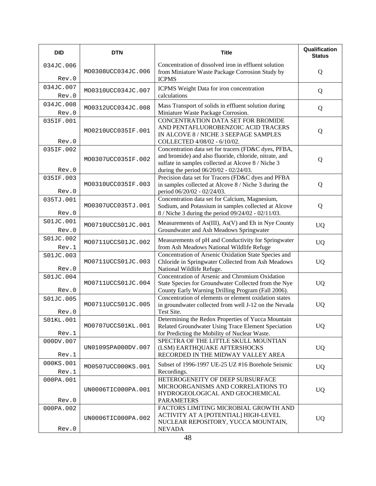| <b>DID</b>         | <b>DTN</b>         | <b>Title</b>                                                                                                                                                                                                   | Qualification<br><b>Status</b> |
|--------------------|--------------------|----------------------------------------------------------------------------------------------------------------------------------------------------------------------------------------------------------------|--------------------------------|
| 034JC.006<br>Rev.0 | MO0308UCC034JC.006 | Concentration of dissolved iron in effluent solution<br>from Miniature Waste Package Corrosion Study by<br><b>ICPMS</b>                                                                                        | Q                              |
| 034JC.007<br>Rev.0 | MO0310UCC034JC.007 | ICPMS Weight Data for iron concentration<br>calculations                                                                                                                                                       | Q                              |
| 034JC.008<br>Rev.0 | MO0312UCC034JC.008 | Mass Transport of solids in effluent solution during<br>Miniature Waste Package Corrosion.                                                                                                                     | Q                              |
| 035IF.001<br>Rev.0 | MO0210UCC035IF.001 | CONCENTRATION DATA SET FOR BROMIDE<br>AND PENTAFLUOROBENZOIC ACID TRACERS<br>IN ALCOVE 8 / NICHE 3 SEEPAGE SAMPLES<br>COLLECTED 4/08/02 - 6/10/02.                                                             | Q                              |
| 035IF.002<br>Rev.0 | MO0307UCC035IF.002 | Concentration data set for tracers (FD&C dyes, PFBA,<br>and bromide) and also fluoride, chloride, nitrate, and<br>sulfate in samples collected at Alcove 8 / Niche 3<br>during the period 06/20/02 - 02/24/03. | Q                              |
| 035IF.003<br>Rev.0 | MO0310UCC035IF.003 | Precision data set for Tracers (FD&C dyes and PFBA<br>in samples collected at Alcove 8 / Niche 3 during the<br>period 06/20/02 - 02/24/03.                                                                     | Q                              |
| 035TJ.001<br>Rev.0 | MO0307UCC035TJ.001 | Concentration data set for Calcium, Magnesium,<br>Sodium, and Potassium in samples collected at Alcove<br>8 / Niche 3 during the period 09/24/02 - 02/11/03.                                                   | Q                              |
| S01JC.001<br>Rev.0 | MO0710UCCS01JC.001 | Measurements of As(III), As(V) and Eh in Nye County<br>Groundwater and Ash Meadows Springwater                                                                                                                 | <b>UQ</b>                      |
| S01JC.002<br>Rev.1 | MO0711UCCS01JC.002 | Measurements of pH and Conductivity for Springwater<br>from Ash Meadows National Wildlife Refuge                                                                                                               | <b>UQ</b>                      |
| S01JC.003<br>Rev.0 | MO0711UCCS01JC.003 | Concentration of Arsenic Oxidation State Species and<br>Chloride in Springwater Collected from Ash Meadows<br>National Wildlife Refuge.                                                                        | <b>UQ</b>                      |
| S01JC.004<br>Rev.0 | MO0711UCCS01JC.004 | Concentration of Arsenic and Chromium Oxidation<br>State Species for Groundwater Collected from the Nye<br>County Early Warning Drilling Program (Fall 2006).                                                  | <b>UQ</b>                      |
| S01JC.005<br>Rev.0 | MO0711UCCS01JC.005 | Concentration of elements or element oxidation states<br>in groundwater collected from well J-12 on the Nevada<br>Test Site.                                                                                   | UQ                             |
| S01KL.001<br>Rev.1 | MO0707UCCS01KL.001 | Determining the Redox Properties of Yucca Mountain<br>Related Groundwater Using Trace Element Speciation<br>for Predicting the Mobility of Nuclear Waste.                                                      | <b>UQ</b>                      |
| 000DV.007<br>Rev.1 | UN0109SPA000DV.007 | SPECTRA OF THE LITTLE SKULL MOUNTIAN<br>(LSM) EARTHQUAKE AFTERSHOCKS<br>RECORDED IN THE MIDWAY VALLEY AREA                                                                                                     | <b>UQ</b>                      |
| 000KS.001<br>Rev.1 | MO0507UCC000KS.001 | Subset of 1996-1997 UE-25 UZ #16 Borehole Seismic<br>Recordings.                                                                                                                                               | <b>UQ</b>                      |
| 000PA.001<br>Rev.0 | UN0006TIC000PA.001 | HETEROGENEITY OF DEEP SUBSURFACE<br>MICROORGANISMS AND CORRELATIONS TO<br>HYDROGEOLOGICAL AND GEOCHEMICAL<br><b>PARAMETERS</b>                                                                                 | <b>UQ</b>                      |
| 000PA.002<br>Rev.0 | UN0006TIC000PA.002 | FACTORS LIMITING MICROBIAL GROWTH AND<br>ACTIVITY AT A [POTENTIAL] HIGH-LEVEL<br>NUCLEAR REPOSITORY, YUCCA MOUNTAIN,<br><b>NEVADA</b>                                                                          | <b>UQ</b>                      |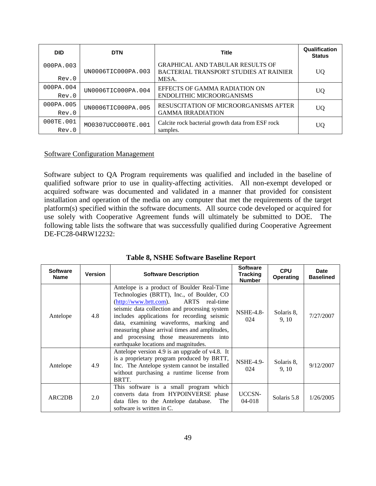| <b>DID</b> | <b>DTN</b>         | <b>Title</b>                                                                      | Qualification<br><b>Status</b> |
|------------|--------------------|-----------------------------------------------------------------------------------|--------------------------------|
| 000PA.003  | UN0006TIC000PA.003 | <b>GRAPHICAL AND TABULAR RESULTS OF</b><br>BACTERIAL TRANSPORT STUDIES AT RAINIER | UQ                             |
| Rev.0      |                    | MESA.                                                                             |                                |
| 000PA.004  | UN0006TIC000PA.004 | EFFECTS OF GAMMA RADIATION ON                                                     | UQ                             |
| Rev.0      |                    | <b>ENDOLITHIC MICROORGANISMS</b>                                                  |                                |
| 000PA.005  | UN0006TIC000PA.005 | RESUSCITATION OF MICROORGANISMS AFTER                                             | UQ                             |
| Rev.0      |                    | <b>GAMMA IRRADIATION</b>                                                          |                                |
| 000TE.001  | MO0307UCC000TE.001 | Calcite rock bacterial growth data from ESF rock                                  | UQ                             |
| Rev.0      |                    | samples.                                                                          |                                |

## Software Configuration Management

Software subject to QA Program requirements was qualified and included in the baseline of qualified software prior to use in quality-affecting activities. All non-exempt developed or acquired software was documented and validated in a manner that provided for consistent installation and operation of the media on any computer that met the requirements of the target platform(s) specified within the software documents. All source code developed or acquired for use solely with Cooperative Agreement funds will ultimately be submitted to DOE. The following table lists the software that was successfully qualified during Cooperative Agreement DE-FC28-04RW12232:

| <b>Software</b><br><b>Name</b> | Version | <b>Software Description</b>                                                                                                                                                                                                                                                                                                                                                                                         | <b>Software</b><br><b>Tracking</b><br><b>Number</b> | <b>CPU</b><br><b>Operating</b> | Date<br><b>Baselined</b> |
|--------------------------------|---------|---------------------------------------------------------------------------------------------------------------------------------------------------------------------------------------------------------------------------------------------------------------------------------------------------------------------------------------------------------------------------------------------------------------------|-----------------------------------------------------|--------------------------------|--------------------------|
| Antelope                       | 4.8     | Antelope is a product of Boulder Real-Time<br>Technologies (BRTT), Inc., of Boulder, CO<br>$(http://www.brtt.com)$ .<br>ARTS real-time<br>seismic data collection and processing system<br>includes applications for recording seismic<br>data, examining waveforms, marking and<br>measuring phase arrival times and amplitudes,<br>and processing those measurements into<br>earthquake locations and magnitudes. | <b>NSHE-4.8-</b><br>024                             | Solaris 8,<br>9, 10            | 7/27/2007                |
| Antelope                       | 4.9     | Antelope version 4.9 is an upgrade of v4.8. It<br>is a proprietary program produced by BRTT,<br>Inc. The Antelope system cannot be installed<br>without purchasing a runtime license from<br>BRTT.                                                                                                                                                                                                                  | <b>NSHE-4.9-</b><br>024                             | Solaris 8.<br>9.10             | 9/12/2007                |
| ARC <sub>2</sub> DB            | 2.0     | This software is a small program which<br>converts data from HYPOINVERSE phase<br>data files to the Antelope database.<br>The<br>software is written in C.                                                                                                                                                                                                                                                          | UCCSN-<br>$04 - 018$                                | Solaris 5.8                    | 1/26/2005                |

## **Table 8, NSHE Software Baseline Report**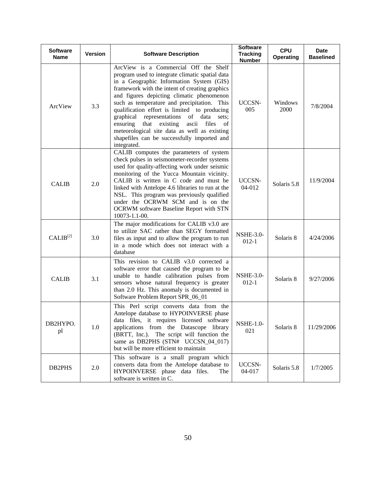| <b>Software</b><br><b>Name</b> | <b>Version</b> | <b>Software Description</b>                                                                                                                                                                                                                                                                                                                                                                                                                                                                                                                            | <b>Software</b><br><b>Tracking</b><br><b>Number</b> | <b>CPU</b><br><b>Operating</b> | <b>Date</b><br><b>Baselined</b> |
|--------------------------------|----------------|--------------------------------------------------------------------------------------------------------------------------------------------------------------------------------------------------------------------------------------------------------------------------------------------------------------------------------------------------------------------------------------------------------------------------------------------------------------------------------------------------------------------------------------------------------|-----------------------------------------------------|--------------------------------|---------------------------------|
| ArcView                        | 3.3            | ArcView is a Commercial Off the Shelf<br>program used to integrate climatic spatial data<br>in a Geographic Information System (GIS)<br>framework with the intent of creating graphics<br>and figures depicting climatic phenomenon<br>such as temperature and precipitation. This<br>qualification effort is limited to producing<br>representations of data<br>graphical<br>sets;<br>that existing<br>ascii<br>files<br>of<br>ensuring<br>meteorological site data as well as existing<br>shapefiles can be successfully imported and<br>integrated. | UCCSN-<br>005                                       | Windows<br>2000                | 7/8/2004                        |
| <b>CALIB</b>                   | 2.0            | CALIB computes the parameters of system<br>check pulses in seismometer-recorder systems<br>used for quality-affecting work under seismic<br>monitoring of the Yucca Mountain vicinity.<br>CALIB is written in C code and must be<br>linked with Antelope 4.6 libraries to run at the<br>NSL. This program was previously qualified<br>under the OCRWM SCM and is on the<br>OCRWM software Baseline Report with STN<br>10073-1.1-00.                                                                                                                    | UCCSN-<br>$04 - 012$                                | Solaris 5.8                    | 11/9/2004                       |
| $CALIB^{[2]}$                  | 3.0            | The major modifications for CALIB v3.0 are<br>to utilize SAC rather than SEGY formatted<br>files as input and to allow the program to run<br>in a mode which does not interact with a<br>database                                                                                                                                                                                                                                                                                                                                                      | <b>NSHE-3.0-</b><br>$012 - 1$                       | Solaris 8                      | 4/24/2006                       |
| <b>CALIB</b>                   | 3.1            | This revision to CALIB v3.0 corrected a<br>software error that caused the program to be<br>unable to handle calibration pulses from<br>sensors whose natural frequency is greater<br>than 2.0 Hz. This anomaly is documented in<br>Software Problem Report SPR_06_01                                                                                                                                                                                                                                                                                   | <b>NSHE-3.0-</b><br>$012 - 1$                       | Solaris 8                      | 9/27/2006                       |
| DB2HYPO.<br>pl                 | 1.0            | This Perl script converts data from the<br>Antelope database to HYPOINVERSE phase<br>data files, it requires licensed software<br>applications from the Datascope library<br>(BRTT, Inc.). The script will function the<br>same as DB2PHS (STN# UCCSN_04_017)<br>but will be more efficient to maintain                                                                                                                                                                                                                                                | <b>NSHE-1.0-</b><br>021                             | Solaris 8                      | 11/29/2006                      |
| DB2PHS                         | 2.0            | This software is a small program which<br>converts data from the Antelope database to<br>HYPOINVERSE phase data files.<br>The<br>software is written in C.                                                                                                                                                                                                                                                                                                                                                                                             | UCCSN-<br>04-017                                    | Solaris 5.8                    | 1/7/2005                        |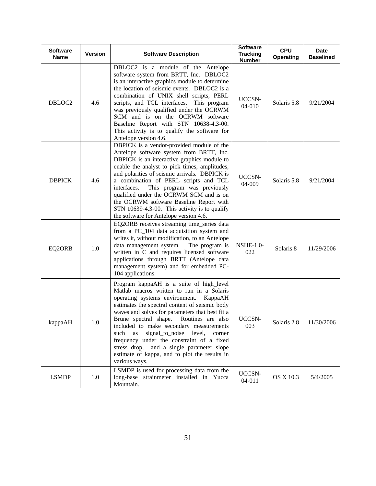| <b>Software</b><br><b>Name</b> | <b>Version</b> | <b>Software Description</b>                                                                                                                                                                                                                                                                                                                                                                                                                                                                                                              | <b>Software</b><br><b>Tracking</b><br><b>Number</b> | <b>CPU</b><br><b>Operating</b> | <b>Date</b><br><b>Baselined</b> |
|--------------------------------|----------------|------------------------------------------------------------------------------------------------------------------------------------------------------------------------------------------------------------------------------------------------------------------------------------------------------------------------------------------------------------------------------------------------------------------------------------------------------------------------------------------------------------------------------------------|-----------------------------------------------------|--------------------------------|---------------------------------|
| DBLOC2                         | 4.6            | DBLOC2 is a module of the Antelope<br>software system from BRTT, Inc. DBLOC2<br>is an interactive graphics module to determine<br>the location of seismic events. DBLOC2 is a<br>combination of UNIX shell scripts, PERL<br>scripts, and TCL interfaces.<br>This program<br>was previously qualified under the OCRWM<br>SCM and is on the OCRWM software<br>Baseline Report with STN 10638-4.3-00.<br>This activity is to qualify the software for<br>Antelope version 4.6.                                                              | UCCSN-<br>04-010                                    | Solaris 5.8                    | 9/21/2004                       |
| <b>DBPICK</b>                  | 4.6            | DBPICK is a vendor-provided module of the<br>Antelope software system from BRTT, Inc.<br>DBPICK is an interactive graphics module to<br>enable the analyst to pick times, amplitudes,<br>and polarities of seismic arrivals. DBPICK is<br>a combination of PERL scripts and TCL<br>This program was previously<br>interfaces.<br>qualified under the OCRWM SCM and is on<br>the OCRWM software Baseline Report with<br>STN 10639-4.3-00. This activity is to qualify<br>the software for Antelope version 4.6.                           | UCCSN-<br>04-009                                    | Solaris 5.8                    | 9/21/2004                       |
| EQ2ORB                         | 1.0            | EQ2ORB receives streaming time_series data<br>from a PC_104 data acquisition system and<br>writes it, without modification, to an Antelope<br>data management system.<br>The program is<br>written in C and requires licensed software<br>applications through BRTT (Antelope data<br>management system) and for embedded PC-<br>104 applications.                                                                                                                                                                                       | <b>NSHE-1.0-</b><br>022                             | Solaris 8                      | 11/29/2006                      |
| kappaAH                        | 1.0            | Program kappaAH is a suite of high_level<br>Matlab macros written to run in a Solaris<br>operating systems environment. KappaAH<br>estimates the spectral content of seismic body<br>waves and solves for parameters that best fit a<br>Brune spectral shape. Routines are also<br>included to make secondary measurements<br>signal_to_noise level,<br>such<br>as<br>corner<br>frequency under the constraint of a fixed<br>stress drop, and a single parameter slope<br>estimate of kappa, and to plot the results in<br>various ways. | UCCSN-<br>003                                       | Solaris 2.8                    | 11/30/2006                      |
| <b>LSMDP</b>                   | 1.0            | LSMDP is used for processing data from the<br>long-base strainmeter installed in Yucca<br>Mountain.                                                                                                                                                                                                                                                                                                                                                                                                                                      | UCCSN-<br>04-011                                    | OS X 10.3                      | 5/4/2005                        |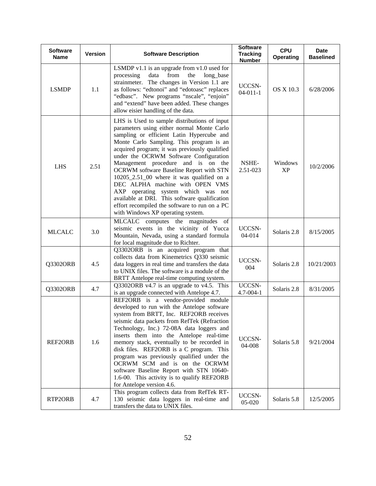| <b>Software</b><br><b>Name</b> | <b>Version</b> | <b>Software Description</b>                                                                                                                                                                                                                                                                                                                                                                                                                                                                                                                                                                                                         | <b>Software</b><br><b>Tracking</b><br><b>Number</b> | <b>CPU</b><br>Operating | <b>Date</b><br><b>Baselined</b> |
|--------------------------------|----------------|-------------------------------------------------------------------------------------------------------------------------------------------------------------------------------------------------------------------------------------------------------------------------------------------------------------------------------------------------------------------------------------------------------------------------------------------------------------------------------------------------------------------------------------------------------------------------------------------------------------------------------------|-----------------------------------------------------|-------------------------|---------------------------------|
| <b>LSMDP</b>                   | 1.1            | LSMDP $v1.1$ is an upgrade from $v1.0$ used for<br>from<br>the<br>processing<br>data<br>long_base<br>strainmeter. The changes in Version 1.1 are<br>as follows: "edtonoi" and "edotoasc" replaces<br>"edbasc". New programs "nscale", "enjoin"<br>and "extend" have been added. These changes<br>allow eisier handling of the data.                                                                                                                                                                                                                                                                                                 | UCCSN-<br>$04-011-1$                                | <b>OS X 10.3</b>        | 6/28/2006                       |
| <b>LHS</b>                     | 2.51           | LHS is Used to sample distributions of input<br>parameters using either normal Monte Carlo<br>sampling or efficient Latin Hypercube and<br>Monte Carlo Sampling. This program is an<br>acquired program; it was previously qualified<br>under the OCRWM Software Configuration<br>Management procedure and is on the<br><b>OCRWM</b> software Baseline Report with STN<br>10205_2.51_00 where it was qualified on a<br>DEC ALPHA machine with OPEN VMS<br>AXP operating system which was not<br>available at DRI. This software qualification<br>effort recompiled the software to run on a PC<br>with Windows XP operating system. | NSHE-<br>2.51-023                                   | Windows<br><b>XP</b>    | 10/2/2006                       |
| <b>MLCALC</b>                  | 3.0            | MLCALC computes the magnitudes of<br>seismic events in the vicinity of Yucca<br>Mountain, Nevada, using a standard formula<br>for local magnitude due to Richter.                                                                                                                                                                                                                                                                                                                                                                                                                                                                   | UCCSN-<br>04-014                                    | Solaris 2.8             | 8/15/2005                       |
| Q3302ORB                       | 4.5            | Q3302ORB is an acquired program that<br>collects data from Kinemetrics Q330 seismic<br>data loggers in real time and transfers the data<br>to UNIX files. The software is a module of the<br>BRTT Antelope real-time computing system.                                                                                                                                                                                                                                                                                                                                                                                              | UCCSN-<br>004                                       | Solaris 2.8             | 10/21/2003                      |
| Q3302ORB                       | 4.7            | Q3302ORB v4.7 is an upgrade to v4.5. This<br>is an upgrade connected with Antelope 4.7.                                                                                                                                                                                                                                                                                                                                                                                                                                                                                                                                             | UCCSN-<br>$4.7 - 004 - 1$                           | Solaris 2.8             | 8/31/2005                       |
| REF2ORB                        | 1.6            | REF2ORB is a vendor-provided module<br>developed to run with the Antelope software<br>system from BRTT, Inc. REF2ORB receives<br>seismic data packets from RefTek (Refraction<br>Technology, Inc.) 72-08A data loggers and<br>inserts them into the Antelope real-time<br>memory stack, eventually to be recorded in<br>disk files. REF2ORB is a C program. This<br>program was previously qualified under the<br>OCRWM SCM and is on the OCRWM<br>software Baseline Report with STN 10640-<br>1.6-00. This activity is to qualify REF2ORB<br>for Antelope version 4.6.                                                             | UCCSN-<br>04-008                                    | Solaris 5.8             | 9/21/2004                       |
| RTP2ORB                        | 4.7            | This program collects data from RefTek RT-<br>130 seismic data loggers in real-time and<br>transfers the data to UNIX files.                                                                                                                                                                                                                                                                                                                                                                                                                                                                                                        | UCCSN-<br>05-020                                    | Solaris 5.8             | 12/5/2005                       |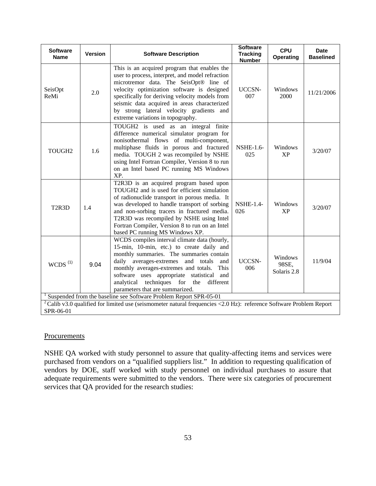| <b>Software</b><br><b>Name</b>     | <b>Version</b> | <b>Software Description</b>                                                                                                                                                                                                                                                                                                                                                   | <b>Software</b><br><b>Tracking</b><br><b>Number</b> | <b>CPU</b><br><b>Operating</b>  | <b>Date</b><br><b>Baselined</b> |
|------------------------------------|----------------|-------------------------------------------------------------------------------------------------------------------------------------------------------------------------------------------------------------------------------------------------------------------------------------------------------------------------------------------------------------------------------|-----------------------------------------------------|---------------------------------|---------------------------------|
| SeisOpt<br>ReMi                    | 2.0            | This is an acquired program that enables the<br>user to process, interpret, and model refraction<br>microtremor data. The SeisOpt® line of<br>velocity optimization software is designed<br>specifically for deriving velocity models from<br>seismic data acquired in areas characterized<br>by strong lateral velocity gradients and<br>extreme variations in topography.   | UCCSN-<br>007                                       | Windows<br>2000                 | 11/21/2006                      |
| TOUGH2                             | 1.6            | TOUGH2 is used as an integral finite<br>difference numerical simulator program for<br>nonisothermal flows of multi-component,<br>multiphase fluids in porous and fractured<br>media. TOUGH 2 was recompiled by NSHE<br>using Intel Fortran Compiler, Version 8 to run<br>on an Intel based PC running MS Windows<br>XP.                                                       | <b>NSHE-1.6-</b><br>025                             | Windows<br><b>XP</b>            | 3/20/07                         |
| T <sub>2</sub> R <sub>3</sub> D    | 1.4            | T2R3D is an acquired program based upon<br>TOUGH2 and is used for efficient simulation<br>of radionuclide transport in porous media. It<br>was developed to handle transport of sorbing<br>and non-sorbing tracers in fractured media.<br>T2R3D was recompiled by NSHE using Intel<br>Fortran Compiler, Version 8 to run on an Intel<br>based PC running MS Windows XP.       | <b>NSHE-1.4-</b><br>026                             | Windows<br><b>XP</b>            | 3/20/07                         |
| $WCDS$ <sup><math>(1)</math></sup> | 9.04           | WCDS compiles interval climate data (hourly,<br>15-min, 10-min, etc.) to create daily and<br>monthly summaries. The summaries contain<br>averages-extremes<br>and<br>totals<br>daily<br>and<br>monthly averages-extremes and totals.<br>This<br>software uses appropriate statistical<br>and<br>analytical techniques for the<br>different<br>parameters that are summarized. | UCCSN-<br>006                                       | Windows<br>98SE,<br>Solaris 2.8 | 11/9/04                         |
|                                    |                | Suspended from the baseline see Software Problem Report SPR-05-01                                                                                                                                                                                                                                                                                                             |                                                     |                                 |                                 |
| SPR-06-01                          |                | <sup>2</sup> Calib v3.0 qualified for limited use (seismometer natural frequencies <2.0 Hz): reference Software Problem Report                                                                                                                                                                                                                                                |                                                     |                                 |                                 |

## **Procurements**

NSHE QA worked with study personnel to assure that quality-affecting items and services were purchased from vendors on a "qualified suppliers list." In addition to requesting qualification of vendors by DOE, staff worked with study personnel on individual purchases to assure that adequate requirements were submitted to the vendors. There were six categories of procurement services that QA provided for the research studies: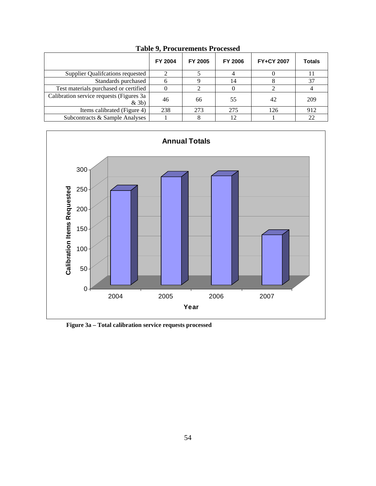|                                                     | <b>FY 2004</b> | FY 2005 | <b>FY 2006</b> | <b>FY+CY 2007</b> | <b>Totals</b> |
|-----------------------------------------------------|----------------|---------|----------------|-------------------|---------------|
| <b>Supplier Qualifications requested</b>            |                |         |                |                   |               |
| Standards purchased                                 |                |         | 14             |                   | 37            |
| Test materials purchased or certified               |                |         |                |                   |               |
| Calibration service requests (Figures 3a<br>$&$ 3b) | 46             | 66      | 55             | 42                | 209           |
| Items calibrated (Figure 4)                         | 238            | 273     | 275            | 126               | 912           |
| Subcontracts & Sample Analyses                      |                |         | 12             |                   | 22            |

**Table 9, Procurements Processed** 



**Figure 3a – Total calibration service requests processed**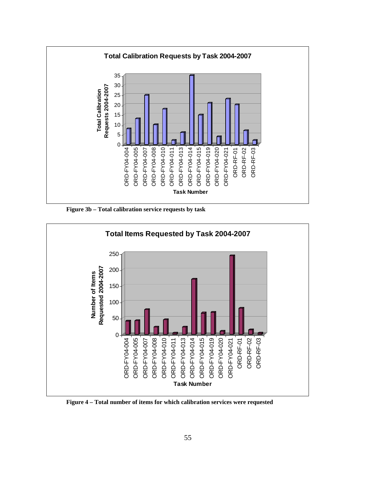

 **Figure 3b – Total calibration service requests by task** 



**Figure 4 – Total number of items for which calibration services were requested**